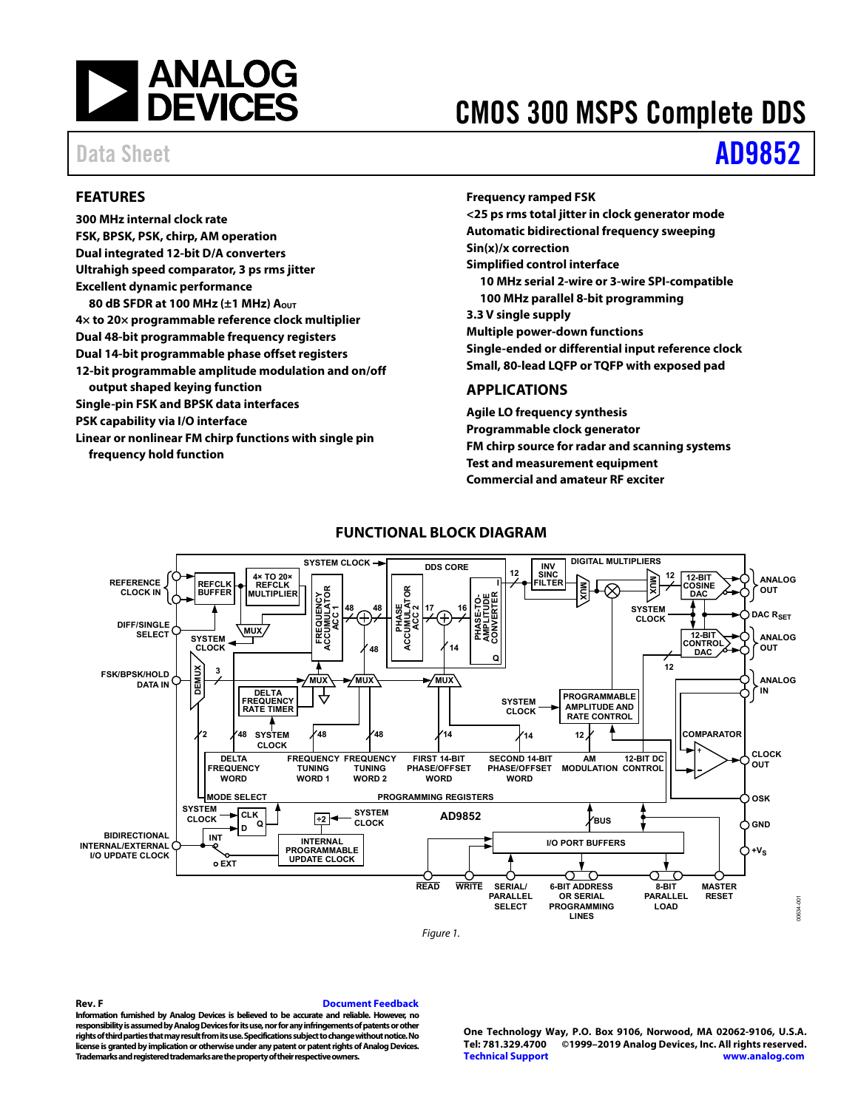

# CMOS 300 MSPS Complete DDS

# Data Sheet **[AD9852](https://www.analog.com/AD9852?doc=AD9852.pdf)**

## <span id="page-0-0"></span>**FEATURES**

**300 MHz internal clock rate FSK, BPSK, PSK, chirp, AM operation Dual integrated 12-bit D/A converters Ultrahigh speed comparator, 3 ps rms jitter Excellent dynamic performance 80 dB SFDR at 100 MHz (±1 MHz) AOUT 4× to 20× programmable reference clock multiplier Dual 48-bit programmable frequency registers Dual 14-bit programmable phase offset registers 12-bit programmable amplitude modulation and on/off output shaped keying function Single-pin FSK and BPSK data interfaces PSK capability via I/O interface Linear or nonlinear FM chirp functions with single pin frequency hold function** 

## **Frequency ramped FSK <25 ps rms total jitter in clock generator mode Automatic bidirectional frequency sweeping Sin(x)/x correction Simplified control interface 10 MHz serial 2-wire or 3-wire SPI-compatible 100 MHz parallel 8-bit programming 3.3 V single supply Multiple power-down functions Single-ended or differential input reference clock Small, 80-lead LQFP or TQFP with exposed pad APPLICATIONS**

<span id="page-0-1"></span>**Agile LO frequency synthesis Programmable clock generator FM chirp source for radar and scanning systems Test and measurement equipment Commercial and amateur RF exciter** 

<span id="page-0-2"></span>

## **FUNCTIONAL BLOCK DIAGRAM**

Figure 1.

### **Rev. F [Document Feedback](https://form.analog.com/Form_Pages/feedback/documentfeedback.aspx?doc=AD9852.pdf&product=AD9852&rev=F)**

**Information furnished by Analog Devices is believed to be accurate and reliable. However, no responsibility is assumed by Analog Devices for its use, nor for any infringements of patents or other rights of third parties that may result from its use. Specifications subject to change without notice. No license is granted by implication or otherwise under any patent or patent rights of Analog Devices. Trademarks and registered trademarks are the property of their respective owners.** 

**One Technology Way, P.O. Box 9106, Norwood, MA 02062-9106, U.S.A. Tel: 781.329.4700 ©1999–2019 Analog Devices, Inc. All rights reserved. [Technical Support](http://www.analog.com/en/content/technical_support_page/fca.html) [www.analog.com](http://www.analog.com/)**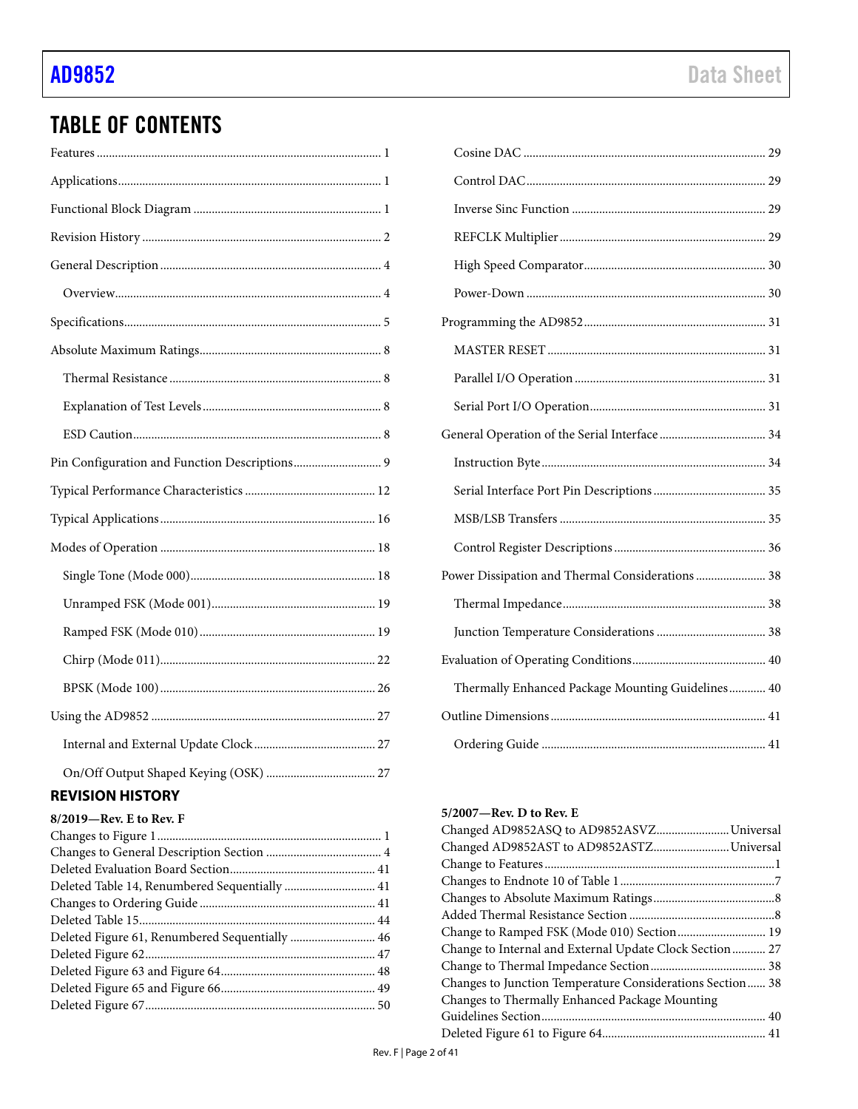# TABLE OF CONTENTS

## <span id="page-1-0"></span>**REVISION HISTORY**

| Deleted Figure 61, Renumbered Sequentially  46 |  |
|------------------------------------------------|--|
|                                                |  |
|                                                |  |
|                                                |  |
|                                                |  |

| Power Dissipation and Thermal Considerations 38   |
|---------------------------------------------------|
|                                                   |
|                                                   |
|                                                   |
| Thermally Enhanced Package Mounting Guidelines 40 |
|                                                   |
|                                                   |

### **5/2007—Rev. D to Rev. E**

| Changed AD9852AST to AD9852ASTZ Universal                 |
|-----------------------------------------------------------|
|                                                           |
|                                                           |
|                                                           |
|                                                           |
|                                                           |
| Change to Internal and External Update Clock Section 27   |
|                                                           |
| Changes to Junction Temperature Considerations Section 38 |
|                                                           |
|                                                           |
|                                                           |
|                                                           |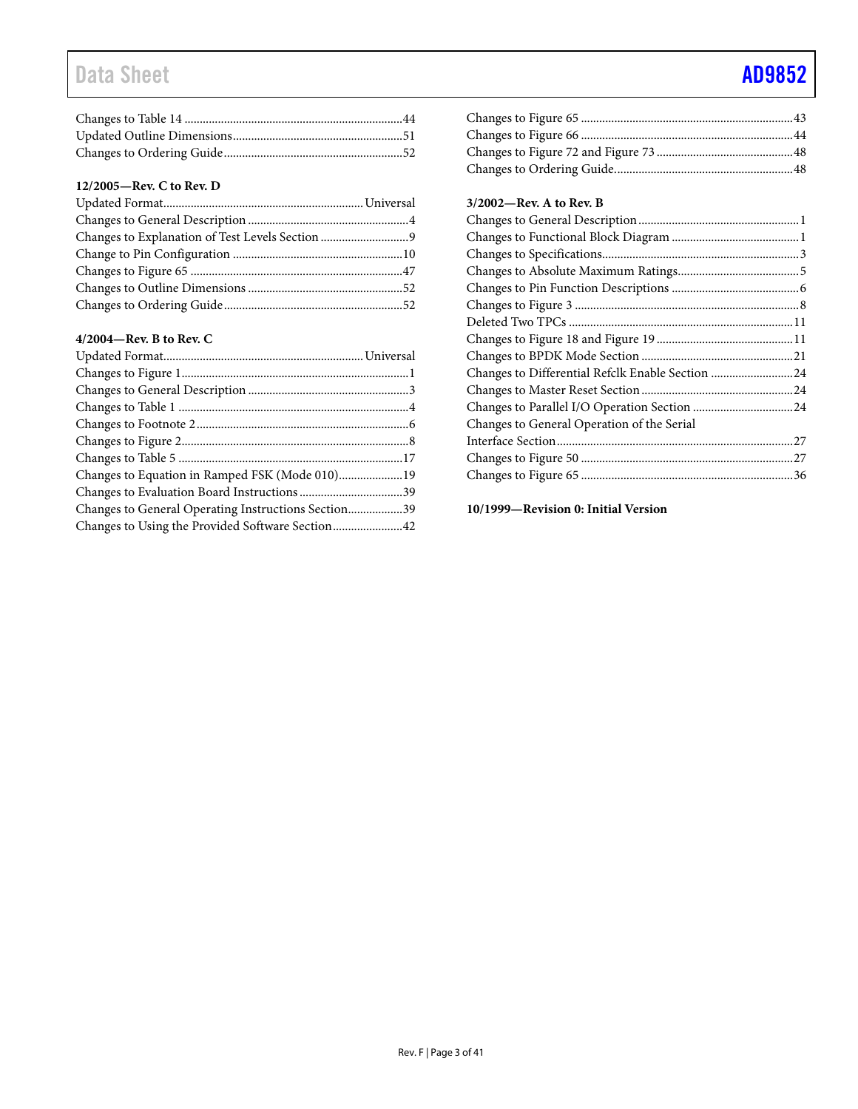# Data Sheet **[AD9852](https://www.analog.com/AD9852?doc=AD9852.pdf)**

### **12/2005—Rev. C to Rev. D**

### **4/2004—Rev. B to Rev. C**

| Changes to General Operating Instructions Section39 |  |
|-----------------------------------------------------|--|
| Changes to Using the Provided Software Section42    |  |
|                                                     |  |

### Changes to Figure 65 ......................................................................43 Changes to Figure 66 ......................................................................44 Changes to Figure 72 and Figure 73 .............................................48 Changes to Ordering Guide...........................................................48

### **3/2002—Rev. A to Rev. B**

| Changes to Differential Refclk Enable Section 24 |  |
|--------------------------------------------------|--|
|                                                  |  |
|                                                  |  |
| Changes to General Operation of the Serial       |  |
|                                                  |  |
|                                                  |  |
|                                                  |  |
|                                                  |  |

**10/1999—Revision 0: Initial Version**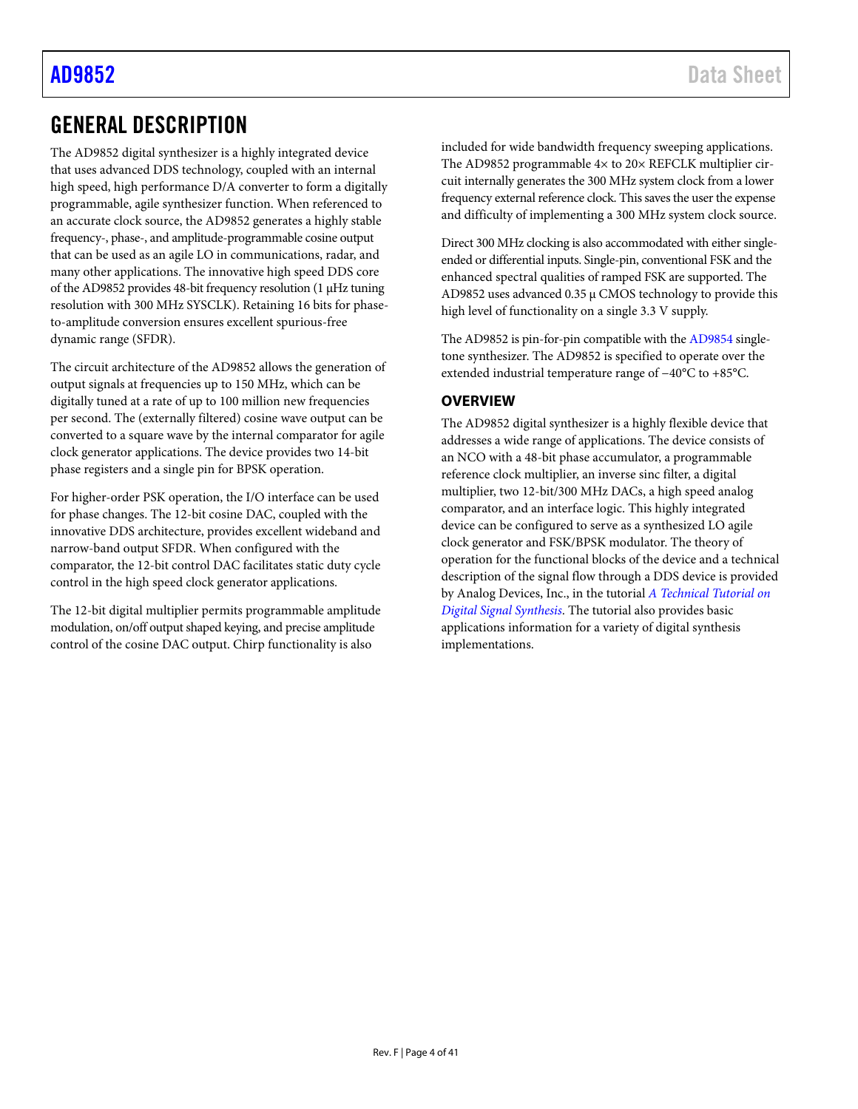# <span id="page-3-0"></span>GENERAL DESCRIPTION

The AD9852 digital synthesizer is a highly integrated device that uses advanced DDS technology, coupled with an internal high speed, high performance D/A converter to form a digitally programmable, agile synthesizer function. When referenced to an accurate clock source, the AD9852 generates a highly stable frequency-, phase-, and amplitude-programmable cosine output that can be used as an agile LO in communications, radar, and many other applications. The innovative high speed DDS core of the AD9852 provides 48-bit frequency resolution (1 μHz tuning resolution with 300 MHz SYSCLK). Retaining 16 bits for phaseto-amplitude conversion ensures excellent spurious-free dynamic range (SFDR).

The circuit architecture of the AD9852 allows the generation of output signals at frequencies up to 150 MHz, which can be digitally tuned at a rate of up to 100 million new frequencies per second. The (externally filtered) cosine wave output can be converted to a square wave by the internal comparator for agile clock generator applications. The device provides two 14-bit phase registers and a single pin for BPSK operation.

For higher-order PSK operation, the I/O interface can be used for phase changes. The 12-bit cosine DAC, coupled with the innovative DDS architecture, provides excellent wideband and narrow-band output SFDR. When configured with the comparator, the 12-bit control DAC facilitates static duty cycle control in the high speed clock generator applications.

The 12-bit digital multiplier permits programmable amplitude modulation, on/off output shaped keying, and precise amplitude control of the cosine DAC output. Chirp functionality is also

included for wide bandwidth frequency sweeping applications. The AD9852 programmable  $4\times$  to 20 $\times$  REFCLK multiplier circuit internally generates the 300 MHz system clock from a lower frequency external reference clock. This saves the user the expense and difficulty of implementing a 300 MHz system clock source.

Direct 300 MHz clocking is also accommodated with either singleended or differential inputs. Single-pin, conventional FSK and the enhanced spectral qualities of ramped FSK are supported. The AD9852 uses advanced 0.35 μ CMOS technology to provide this high level of functionality on a single 3.3 V supply.

The AD9852 is pin-for-pin compatible with th[e AD9854](http://www.analog.com/AD9854) singletone synthesizer. The AD9852 is specified to operate over the extended industrial temperature range of −40°C to +85°C.

## <span id="page-3-1"></span>**OVERVIEW**

The AD9852 digital synthesizer is a highly flexible device that addresses a wide range of applications. The device consists of an NCO with a 48-bit phase accumulator, a programmable reference clock multiplier, an inverse sinc filter, a digital multiplier, two 12-bit/300 MHz DACs, a high speed analog comparator, and an interface logic. This highly integrated device can be configured to serve as a synthesized LO agile clock generator and FSK/BPSK modulator. The theory of operation for the functional blocks of the device and a technical description of the signal flow through a DDS device is provided by Analog Devices, Inc., in the tutorial *[A Technical Tutorial on](http://www.analog.com/DDS_Tutorial)  [Digital Signal Synthesis](http://www.analog.com/DDS_Tutorial)*. The tutorial also provides basic applications information for a variety of digital synthesis implementations.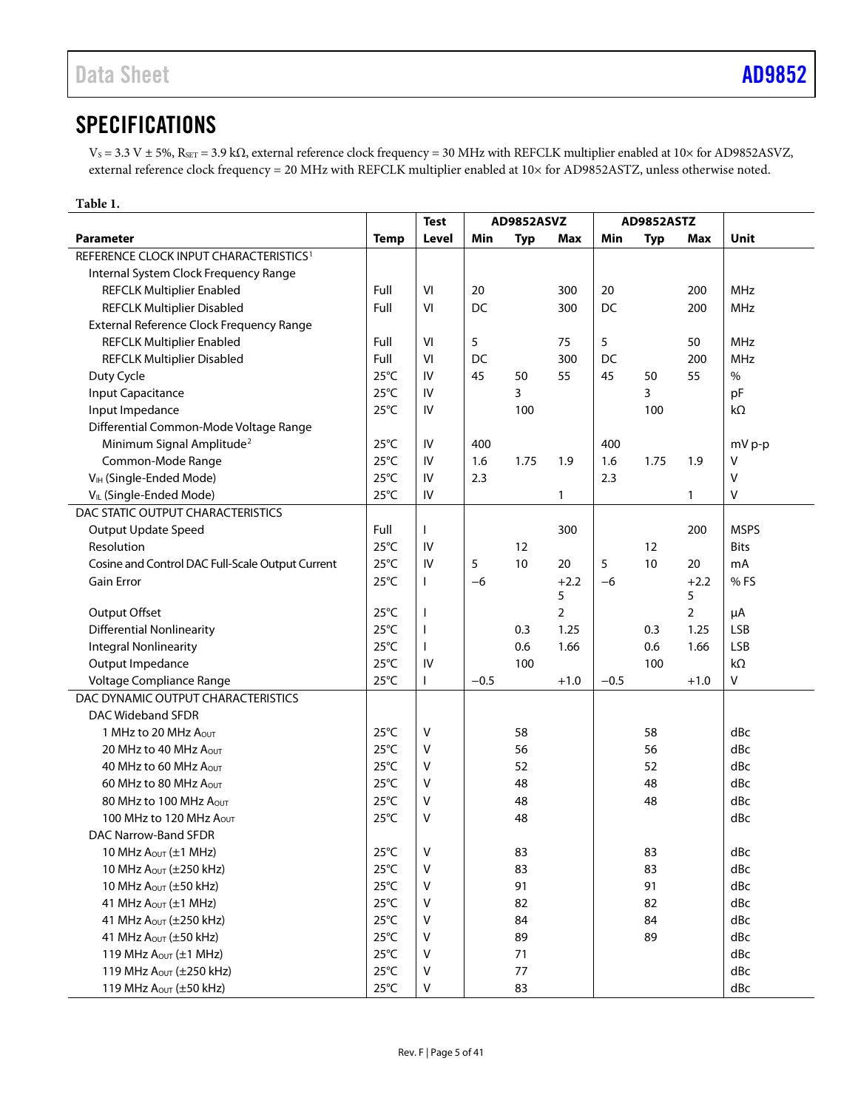# <span id="page-4-0"></span>**SPECIFICATIONS**

VS = 3.3 V ± 5%, RSET = 3.9 kΩ, external reference clock frequency = 30 MHz with REFCLK multiplier enabled at 10× for AD9852ASVZ, external reference clock frequency = 20 MHz with REFCLK multiplier enabled at 10× for AD9852ASTZ, unless otherwise noted.

<span id="page-4-1"></span>

| Table 1.                                                             |                                  |                          |            |            |                |        |            |                |             |
|----------------------------------------------------------------------|----------------------------------|--------------------------|------------|------------|----------------|--------|------------|----------------|-------------|
|                                                                      |                                  | <b>Test</b>              | AD9852ASVZ |            |                |        | AD9852ASTZ |                |             |
| <b>Parameter</b>                                                     | <b>Temp</b>                      | Level                    | Min        | <b>Typ</b> | Max            | Min    | <b>Typ</b> | Max            | Unit        |
| REFERENCE CLOCK INPUT CHARACTERISTICS <sup>1</sup>                   |                                  |                          |            |            |                |        |            |                |             |
| Internal System Clock Frequency Range                                |                                  |                          |            |            |                |        |            |                |             |
| <b>REFCLK Multiplier Enabled</b>                                     | Full                             | VI                       | 20         |            | 300            | 20     |            | 200            | MHz         |
| <b>REFCLK Multiplier Disabled</b>                                    | Full                             | VI                       | <b>DC</b>  |            | 300            | DC     |            | 200            | MHz         |
| External Reference Clock Frequency Range                             |                                  |                          |            |            |                |        |            |                |             |
| <b>REFCLK Multiplier Enabled</b>                                     | Full                             | VI                       | 5          |            | 75             | 5      |            | 50             | MHz         |
| <b>REFCLK Multiplier Disabled</b>                                    | Full                             | VI                       | <b>DC</b>  |            | 300            | DC     |            | 200            | MHz         |
| Duty Cycle                                                           | $25^{\circ}$ C                   | IV                       | 45         | 50         | 55             | 45     | 50         | 55             | $\%$        |
| <b>Input Capacitance</b>                                             | $25^{\circ}$ C                   | IV                       |            | 3          |                |        | 3          |                | pF          |
| Input Impedance                                                      | $25^{\circ}$ C                   | IV                       |            | 100        |                |        | 100        |                | $k\Omega$   |
| Differential Common-Mode Voltage Range                               |                                  |                          |            |            |                |        |            |                |             |
| Minimum Signal Amplitude <sup>2</sup>                                | $25^{\circ}$ C                   | ${\sf IV}$               | 400        |            |                | 400    |            |                | mV p-p      |
| Common-Mode Range                                                    | $25^{\circ}$ C                   | IV                       | 1.6        | 1.75       | 1.9            | 1.6    | 1.75       | 1.9            | $\vee$      |
| V <sub>IH</sub> (Single-Ended Mode)                                  | $25^{\circ}$ C                   | IV                       | 2.3        |            |                | 2.3    |            |                | V           |
| V <sub>IL</sub> (Single-Ended Mode)                                  | $25^{\circ}$ C                   | ${\sf IV}$               |            |            | 1              |        |            | 1              | $\vee$      |
| DAC STATIC OUTPUT CHARACTERISTICS                                    |                                  |                          |            |            |                |        |            |                |             |
| <b>Output Update Speed</b>                                           | Full                             |                          |            |            | 300            |        |            | 200            | <b>MSPS</b> |
| Resolution                                                           | $25^{\circ}$ C                   | IV                       |            | 12         |                |        | 12         |                | <b>Bits</b> |
| Cosine and Control DAC Full-Scale Output Current                     | $25^{\circ}$ C                   | IV                       | 5          | 10         | 20             | 5      | 10         | 20             | mA          |
| Gain Error                                                           | $25^{\circ}$ C                   | L                        | $-6$       |            | $+2.2$         | $-6$   |            | $+2.2$         | %FS         |
|                                                                      |                                  |                          |            |            | 5              |        |            | 5              |             |
| Output Offset                                                        | $25^{\circ}$ C                   | $\overline{\phantom{a}}$ |            |            | $\overline{2}$ |        |            | $\overline{2}$ | μA          |
| <b>Differential Nonlinearity</b>                                     | $25^{\circ}$ C                   | $\overline{\phantom{a}}$ |            | 0.3        | 1.25           |        | 0.3        | 1.25           | <b>LSB</b>  |
| <b>Integral Nonlinearity</b>                                         | $25^{\circ}$ C                   | $\mathbf{I}$             |            | 0.6        | 1.66           |        | 0.6        | 1.66           | <b>LSB</b>  |
| Output Impedance                                                     | $25^{\circ}$ C                   | IV                       |            | 100        |                |        | 100        |                | $k\Omega$   |
| Voltage Compliance Range                                             | $25^{\circ}$ C                   |                          | $-0.5$     |            | $+1.0$         | $-0.5$ |            | $+1.0$         | V           |
| DAC DYNAMIC OUTPUT CHARACTERISTICS                                   |                                  |                          |            |            |                |        |            |                |             |
| DAC Wideband SFDR                                                    |                                  |                          |            |            |                |        |            |                |             |
| 1 MHz to 20 MHz AOUT                                                 | $25^{\circ}$ C                   | V                        |            | 58         |                |        | 58         |                | dBc         |
| 20 MHz to 40 MHz AOUT                                                | $25^{\circ}$ C<br>$25^{\circ}$ C | V                        |            | 56         |                |        | 56         |                | dBc         |
| 40 MHz to 60 MHz AOUT                                                |                                  | v                        |            | 52         |                |        | 52         |                | dBc         |
| 60 MHz to 80 MHz AOUT<br>80 MHz to 100 MHz A <sub>OUT</sub>          | $25^{\circ}$ C<br>$25^{\circ}$ C | ٧                        |            | 48         |                |        | 48         |                | dBc         |
|                                                                      |                                  | v                        |            | 48         |                |        | 48         |                | dBc         |
| 100 MHz to 120 MHz Aout                                              | $25^{\circ}$ C                   | Λ                        |            | 48         |                |        |            |                | dBc         |
| DAC Narrow-Band SFDR                                                 |                                  |                          |            |            |                |        |            |                |             |
| 10 MHz $A_{OUT}$ ( $\pm$ 1 MHz)                                      | $25^{\circ}$ C                   | V                        |            | 83         |                |        | 83         |                | dBc<br>dBc  |
| 10 MHz $A_{OUT}$ ( $\pm$ 250 kHz)                                    | $25^{\circ}$ C                   | V                        |            | 83<br>91   |                |        | 83         |                |             |
| 10 MHz $A_{\text{OUT}}$ ( $\pm$ 50 kHz)                              | $25^{\circ}$ C                   | v                        |            |            |                |        | 91         |                | dBc         |
| 41 MHz $A_{OUT} (\pm 1 \text{ MHz})$                                 | $25^{\circ}$ C                   | v                        |            | 82         |                |        | 82         |                | dBc         |
| 41 MHz Aout (±250 kHz)                                               | $25^{\circ}$ C                   | V                        |            | 84         |                |        | 84         |                | dBc         |
| 41 MHz $A_{OUT}$ ( $\pm$ 50 kHz)<br>119 MHz $A_{OUT}$ ( $\pm$ 1 MHz) | $25^{\circ}$ C                   | V<br>V                   |            | 89         |                |        | 89         |                | dBc         |
| 119 MHz $A_{OUT}$ ( $\pm$ 250 kHz)                                   | $25^{\circ}$ C<br>$25^{\circ}$ C | V                        |            | 71<br>77   |                |        |            |                | dBc<br>dBc  |
| 119 MHz Aout (±50 kHz)                                               |                                  | $\sf V$                  |            |            |                |        |            |                |             |
|                                                                      | $25^{\circ}$ C                   |                          |            | 83         |                |        |            |                | dBc         |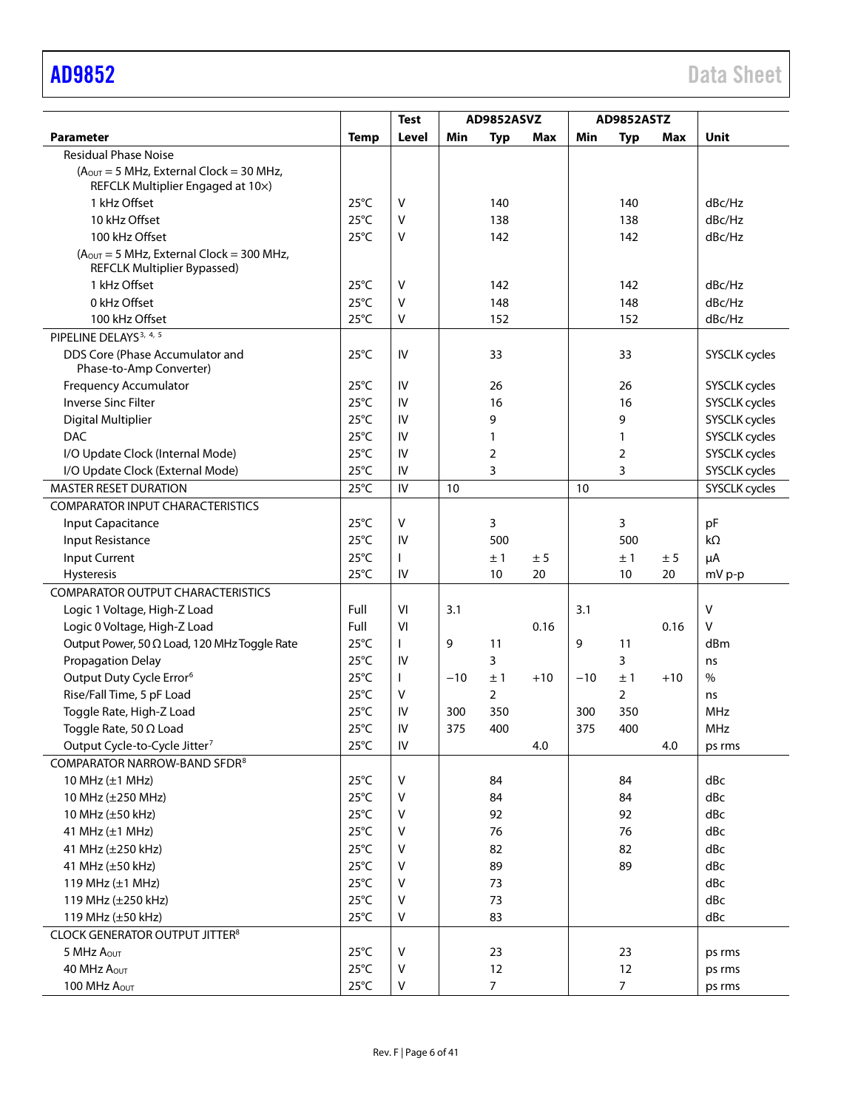|                                                                                  |                | <b>Test</b> | AD9852ASVZ |                |       |       | AD9852ASTZ     |         |                      |
|----------------------------------------------------------------------------------|----------------|-------------|------------|----------------|-------|-------|----------------|---------|----------------------|
| <b>Parameter</b>                                                                 | <b>Temp</b>    | Level       | Min        | <b>Typ</b>     | Max   | Min   | <b>Typ</b>     | Max     | Unit                 |
| <b>Residual Phase Noise</b>                                                      |                |             |            |                |       |       |                |         |                      |
| $(AOUT = 5 MHz, External Clock = 30 MHz,$<br>REFCLK Multiplier Engaged at 10x)   |                |             |            |                |       |       |                |         |                      |
| 1 kHz Offset                                                                     | $25^{\circ}$ C | $\vee$      |            | 140            |       |       | 140            |         | dBc/Hz               |
| 10 kHz Offset                                                                    | $25^{\circ}$ C | v           |            | 138            |       |       | 138            |         | dBc/Hz               |
| 100 kHz Offset                                                                   | $25^{\circ}$ C | v           |            | 142            |       |       | 142            |         | dBc/Hz               |
| $(AOUT = 5 MHz, External Clock = 300 MHz,$<br><b>REFCLK Multiplier Bypassed)</b> |                |             |            |                |       |       |                |         |                      |
| 1 kHz Offset                                                                     | $25^{\circ}$ C | v           |            | 142            |       |       | 142            |         | dBc/Hz               |
| 0 kHz Offset                                                                     | $25^{\circ}$ C | v           |            | 148            |       |       | 148            |         | dBc/Hz               |
| 100 kHz Offset                                                                   | $25^{\circ}$ C | v           |            | 152            |       |       | 152            |         | dBc/Hz               |
| PIPELINE DELAYS <sup>3, 4, 5</sup>                                               |                |             |            |                |       |       |                |         |                      |
| DDS Core (Phase Accumulator and<br>Phase-to-Amp Converter)                       | $25^{\circ}$ C | IV          |            | 33             |       |       | 33             |         | SYSCLK cycles        |
| <b>Frequency Accumulator</b>                                                     | $25^{\circ}$ C | IV          |            | 26             |       |       | 26             |         | SYSCLK cycles        |
| <b>Inverse Sinc Filter</b>                                                       | $25^{\circ}$ C | IV          |            | 16             |       |       | 16             |         | <b>SYSCLK cycles</b> |
| <b>Digital Multiplier</b>                                                        | $25^{\circ}$ C | IV          |            | 9              |       |       | 9              |         | SYSCLK cycles        |
| <b>DAC</b>                                                                       | $25^{\circ}$ C | IV          |            | 1              |       |       | $\mathbf{1}$   |         | SYSCLK cycles        |
| I/O Update Clock (Internal Mode)                                                 | $25^{\circ}$ C | IV          |            | 2              |       |       | 2              |         | <b>SYSCLK cycles</b> |
| I/O Update Clock (External Mode)                                                 | $25^{\circ}$ C | IV          |            | 3              |       |       | 3              |         | SYSCLK cycles        |
| <b>MASTER RESET DURATION</b>                                                     | $25^{\circ}$ C | IV          | 10         |                |       | 10    |                |         | SYSCLK cycles        |
| <b>COMPARATOR INPUT CHARACTERISTICS</b>                                          |                |             |            |                |       |       |                |         |                      |
| <b>Input Capacitance</b>                                                         | $25^{\circ}$ C | V           |            | 3              |       |       | 3              |         | pF                   |
| Input Resistance                                                                 | $25^{\circ}$ C | IV          |            | 500            |       |       | 500            |         | $k\Omega$            |
| <b>Input Current</b>                                                             | $25^{\circ}$ C |             |            | ±1             | ± 5   |       | ±1             | $\pm$ 5 | μA                   |
| Hysteresis                                                                       | $25^{\circ}$ C | IV          |            | 10             | 20    |       | 10             | 20      | mV p-p               |
| <b>COMPARATOR OUTPUT CHARACTERISTICS</b>                                         |                |             |            |                |       |       |                |         |                      |
| Logic 1 Voltage, High-Z Load                                                     | Full           | VI          | 3.1        |                |       | 3.1   |                |         | V                    |
| Logic 0 Voltage, High-Z Load                                                     | Full           | VI          |            |                | 0.16  |       |                | 0.16    | V                    |
| Output Power, 50 $\Omega$ Load, 120 MHz Toggle Rate                              | $25^{\circ}$ C |             | 9          | 11             |       | 9     | 11             |         | dBm                  |
| Propagation Delay                                                                | $25^{\circ}$ C | IV          |            | 3              |       |       | 3              |         | ns                   |
| Output Duty Cycle Error <sup>6</sup>                                             | $25^{\circ}$ C |             | $-10$      | ±1             | $+10$ | $-10$ | ±1             | $+10$   | $\frac{0}{0}$        |
| Rise/Fall Time, 5 pF Load                                                        | $25^{\circ}$ C | V           |            | $\overline{2}$ |       |       | $\overline{2}$ |         | ns                   |
| Toggle Rate, High-Z Load                                                         | $25^{\circ}$ C | IV          | 300        | 350            |       | 300   | 350            |         | <b>MHz</b>           |
| Toggle Rate, 50 $\Omega$ Load                                                    | $25^{\circ}$ C | IV          | 375        | 400            |       | 375   | 400            |         | MHz                  |
| Output Cycle-to-Cycle Jitter7                                                    | $25^{\circ}$ C | ${\sf IV}$  |            |                | 4.0   |       |                | 4.0     | ps rms               |
| COMPARATOR NARROW-BAND SFDR <sup>8</sup>                                         |                |             |            |                |       |       |                |         |                      |
| 10 MHz $(\pm 1$ MHz)                                                             | $25^{\circ}$ C | $\vee$      |            | 84             |       |       | 84             |         | dBc                  |
| 10 MHz (±250 MHz)                                                                | $25^{\circ}$ C | v           |            | 84             |       |       | 84             |         | dBc                  |
| 10 MHz (±50 kHz)                                                                 | $25^{\circ}$ C | v           |            | 92             |       |       | 92             |         | dBc                  |
| 41 MHz (±1 MHz)                                                                  | $25^{\circ}$ C | v           |            | 76             |       |       | 76             |         | dBc                  |
| 41 MHz (±250 kHz)                                                                | $25^{\circ}$ C | v           |            | 82             |       |       | 82             |         | dBc                  |
| 41 MHz (±50 kHz)                                                                 | $25^{\circ}$ C | v           |            | 89             |       |       | 89             |         | dBc                  |
| 119 MHz $(\pm 1$ MHz)                                                            | $25^{\circ}$ C | v           |            | 73             |       |       |                |         | dBc                  |
| 119 MHz (±250 kHz)                                                               | $25^{\circ}$ C | v           |            | 73             |       |       |                |         | dBc                  |
| 119 MHz (±50 kHz)                                                                | $25^{\circ}$ C | V           |            | 83             |       |       |                |         | dBc                  |
| <b>CLOCK GENERATOR OUTPUT JITTER<sup>8</sup></b>                                 |                |             |            |                |       |       |                |         |                      |
| 5 MHz AOUT                                                                       | $25^{\circ}$ C | v           |            | 23             |       |       | 23             |         | ps rms               |
| 40 MHz A <sub>OUT</sub>                                                          | $25^{\circ}$ C | ٧           |            | 12             |       |       | 12             |         | ps rms               |
| 100 MHz Aout                                                                     | $25^{\circ}$ C | V           |            | $\overline{7}$ |       |       | $\overline{7}$ |         | ps rms               |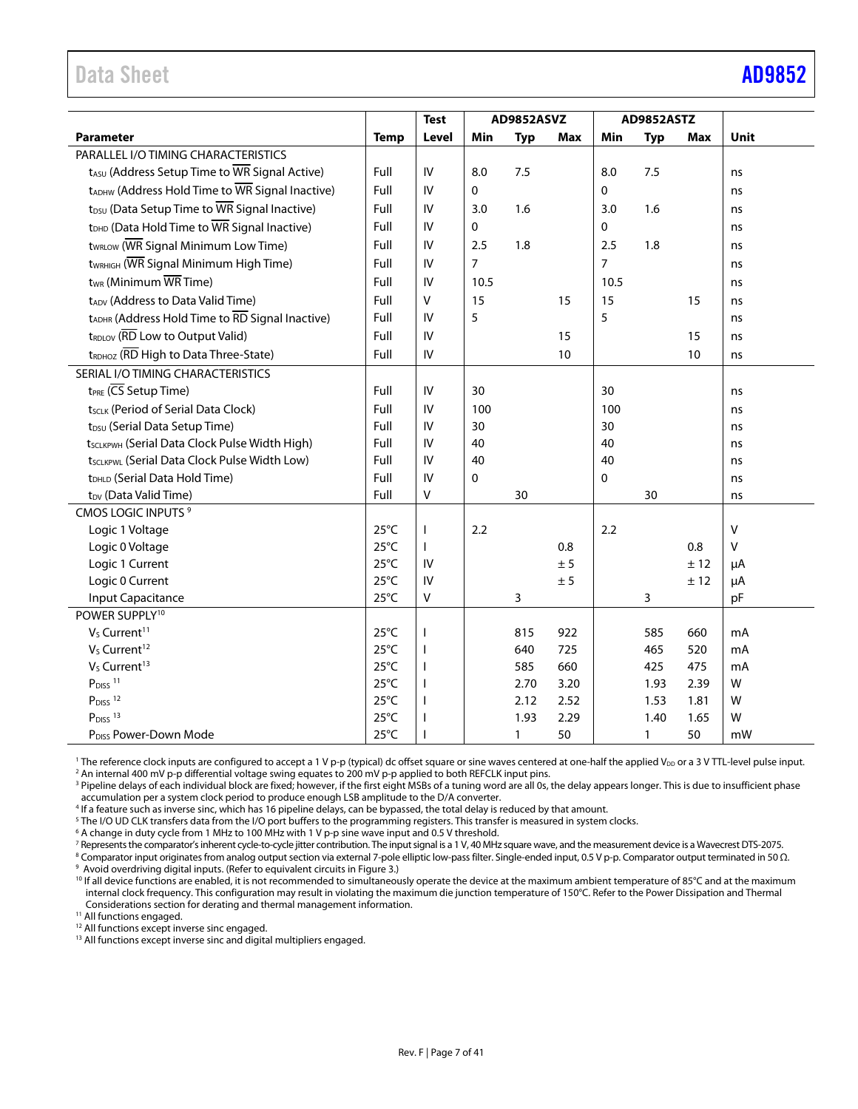# <span id="page-6-0"></span>Data Sheet **[AD9852](https://www.analog.com/AD9852?doc=AD9852.pdf)**

|                                                             |                                  | <b>Test</b>       | AD9852ASVZ     |              | <b>AD9852ASTZ</b> |                |              |              |              |
|-------------------------------------------------------------|----------------------------------|-------------------|----------------|--------------|-------------------|----------------|--------------|--------------|--------------|
| <b>Parameter</b>                                            | <b>Temp</b>                      | Level             | Min            | <b>Typ</b>   | Max               | Min            | <b>Typ</b>   | Max          | <b>Unit</b>  |
| PARALLEL I/O TIMING CHARACTERISTICS                         |                                  |                   |                |              |                   |                |              |              |              |
| t <sub>ASU</sub> (Address Setup Time to WR Signal Active)   | Full                             | IV                | 8.0            | 7.5          |                   | 8.0            | 7.5          |              | ns           |
| tADHW (Address Hold Time to WR Signal Inactive)             | Full                             | IV                | 0              |              |                   | $\Omega$       |              |              | ns           |
| t <sub>DSU</sub> (Data Setup Time to WR Signal Inactive)    | Full                             | IV                | 3.0            | 1.6          |                   | 3.0            | 1.6          |              | ns           |
| t <sub>DHD</sub> (Data Hold Time to WR Signal Inactive)     | Full                             | IV                | 0              |              |                   | $\mathbf 0$    |              |              | ns           |
| t <sub>WRLOW</sub> (WR Signal Minimum Low Time)             | Full                             | IV                | 2.5            | 1.8          |                   | 2.5            | 1.8          |              | ns           |
| t <sub>WRHIGH</sub> (WR Signal Minimum High Time)           | Full                             | IV                | $\overline{7}$ |              |                   | $\overline{7}$ |              |              | ns           |
| $t_{WR}$ (Minimum $\overline{WR}$ Time)                     | Full                             | IV                | 10.5           |              |                   | 10.5           |              |              | ns           |
| tADV (Address to Data Valid Time)                           | Full                             | $\mathsf{V}$      | 15             |              | 15                | 15             |              | 15           | ns           |
| tADHR (Address Hold Time to RD Signal Inactive)             | Full                             | IV                | 5              |              |                   | 5              |              |              | ns           |
| tRDLOV (RD Low to Output Valid)                             | Full                             | IV                |                |              | 15                |                |              | 15           | ns           |
| tRDHOZ (RD High to Data Three-State)                        | Full                             | IV                |                |              | 10                |                |              | 10           | ns           |
| SERIAL I/O TIMING CHARACTERISTICS                           |                                  |                   |                |              |                   |                |              |              |              |
| $t_{PRE}$ ( $\overline{CS}$ Setup Time)                     | Full                             | IV                | 30             |              |                   | 30             |              |              | ns           |
| tscLK (Period of Serial Data Clock)                         | Full                             | IV                | 100            |              |                   | 100            |              |              | ns           |
| t <sub>DSU</sub> (Serial Data Setup Time)                   | Full                             | IV                | 30             |              |                   | 30             |              |              | ns           |
| t <sub>SCLKPWH</sub> (Serial Data Clock Pulse Width High)   | Full                             | IV                | 40             |              |                   | 40             |              |              | ns           |
| tscLKPWL (Serial Data Clock Pulse Width Low)                | Full                             | IV                | 40             |              |                   | 40             |              |              | ns           |
| tDHLD (Serial Data Hold Time)                               | Full                             | IV                | 0              |              |                   | $\Omega$       |              |              | ns           |
| t <sub>DV</sub> (Data Valid Time)                           | Full                             | V                 |                | 30           |                   |                | 30           |              | ns           |
| <b>CMOS LOGIC INPUTS<sup>9</sup></b>                        |                                  |                   |                |              |                   |                |              |              |              |
| Logic 1 Voltage                                             | $25^{\circ}$ C                   | ı                 | 2.2            |              |                   | 2.2            |              |              | $\vee$       |
| Logic 0 Voltage                                             | $25^{\circ}$ C                   | $\mathbf{I}$      |                |              | 0.8               |                |              | 0.8          | $\mathsf{V}$ |
| Logic 1 Current                                             | $25^{\circ}$ C                   | IV                |                |              | ± 5               |                |              | ± 12         | μA           |
| Logic 0 Current                                             | $25^{\circ}$ C                   | IV                |                |              | $\pm$ 5           |                |              | ± 12         | μA           |
| Input Capacitance                                           | $25^{\circ}$ C                   | V                 |                | 3            |                   |                | 3            |              | pF           |
| POWER SUPPLY <sup>10</sup>                                  |                                  |                   |                |              |                   |                |              |              |              |
| V <sub>s</sub> Current <sup>11</sup>                        | $25^{\circ}$ C                   | ı                 |                | 815          | 922               |                | 585          | 660          | mA           |
| V <sub>S</sub> Current <sup>12</sup>                        | $25^{\circ}$ C                   | $\mathbf{I}$      |                | 640          | 725               |                | 465          | 520          | mA           |
| V <sub>s</sub> Current <sup>13</sup>                        | $25^{\circ}$ C                   | $\mathbf{I}$      |                | 585          | 660               |                | 425          | 475          | mA           |
| $P_{DISS}$ <sup>11</sup>                                    | $25^{\circ}$ C                   | $\mathbf{I}$      |                | 2.70         | 3.20              |                | 1.93         | 2.39         | W            |
| P <sub>DISS</sub> <sup>12</sup><br>$P_{DISS}$ <sup>13</sup> | $25^{\circ}$ C<br>$25^{\circ}$ C | $\mathbf{I}$<br>ı |                | 2.12<br>1.93 | 2.52<br>2.29      |                | 1.53<br>1.40 | 1.81<br>1.65 | W<br>W       |
| P <sub>DISS</sub> Power-Down Mode                           | $25^{\circ}$ C                   |                   |                |              | 50                |                |              | 50           | mW           |
|                                                             |                                  |                   |                | 1            |                   |                | $\mathbf{1}$ |              |              |

<sup>1</sup> The reference clock inputs are configured to accept a 1 V p-p (typical) dc offset square or sine waves centered at one-half the applied V<sub>DD</sub> or a 3 V TTL-level pulse input.<br><sup>2</sup> An internal 400 mV n-p differential vol

<sup>2</sup> An internal 400 mV p-p differential voltage swing equates to 200 mV p-p applied to both REFCLK input pins.<br><sup>3</sup> Pipeline delays of each individual block are fixed; however, if the first eight MSBs of a tuning word are a accumulation per a system clock period to produce enough LSB amplitude to the D/A converter.

4 If a feature such as inverse sinc, which has 16 pipeline delays, can be bypassed, the total delay is reduced by that amount.

 $^5$  The I/O UD CLK transfers data from the I/O port buffers to the programming registers. This transfer is measured in system clocks.<br>6 A change in duty cycle from 1 MHz to 100 MHz with 1 V n-n sine waye input and 0.5 V

<sup>6</sup> A change in duty cycle from 1 MHz to 100 MHz with 1 V p-p sine wave input and 0.5 V threshold.

7 Represents the comparator's inherent cycle-to-cycle jitter contribution. The input signal is a 1 V, 40 MHz square wave, and the measurement device is a Wavecrest DTS-2075.

<sup>8</sup> Comparator input originates from analog output section via external 7-pole elliptic low-pass filter. Single-ended input, 0.5 V p-p. Comparator output terminated in 50 Ω.<br><sup>9</sup> Avoid overdriving digital inputs. (Refer to

<sup>10</sup> If all device functions are enabled, it is not recommended to simultaneously operate the device at the maximum ambient temperature of 85°C and at the maximum internal clock frequency. This configuration may result in violating the maximum die junction temperature of 150°C. Refer to th[e Power Dissipation and Thermal](#page-37-0)  [Considerations s](#page-37-0)ection for derating and thermal management information. 11 All functions engaged.

<sup>12</sup> All functions except inverse sinc engaged.

<sup>13</sup> All functions except inverse sinc and digital multipliers engaged.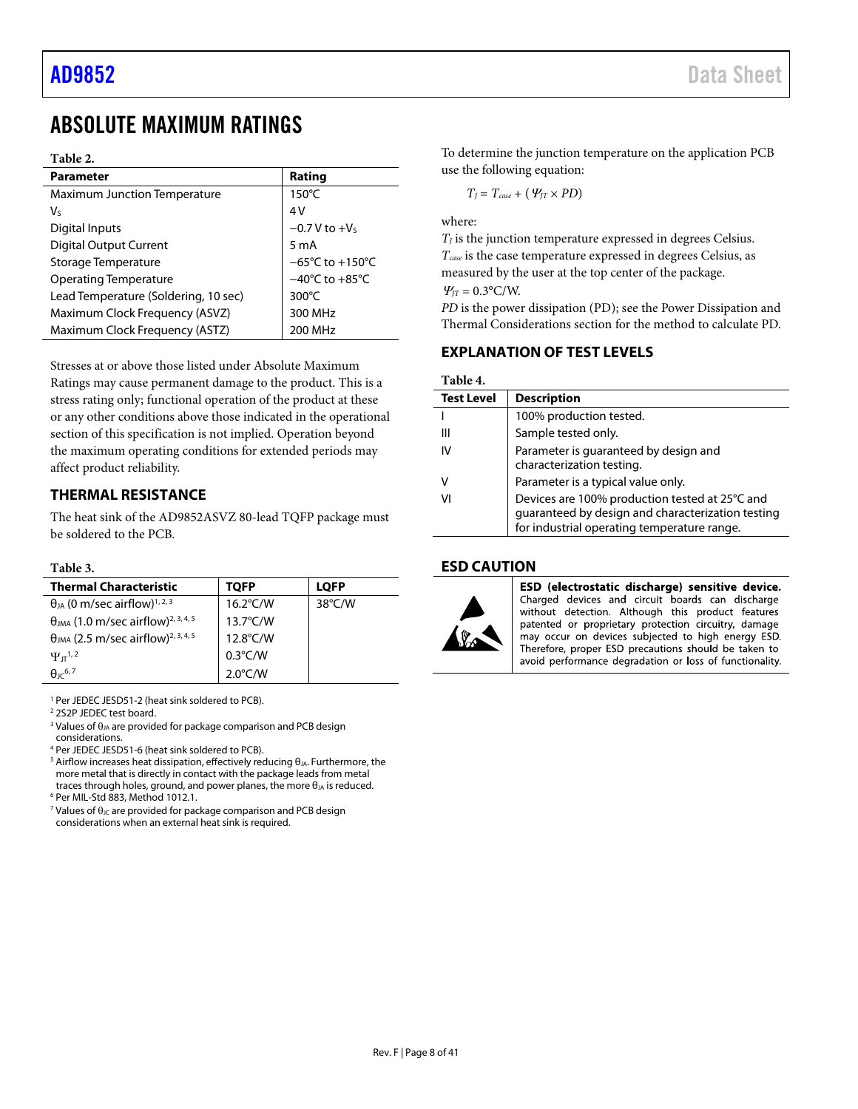# <span id="page-7-0"></span>ABSOLUTE MAXIMUM RATINGS

### **Table 2.**

| <b>Parameter</b>                     | Rating                               |
|--------------------------------------|--------------------------------------|
| <b>Maximum Junction Temperature</b>  | $150^{\circ}$ C                      |
| V٢                                   | 4V                                   |
| Digital Inputs                       | $-0.7$ V to $+VS$                    |
| <b>Digital Output Current</b>        | 5 m A                                |
| Storage Temperature                  | $-65^{\circ}$ C to +150 $^{\circ}$ C |
| <b>Operating Temperature</b>         | $-40^{\circ}$ C to $+85^{\circ}$ C   |
| Lead Temperature (Soldering, 10 sec) | 300 $\degree$ C                      |
| Maximum Clock Frequency (ASVZ)       | 300 MHz                              |
| Maximum Clock Frequency (ASTZ)       | 200 MHz                              |

Stresses at or above those listed under Absolute Maximum Ratings may cause permanent damage to the product. This is a stress rating only; functional operation of the product at these or any other conditions above those indicated in the operational section of this specification is not implied. Operation beyond the maximum operating conditions for extended periods may affect product reliability.

### <span id="page-7-1"></span>**THERMAL RESISTANCE**

The heat sink of the AD9852ASVZ 80-lead TQFP package must be soldered to the PCB.

### **Table 3.**

| <b>Thermal Characteristic</b>                                     | TOFP               | <b>LOFP</b>      |
|-------------------------------------------------------------------|--------------------|------------------|
| $\theta_{JA}$ (0 m/sec airflow) <sup>1, 2, 3</sup>                | $16.2^{\circ}$ C/W | $38^{\circ}$ C/W |
| $\theta_{JMA}$ (1.0 m/sec airflow) <sup>2, 3, 4, 5</sup>          | $13.7^{\circ}$ C/W |                  |
| $\theta$ <sub>JMA</sub> (2.5 m/sec airflow) <sup>2, 3, 4, 5</sup> | 12.8°C/W           |                  |
| $\Psi_{\pi}^{1,2}$                                                | $0.3^{\circ}$ C/W  |                  |
| A <sub>1</sub> 6, 7                                               | $2.0^{\circ}$ C/W  |                  |

<sup>1</sup> Per JEDEC JESD51-2 (heat sink soldered to PCB).

<sup>2</sup> 2S2P JEDEC test board.

<sup>3</sup> Values of  $\theta_{JA}$  are provided for package comparison and PCB design considerations.

<sup>4</sup> Per JEDEC JESD51-6 (heat sink soldered to PCB).

<sup>5</sup> Airflow increases heat dissipation, effectively reducing  $θ_{JA}$ . Furthermore, the more metal that is directly in contact with the package leads from metal traces through holes, ground, and power planes, the more  $\theta_{JA}$  is reduced. <sup>6</sup> Per MIL-Std 883, Method 1012.1.

<sup>7</sup> Values of  $\theta_{\text{JC}}$  are provided for package comparison and PCB design considerations when an external heat sink is required.

To determine the junction temperature on the application PCB use the following equation:

$$
T_J = T_{case} + (Psi_{JT} \times PD)
$$

where:

 $T_J$  is the junction temperature expressed in degrees Celsius. *Tcase* is the case temperature expressed in degrees Celsius, as measured by the user at the top center of the package.  $\Psi_{IT} = 0.3$ °C/W.

*PD* is the power dissipation (PD); see the [Power Dissipation and](#page-37-0)  [Thermal Considerations](#page-37-0) section for the method to calculate PD.

### <span id="page-7-2"></span>**EXPLANATION OF TEST LEVELS**

### **Table 4.**

| <b>Test Level</b> | <b>Description</b>                                                                                                                                 |
|-------------------|----------------------------------------------------------------------------------------------------------------------------------------------------|
|                   | 100% production tested.                                                                                                                            |
| Ш                 | Sample tested only.                                                                                                                                |
| IV                | Parameter is guaranteed by design and<br>characterization testing.                                                                                 |
| V                 | Parameter is a typical value only.                                                                                                                 |
| VI                | Devices are 100% production tested at 25°C and<br>guaranteed by design and characterization testing<br>for industrial operating temperature range. |

### <span id="page-7-3"></span>**ESD CAUTION**



ESD (electrostatic discharge) sensitive device. Charged devices and circuit boards can discharge<br>without detection. Although this product features patented or proprietary protection circuitry, damage may occur on devices subjected to high energy ESD. Therefore, proper ESD precautions should be taken to avoid performance degradation or loss of functionality.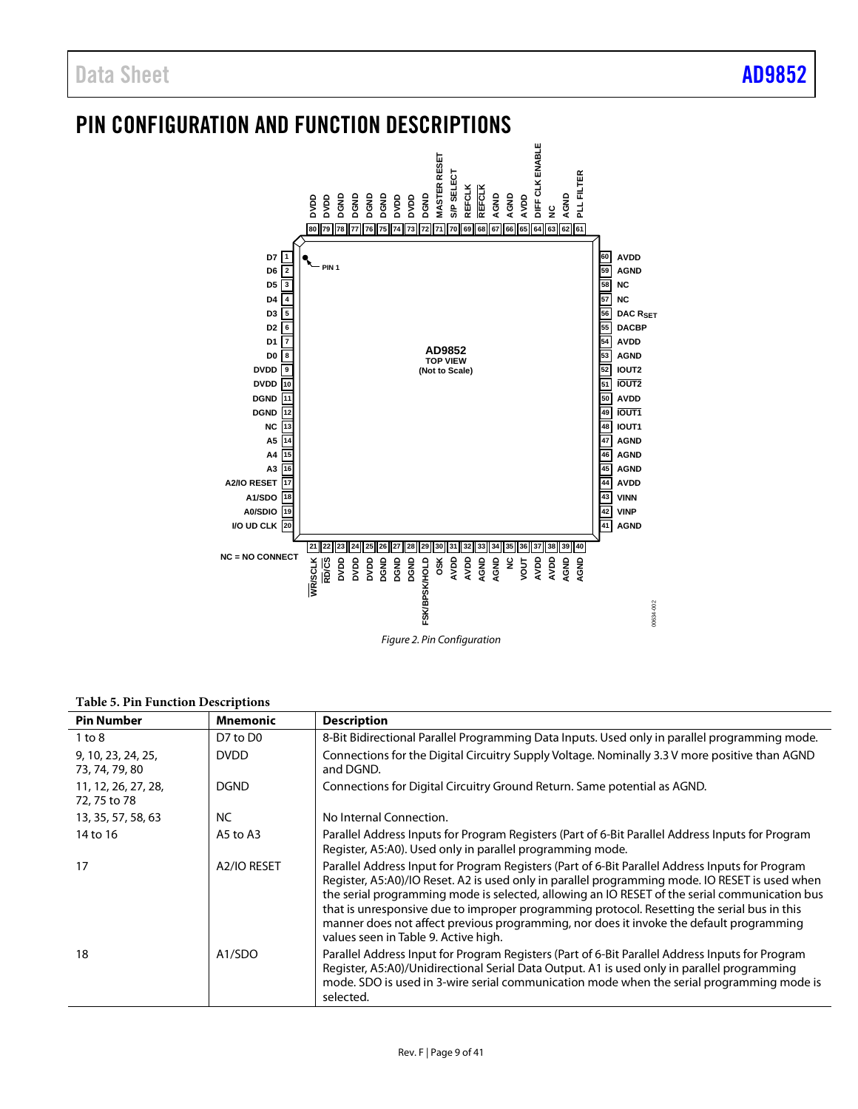# <span id="page-8-0"></span>PIN CONFIGURATION AND FUNCTION DESCRIPTIONS



### **Table 5. Pin Function Descriptions**

| <b>Pin Number</b>                    | <b>Mnemonic</b>                 | <b>Description</b>                                                                                                                                                                                                                                                                                                                                                                                                                                                                                                                   |
|--------------------------------------|---------------------------------|--------------------------------------------------------------------------------------------------------------------------------------------------------------------------------------------------------------------------------------------------------------------------------------------------------------------------------------------------------------------------------------------------------------------------------------------------------------------------------------------------------------------------------------|
| $1$ to $8$                           | D7 to D0                        | 8-Bit Bidirectional Parallel Programming Data Inputs. Used only in parallel programming mode.                                                                                                                                                                                                                                                                                                                                                                                                                                        |
| 9, 10, 23, 24, 25,<br>73, 74, 79, 80 | <b>DVDD</b>                     | Connections for the Digital Circuitry Supply Voltage. Nominally 3.3 V more positive than AGND<br>and DGND.                                                                                                                                                                                                                                                                                                                                                                                                                           |
| 11, 12, 26, 27, 28,<br>72, 75 to 78  | <b>DGND</b>                     | Connections for Digital Circuitry Ground Return. Same potential as AGND.                                                                                                                                                                                                                                                                                                                                                                                                                                                             |
| 13, 35, 57, 58, 63                   | <b>NC</b>                       | No Internal Connection.                                                                                                                                                                                                                                                                                                                                                                                                                                                                                                              |
| 14 to 16                             | A5 to A3                        | Parallel Address Inputs for Program Registers (Part of 6-Bit Parallel Address Inputs for Program<br>Register, A5:A0). Used only in parallel programming mode.                                                                                                                                                                                                                                                                                                                                                                        |
| 17                                   | A <sub>2</sub> /IO RESET        | Parallel Address Input for Program Registers (Part of 6-Bit Parallel Address Inputs for Program<br>Register, A5:A0)/IO Reset. A2 is used only in parallel programming mode. IO RESET is used when<br>the serial programming mode is selected, allowing an IO RESET of the serial communication bus<br>that is unresponsive due to improper programming protocol. Resetting the serial bus in this<br>manner does not affect previous programming, nor does it invoke the default programming<br>values seen in Table 9. Active high. |
| 18                                   | A <sub>1</sub> /S <sub>DO</sub> | Parallel Address Input for Program Registers (Part of 6-Bit Parallel Address Inputs for Program<br>Register, A5:A0)/Unidirectional Serial Data Output. A1 is used only in parallel programming<br>mode. SDO is used in 3-wire serial communication mode when the serial programming mode is<br>selected.                                                                                                                                                                                                                             |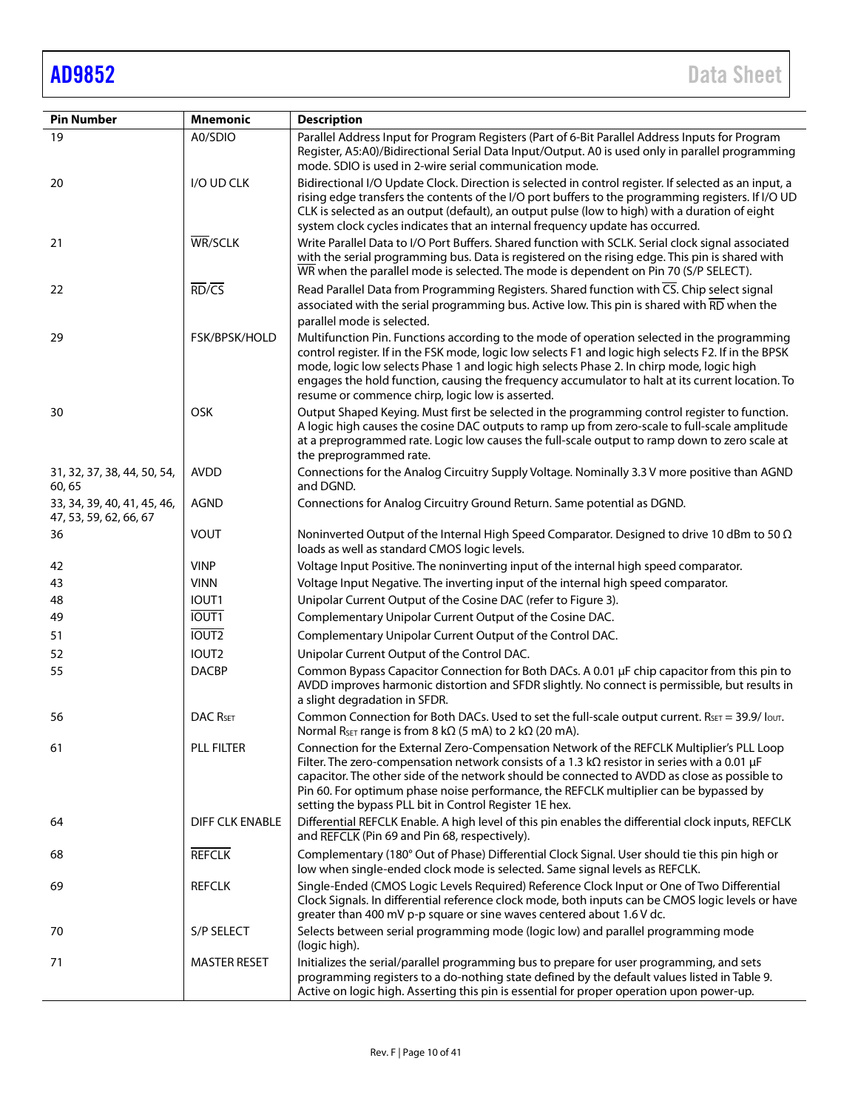| <b>Pin Number</b>                                     | <b>Mnemonic</b>               | <b>Description</b>                                                                                                                                                                                                                                                                                                                                                                                                                                                                     |  |  |  |  |
|-------------------------------------------------------|-------------------------------|----------------------------------------------------------------------------------------------------------------------------------------------------------------------------------------------------------------------------------------------------------------------------------------------------------------------------------------------------------------------------------------------------------------------------------------------------------------------------------------|--|--|--|--|
| 19                                                    | A0/SDIO                       | Parallel Address Input for Program Registers (Part of 6-Bit Parallel Address Inputs for Program<br>Register, A5:A0)/Bidirectional Serial Data Input/Output. A0 is used only in parallel programming                                                                                                                                                                                                                                                                                    |  |  |  |  |
| 20                                                    | I/O UD CLK                    | mode. SDIO is used in 2-wire serial communication mode.<br>Bidirectional I/O Update Clock. Direction is selected in control register. If selected as an input, a<br>rising edge transfers the contents of the I/O port buffers to the programming registers. If I/O UD<br>CLK is selected as an output (default), an output pulse (low to high) with a duration of eight<br>system clock cycles indicates that an internal frequency update has occurred.                              |  |  |  |  |
| 21                                                    | WR/SCLK                       | Write Parallel Data to I/O Port Buffers. Shared function with SCLK. Serial clock signal associated<br>with the serial programming bus. Data is registered on the rising edge. This pin is shared with<br>WR when the parallel mode is selected. The mode is dependent on Pin 70 (S/P SELECT).                                                                                                                                                                                          |  |  |  |  |
| 22                                                    | $\overline{RD}/\overline{CS}$ | Read Parallel Data from Programming Registers. Shared function with CS. Chip select signal<br>associated with the serial programming bus. Active low. This pin is shared with RD when the                                                                                                                                                                                                                                                                                              |  |  |  |  |
| 29                                                    | FSK/BPSK/HOLD                 | parallel mode is selected.<br>Multifunction Pin. Functions according to the mode of operation selected in the programming<br>control register. If in the FSK mode, logic low selects F1 and logic high selects F2. If in the BPSK<br>mode, logic low selects Phase 1 and logic high selects Phase 2. In chirp mode, logic high<br>engages the hold function, causing the frequency accumulator to halt at its current location. To<br>resume or commence chirp, logic low is asserted. |  |  |  |  |
| 30                                                    | OSK                           | Output Shaped Keying. Must first be selected in the programming control register to function.<br>A logic high causes the cosine DAC outputs to ramp up from zero-scale to full-scale amplitude<br>at a preprogrammed rate. Logic low causes the full-scale output to ramp down to zero scale at<br>the preprogrammed rate.                                                                                                                                                             |  |  |  |  |
| 31, 32, 37, 38, 44, 50, 54,<br>60,65                  | <b>AVDD</b>                   | Connections for the Analog Circuitry Supply Voltage. Nominally 3.3 V more positive than AGND<br>and DGND.                                                                                                                                                                                                                                                                                                                                                                              |  |  |  |  |
| 33, 34, 39, 40, 41, 45, 46,<br>47, 53, 59, 62, 66, 67 | <b>AGND</b>                   | Connections for Analog Circuitry Ground Return. Same potential as DGND.                                                                                                                                                                                                                                                                                                                                                                                                                |  |  |  |  |
| 36                                                    | <b>VOUT</b>                   | Noninverted Output of the Internal High Speed Comparator. Designed to drive 10 dBm to 50 $\Omega$<br>loads as well as standard CMOS logic levels.                                                                                                                                                                                                                                                                                                                                      |  |  |  |  |
| 42                                                    | <b>VINP</b>                   | Voltage Input Positive. The noninverting input of the internal high speed comparator.                                                                                                                                                                                                                                                                                                                                                                                                  |  |  |  |  |
| 43                                                    | <b>VINN</b>                   | Voltage Input Negative. The inverting input of the internal high speed comparator.                                                                                                                                                                                                                                                                                                                                                                                                     |  |  |  |  |
| 48                                                    | IOUT <sub>1</sub>             | Unipolar Current Output of the Cosine DAC (refer to Figure 3).                                                                                                                                                                                                                                                                                                                                                                                                                         |  |  |  |  |
| 49                                                    | IOUT1                         | Complementary Unipolar Current Output of the Cosine DAC.                                                                                                                                                                                                                                                                                                                                                                                                                               |  |  |  |  |
| 51                                                    | <b>IOUT2</b>                  | Complementary Unipolar Current Output of the Control DAC.                                                                                                                                                                                                                                                                                                                                                                                                                              |  |  |  |  |
| 52                                                    | IOUT2                         | Unipolar Current Output of the Control DAC.                                                                                                                                                                                                                                                                                                                                                                                                                                            |  |  |  |  |
| 55                                                    | <b>DACBP</b>                  | Common Bypass Capacitor Connection for Both DACs. A 0.01 µF chip capacitor from this pin to<br>AVDD improves harmonic distortion and SFDR slightly. No connect is permissible, but results in<br>a slight degradation in SFDR.                                                                                                                                                                                                                                                         |  |  |  |  |
| 56                                                    | <b>DAC RSET</b>               | Common Connection for Both DACs. Used to set the full-scale output current. $R_{\text{SET}} = 39.9/$ lout.<br>Normal R <sub>SET</sub> range is from 8 k $\Omega$ (5 mA) to 2 k $\Omega$ (20 mA).                                                                                                                                                                                                                                                                                       |  |  |  |  |
| 61                                                    | <b>PLL FILTER</b>             | Connection for the External Zero-Compensation Network of the REFCLK Multiplier's PLL Loop<br>Filter. The zero-compensation network consists of a 1.3 k $\Omega$ resistor in series with a 0.01 µF<br>capacitor. The other side of the network should be connected to AVDD as close as possible to<br>Pin 60. For optimum phase noise performance, the REFCLK multiplier can be bypassed by<br>setting the bypass PLL bit in Control Register 1E hex.                                   |  |  |  |  |
| 64                                                    | <b>DIFF CLK ENABLE</b>        | Differential REFCLK Enable. A high level of this pin enables the differential clock inputs, REFCLK<br>and REFCLK (Pin 69 and Pin 68, respectively).                                                                                                                                                                                                                                                                                                                                    |  |  |  |  |
| 68                                                    | <b>REFCLK</b>                 | Complementary (180° Out of Phase) Differential Clock Signal. User should tie this pin high or<br>low when single-ended clock mode is selected. Same signal levels as REFCLK.                                                                                                                                                                                                                                                                                                           |  |  |  |  |
| 69                                                    | <b>REFCLK</b>                 | Single-Ended (CMOS Logic Levels Required) Reference Clock Input or One of Two Differential<br>Clock Signals. In differential reference clock mode, both inputs can be CMOS logic levels or have<br>greater than 400 mV p-p square or sine waves centered about 1.6 V dc.                                                                                                                                                                                                               |  |  |  |  |
| 70                                                    | S/P SELECT                    | Selects between serial programming mode (logic low) and parallel programming mode<br>(logic high).                                                                                                                                                                                                                                                                                                                                                                                     |  |  |  |  |
| 71                                                    | <b>MASTER RESET</b>           | Initializes the serial/parallel programming bus to prepare for user programming, and sets<br>programming registers to a do-nothing state defined by the default values listed in Table 9.<br>Active on logic high. Asserting this pin is essential for proper operation upon power-up.                                                                                                                                                                                                 |  |  |  |  |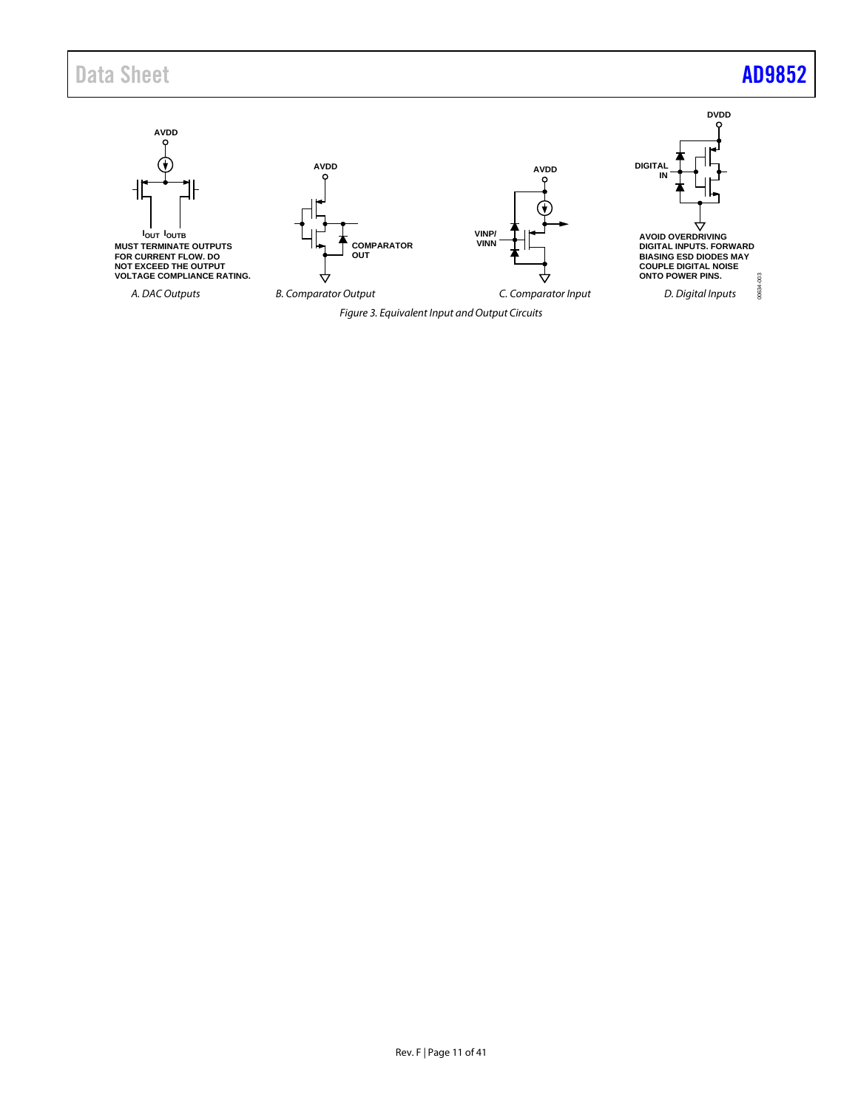# Data Sheet **[AD9852](https://www.analog.com/AD9852?doc=AD9852.pdf)**

<span id="page-10-0"></span>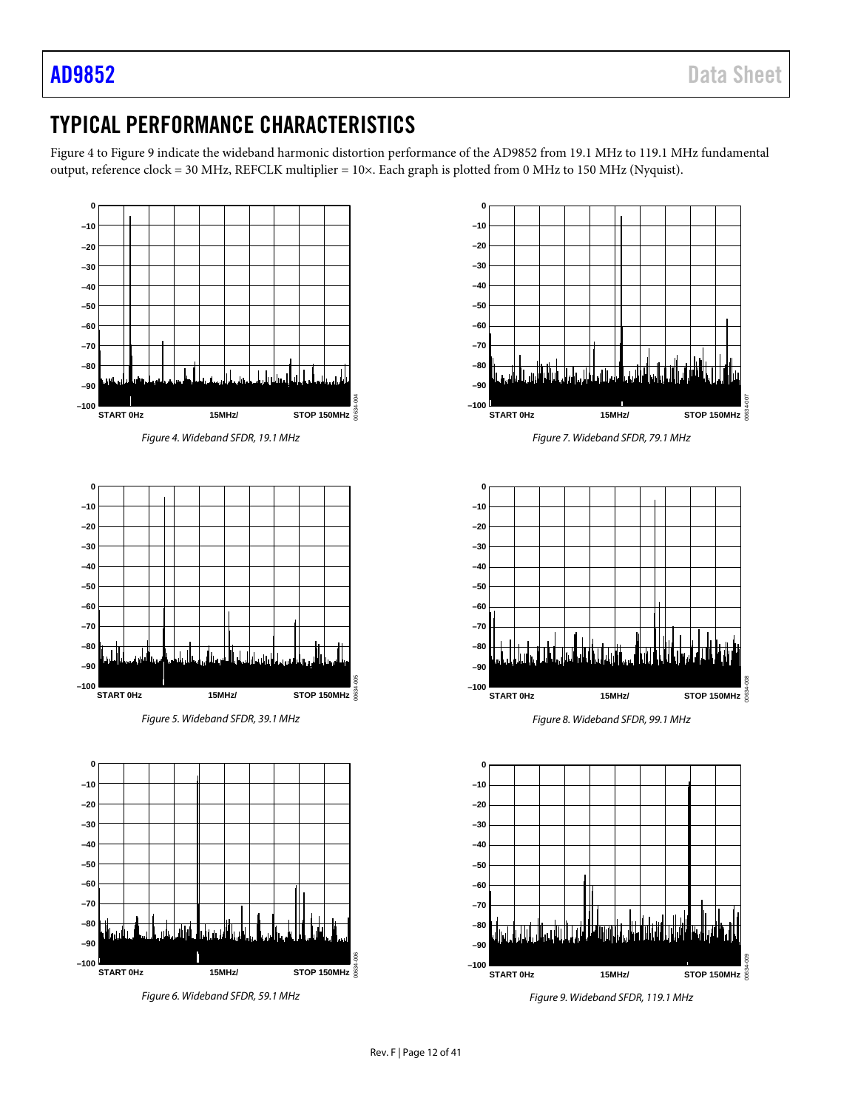00634-007

00634-008

<span id="page-11-2"></span>00634-009

# <span id="page-11-0"></span>TYPICAL PERFORMANCE CHARACTERISTICS

[Figure 4](#page-11-1) to [Figure 9](#page-11-2) indicate the wideband harmonic distortion performance of the AD9852 from 19.1 MHz to 119.1 MHz fundamental output, reference clock = 30 MHz, REFCLK multiplier = 10×. Each graph is plotted from 0 MHz to 150 MHz (Nyquist).

<span id="page-11-1"></span>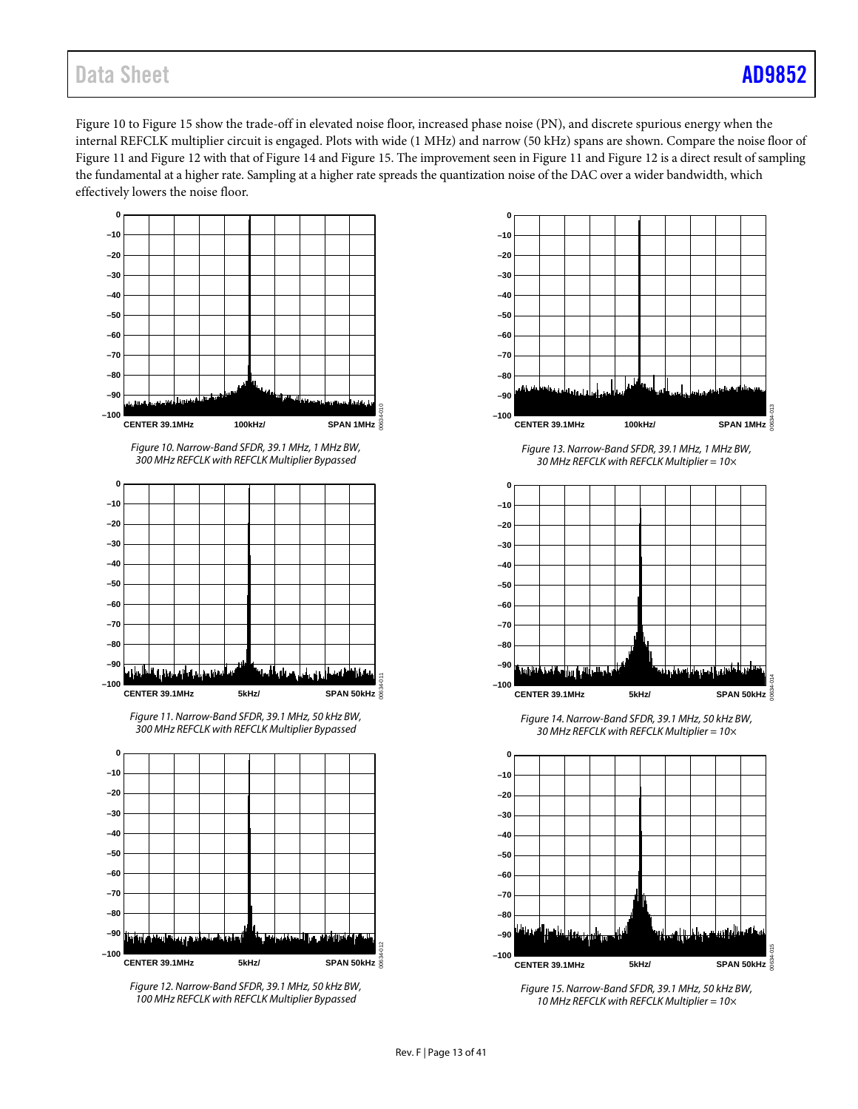# Data Sheet **[AD9852](https://www.analog.com/AD9852?doc=AD9852.pdf)**

[Figure 10](#page-12-0) to [Figure 15](#page-12-1) show the trade-off in elevated noise floor, increased phase noise (PN), and discrete spurious energy when the internal REFCLK multiplier circuit is engaged. Plots with wide (1 MHz) and narrow (50 kHz) spans are shown. Compare the noise floor of [Figure 11](#page-12-2) an[d Figure 12](#page-12-3) with that of [Figure](#page-12-4) 14 an[d Figure 15.](#page-12-1) The improvement seen i[n Figure 11](#page-12-2) and [Figure 12](#page-12-3) is a direct result of sampling the fundamental at a higher rate. Sampling at a higher rate spreads the quantization noise of the DAC over a wider bandwidth, which effectively lowers the noise floor.

<span id="page-12-0"></span>

<span id="page-12-2"></span>

<span id="page-12-3"></span>*Figure 12. Narrow-Band SFDR, 39.1 MHz, 50 kHz BW, 100 MHz REFCLK with REFCLK Multiplier Bypassed*



*Figure 13. Narrow-Band SFDR, 39.1 MHz, 1 MHz BW, 30 MHz REFCLK with REFCLK Multiplier = 10×*



*Figure 14. Narrow-Band SFDR, 39.1 MHz, 50 kHz BW, 30 MHz REFCLK with REFCLK Multiplier = 10×*

<span id="page-12-4"></span>

<span id="page-12-1"></span>*Figure 15. Narrow-Band SFDR, 39.1 MHz, 50 kHz BW, 10 MHz REFCLK with REFCLK Multiplier = 10×*

00634-012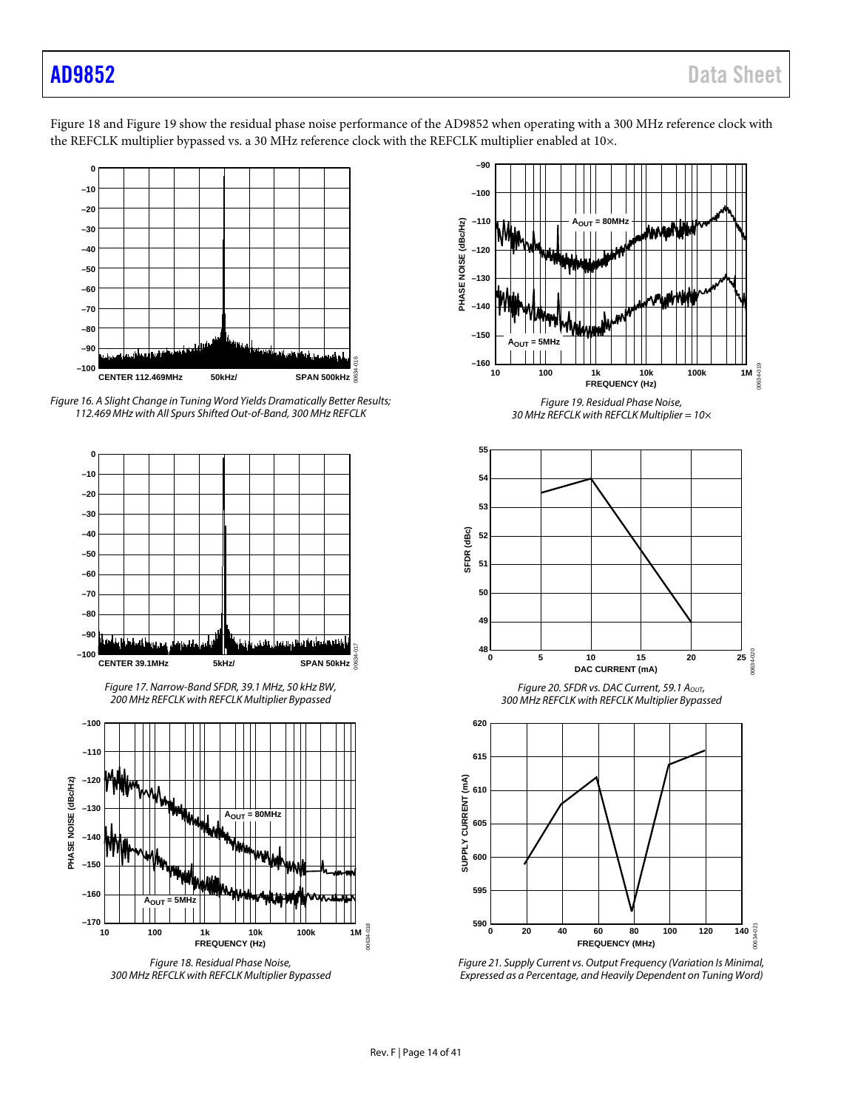[Figure 18](#page-13-0) an[d Figure 19](#page-13-1) show the residual phase noise performance of the AD9852 when operating with a 300 MHz reference clock with the REFCLK multiplier bypassed vs. a 30 MHz reference clock with the REFCLK multiplier enabled at 10x.











<span id="page-13-0"></span>*Figure 18. Residual Phase Noise, 300 MHz REFCLK with REFCLK Multiplier Bypassed*



*Figure 19. Residual Phase Noise, 30 MHz REFCLK with REFCLK Multiplier = 10×*

<span id="page-13-1"></span>

*Figure 20. SFDR vs. DAC Current, 59.1 AOUT, 300 MHz REFCLK with REFCLK Multiplier Bypassed*



*Figure 21. Supply Current vs. Output Frequency (Variation Is Minimal, Expressed as a Percentage, and Heavily Dependent on Tuning Word)*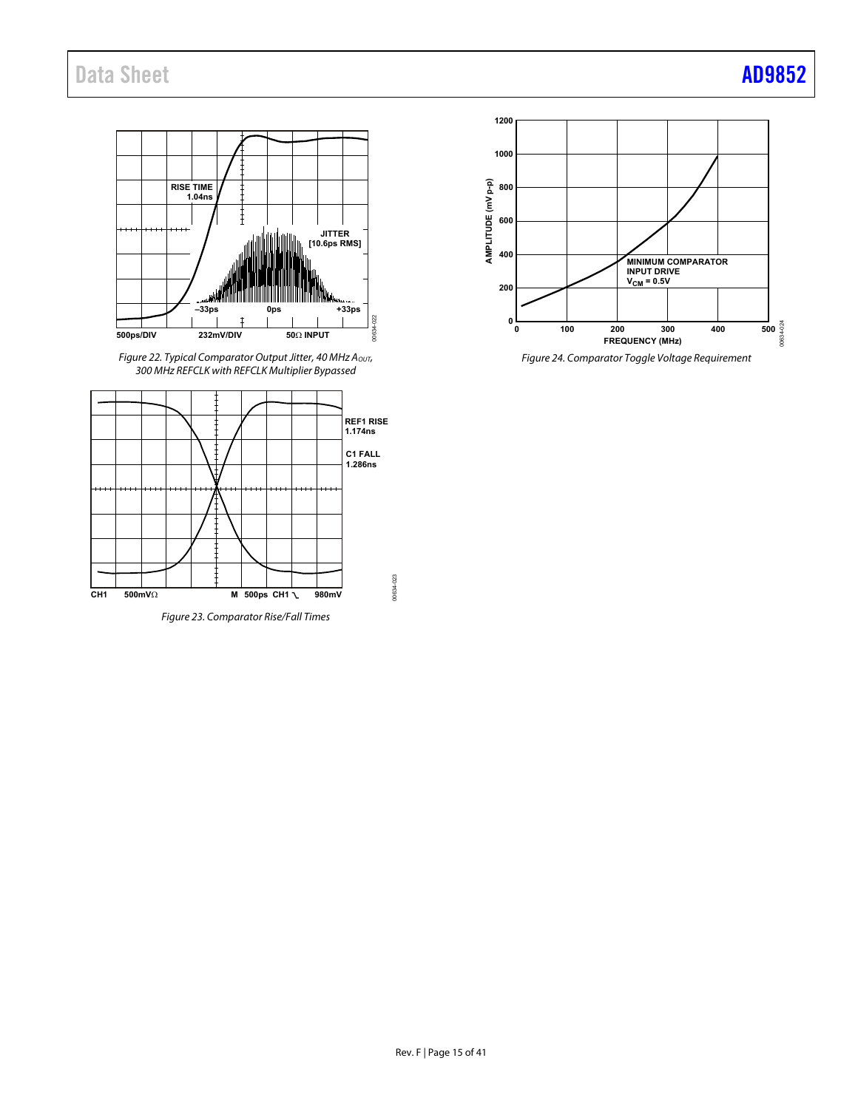

Figure 22. Typical Comparator Output Jitter, 40 MHz A $_{\rm{OUT}}$ , 300 MHz REFCLK with REFCLK Multiplier Bypassed



Figure 23. Comparator Rise/Fall Times



Figure 24. Comparator Toggle Voltage Requirement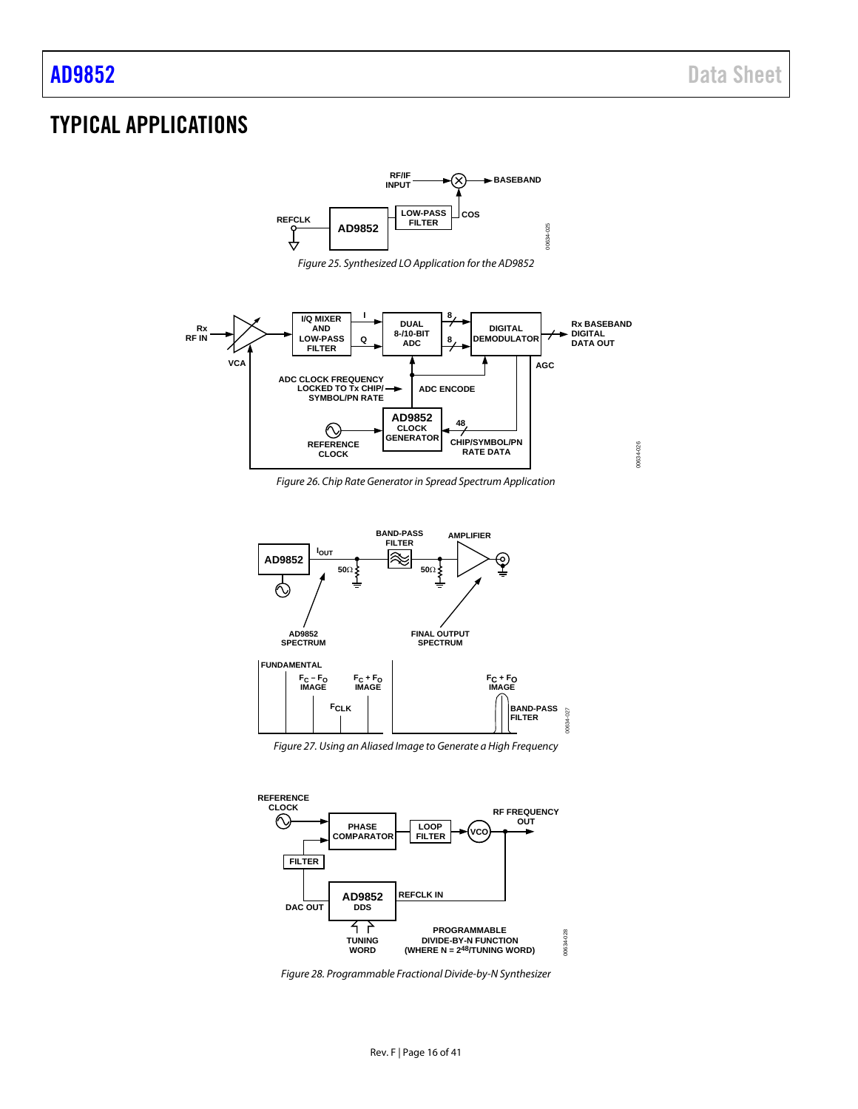# <span id="page-15-0"></span>TYPICAL APPLICATIONS







*Figure 26. Chip Rate Generator in Spread Spectrum Application*



*Figure 27. Using an Aliased Image to Generate a High Frequency*



*Figure 28. Programmable Fractional Divide-by-N Synthesizer*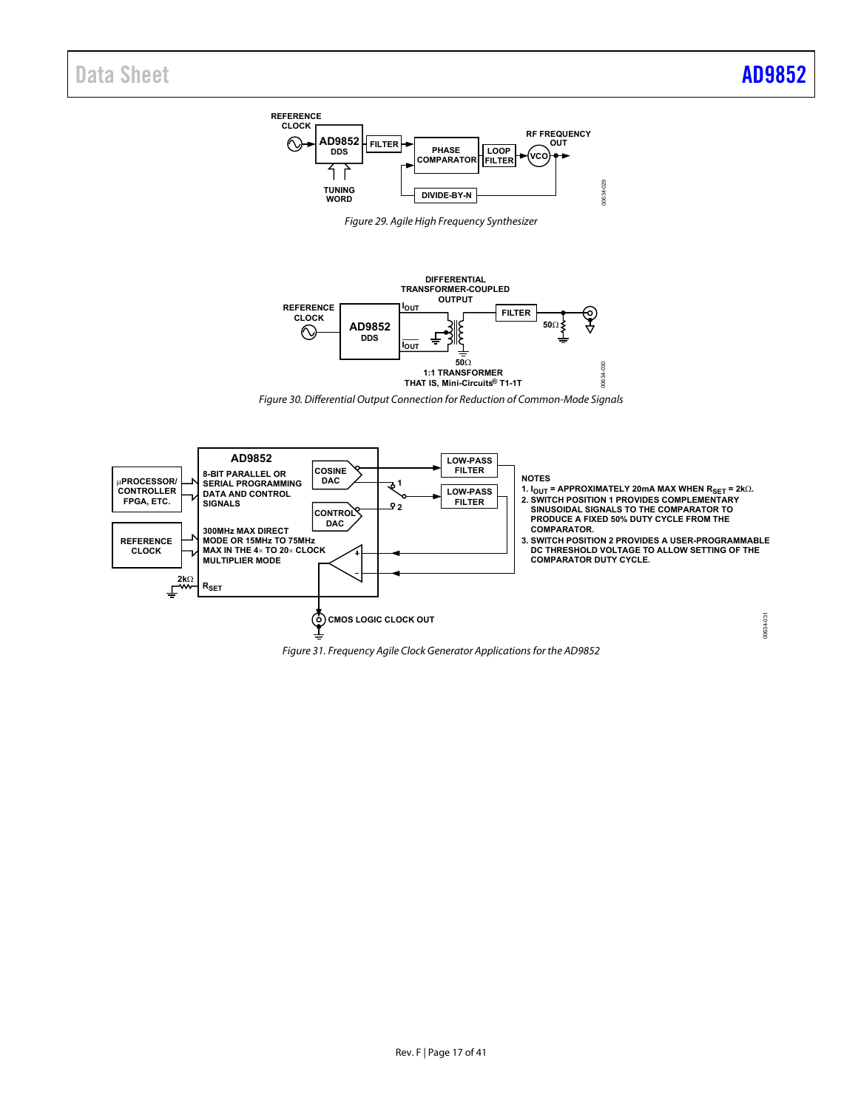

Figure 29. Agile High Frequency Synthesizer



Figure 30. Differential Output Connection for Reduction of Common-Mode Signals



Figure 31. Frequency Agile Clock Generator Applications for the AD9852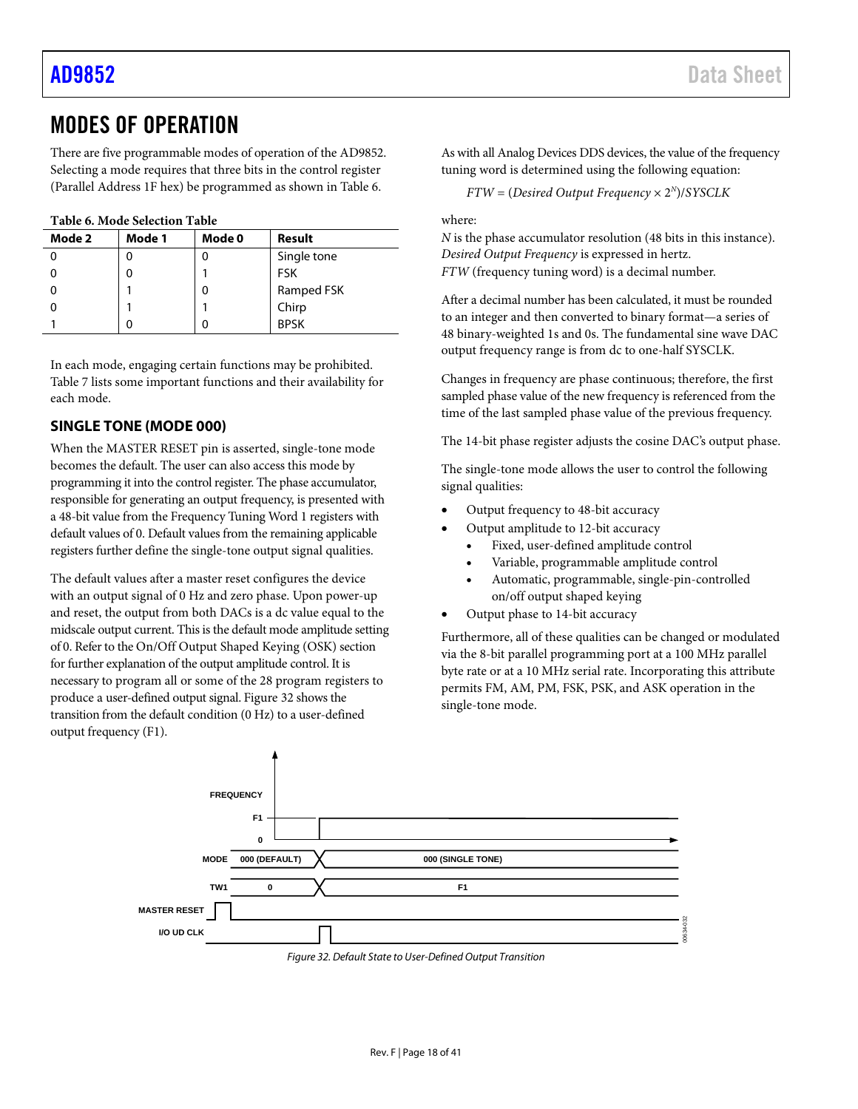# <span id="page-17-0"></span>MODES OF OPERATION

There are five programmable modes of operation of the AD9852. Selecting a mode requires that three bits in the control register (Parallel Address 1F hex) be programmed as shown in [Table 6.](#page-17-2)

<span id="page-17-2"></span>**Table 6. Mode Selection Table**

| Mode 2 | Mode 1 | Mode 0 | Result      |  |  |  |
|--------|--------|--------|-------------|--|--|--|
|        |        |        | Single tone |  |  |  |
|        |        |        | <b>FSK</b>  |  |  |  |
|        |        | 0      | Ramped FSK  |  |  |  |
|        |        |        | Chirp       |  |  |  |
|        |        |        | <b>BPSK</b> |  |  |  |

In each mode, engaging certain functions may be prohibited. [Table 7](#page-18-2) lists some important functions and their availability for each mode.

### <span id="page-17-1"></span>**SINGLE TONE (MODE 000)**

When the MASTER RESET pin is asserted, single-tone mode becomes the default. The user can also access this mode by programming it into the control register. The phase accumulator, responsible for generating an output frequency, is presented with a 48-bit value from the Frequency Tuning Word 1 registers with default values of 0. Default values from the remaining applicable registers further define the single-tone output signal qualities.

The default values after a master reset configures the device with an output signal of 0 Hz and zero phase. Upon power-up and reset, the output from both DACs is a dc value equal to the midscale output current. This is the default mode amplitude setting of 0. Refer to th[e On/Off Output Shaped Keying \(OSK\)](#page-26-2) section for further explanation of the output amplitude control. It is necessary to program all or some of the 28 program registers to produce a user-defined output signal[. Figure 32](#page-17-3) shows the transition from the default condition (0 Hz) to a user-defined output frequency (F1).

As with all Analog Devices DDS devices, the value of the frequency tuning word is determined using the following equation:

*FTW* = (*Desired Output Frequency* × 2*<sup>N</sup>*)/*SYSCLK*

where:

*N* is the phase accumulator resolution (48 bits in this instance). *Desired Output Frequency* is expressed in hertz. *FTW* (frequency tuning word) is a decimal number.

After a decimal number has been calculated, it must be rounded to an integer and then converted to binary format—a series of 48 binary-weighted 1s and 0s. The fundamental sine wave DAC output frequency range is from dc to one-half SYSCLK.

Changes in frequency are phase continuous; therefore, the first sampled phase value of the new frequency is referenced from the time of the last sampled phase value of the previous frequency.

The 14-bit phase register adjusts the cosine DAC's output phase.

The single-tone mode allows the user to control the following signal qualities:

- Output frequency to 48-bit accuracy
- Output amplitude to 12-bit accuracy
	- Fixed, user-defined amplitude control
	- Variable, programmable amplitude control
	- Automatic, programmable, single-pin-controlled on/off output shaped keying
- Output phase to 14-bit accuracy

Furthermore, all of these qualities can be changed or modulated via the 8-bit parallel programming port at a 100 MHz parallel byte rate or at a 10 MHz serial rate. Incorporating this attribute permits FM, AM, PM, FSK, PSK, and ASK operation in the single-tone mode.

<span id="page-17-3"></span>

*Figure 32. Default State to User-Defined Output Transition*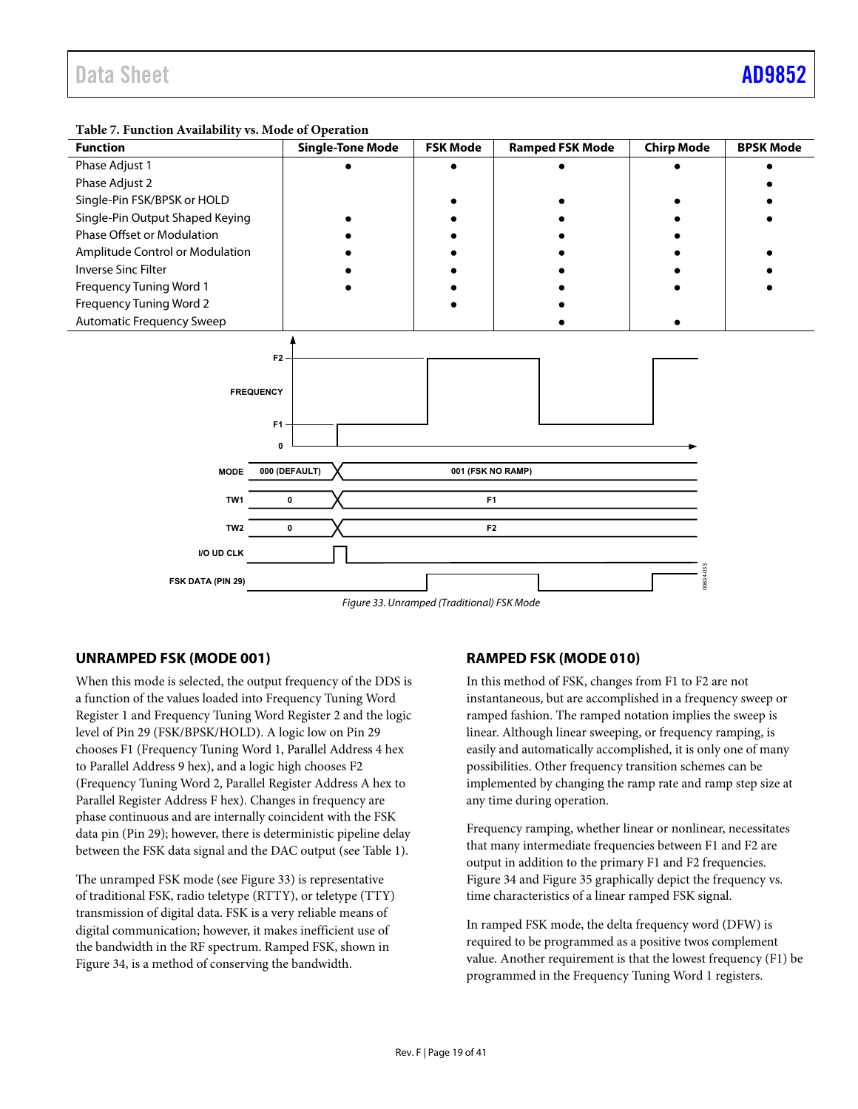<span id="page-18-0"></span>

<span id="page-18-2"></span>**Table 7. Function Availability vs. Mode of Operation** 

<span id="page-18-1"></span>Figure 33. Unramped (Traditional) FSK Mode

### **UNRAMPED FSK (MODE 001)**

When this mode is selected, the output frequency of the DDS is a function of the values loaded into Frequency Tuning Word Register 1 and Frequency Tuning Word Register 2 and the logic level of Pin 29 (FSK/BPSK/HOLD). A logic low on Pin 29 chooses F1 (Frequency Tuning Word 1, Parallel Address 4 hex to Parallel Address 9 hex), and a logic high chooses F2 (Frequency Tuning Word 2, Parallel Register Address A hex to Parallel Register Address F hex). Changes in frequency are phase continuous and are internally coincident with the FSK data pin (Pin 29); however, there is deterministic pipeline delay between the FSK data signal and the DAC output (see [Table 1\)](#page-4-1).

The unramped FSK mode (see Figure 33) is representative of traditional FSK, radio teletype (RTTY), or teletype (TTY) transmission of digital data. FSK is a very reliable means of digital communication; however, it makes inefficient use of the bandwidth in the RF spectrum. Ramped FSK, shown in [Figure 34,](#page-19-0) is a method of conserving the bandwidth.

### **RAMPED FSK (MODE 010)**

In this method of FSK, changes from F1 to F2 are not instantaneous, but are accomplished in a frequency sweep or ramped fashion. The ramped notation implies the sweep is linear. Although linear sweeping, or frequency ramping, is easily and automatically accomplished, it is only one of many possibilities. Other frequency transition schemes can be implemented by changing the ramp rate and ramp step size at any time during operation.

Frequency ramping, whether linear or nonlinear, necessitates that many intermediate frequencies between F1 and F2 are output in addition to the primary F1 and F2 frequencies. [Figure 34 a](#page-19-0)nd [Figure 35 g](#page-19-1)raphically depict the frequency vs. time characteristics of a linear ramped FSK signal.

In ramped FSK mode, the delta frequency word (DFW) is required to be programmed as a positive twos complement value. Another requirement is that the lowest frequency (F1) be programmed in the Frequency Tuning Word 1 registers.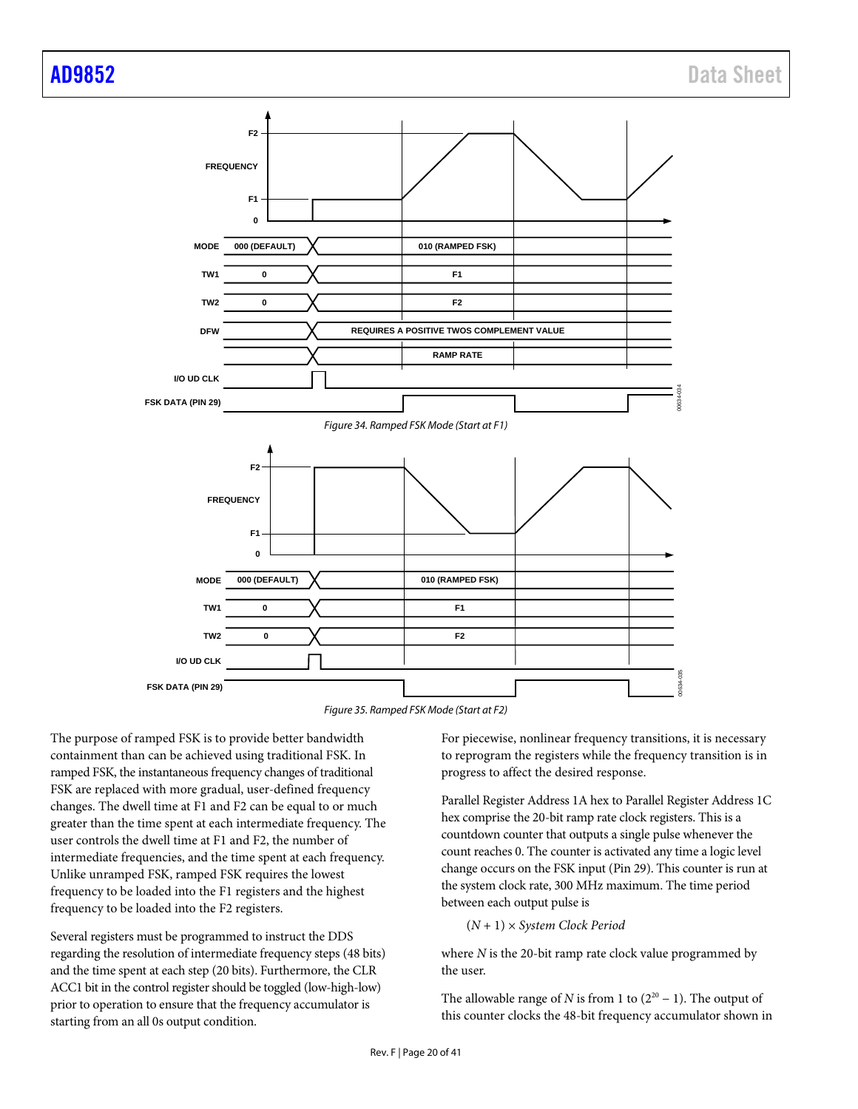

*Figure 35. Ramped FSK Mode (Start at F2)*

<span id="page-19-1"></span><span id="page-19-0"></span>The purpose of ramped FSK is to provide better bandwidth containment than can be achieved using traditional FSK. In ramped FSK, the instantaneous frequency changes of traditional FSK are replaced with more gradual, user-defined frequency changes. The dwell time at F1 and F2 can be equal to or much greater than the time spent at each intermediate frequency. The user controls the dwell time at F1 and F2, the number of intermediate frequencies, and the time spent at each frequency. Unlike unramped FSK, ramped FSK requires the lowest frequency to be loaded into the F1 registers and the highest frequency to be loaded into the F2 registers.

Several registers must be programmed to instruct the DDS regarding the resolution of intermediate frequency steps (48 bits) and the time spent at each step (20 bits). Furthermore, the CLR ACC1 bit in the control register should be toggled (low-high-low) prior to operation to ensure that the frequency accumulator is starting from an all 0s output condition.

For piecewise, nonlinear frequency transitions, it is necessary to reprogram the registers while the frequency transition is in progress to affect the desired response.

Parallel Register Address 1A hex to Parallel Register Address 1C hex comprise the 20-bit ramp rate clock registers. This is a countdown counter that outputs a single pulse whenever the count reaches 0. The counter is activated any time a logic level change occurs on the FSK input (Pin 29). This counter is run at the system clock rate, 300 MHz maximum. The time period between each output pulse is

$$
(N + 1) \times System
$$
 *Clock Period*

where *N* is the 20-bit ramp rate clock value programmed by the user.

The allowable range of *N* is from 1 to  $(2^{20} – 1)$ . The output of this counter clocks the 48-bit frequency accumulator shown in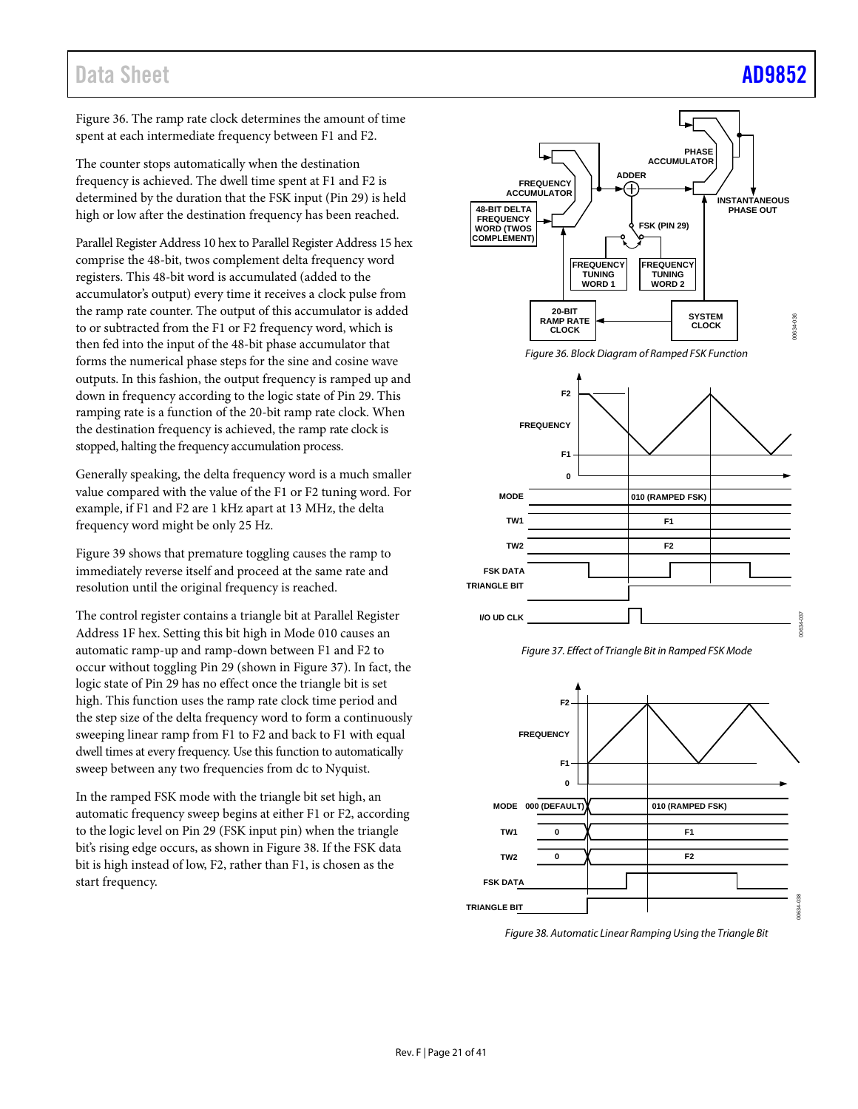# Data Sheet [AD9852](https://www.analog.com/AD9852?doc=AD9852.pdf)

[Figure 36.](#page-20-0) The ramp rate clock determines the amount of time spent at each intermediate frequency between F1 and F2.

The counter stops automatically when the destination frequency is achieved. The dwell time spent at F1 and F2 is determined by the duration that the FSK input (Pin 29) is held high or low after the destination frequency has been reached.

Parallel Register Address 10 hex to Parallel Register Address 15 hex comprise the 48-bit, twos complement delta frequency word registers. This 48-bit word is accumulated (added to the accumulator's output) every time it receives a clock pulse from the ramp rate counter. The output of this accumulator is added to or subtracted from the F1 or F2 frequency word, which is then fed into the input of the 48-bit phase accumulator that forms the numerical phase steps for the sine and cosine wave outputs. In this fashion, the output frequency is ramped up and down in frequency according to the logic state of Pin 29. This ramping rate is a function of the 20-bit ramp rate clock. When the destination frequency is achieved, the ramp rate clock is stopped, halting the frequency accumulation process.

Generally speaking, the delta frequency word is a much smaller value compared with the value of the F1 or F2 tuning word. For example, if F1 and F2 are 1 kHz apart at 13 MHz, the delta frequency word might be only 25 Hz.

[Figure 39](#page-21-1) shows that premature toggling causes the ramp to immediately reverse itself and proceed at the same rate and resolution until the original frequency is reached.

The control register contains a triangle bit at Parallel Register Address 1F hex. Setting this bit high in Mode 010 causes an automatic ramp-up and ramp-down between F1 and F2 to occur without toggling Pin 29 (shown i[n Figure 37\)](#page-20-1). In fact, the logic state of Pin 29 has no effect once the triangle bit is set high. This function uses the ramp rate clock time period and the step size of the delta frequency word to form a continuously sweeping linear ramp from F1 to F2 and back to F1 with equal dwell times at every frequency. Use this function to automatically sweep between any two frequencies from dc to Nyquist.

In the ramped FSK mode with the triangle bit set high, an automatic frequency sweep begins at either F1 or F2, according to the logic level on Pin 29 (FSK input pin) when the triangle bit's rising edge occurs, as shown i[n Figure 38.](#page-20-2) If the FSK data bit is high instead of low, F2, rather than F1, is chosen as the start frequency.



*Figure 36. Block Diagram of Ramped FSK Function*

<span id="page-20-0"></span>



<span id="page-20-1"></span>

<span id="page-20-2"></span>*Figure 38. Automatic Linear Ramping Using the Triangle Bit*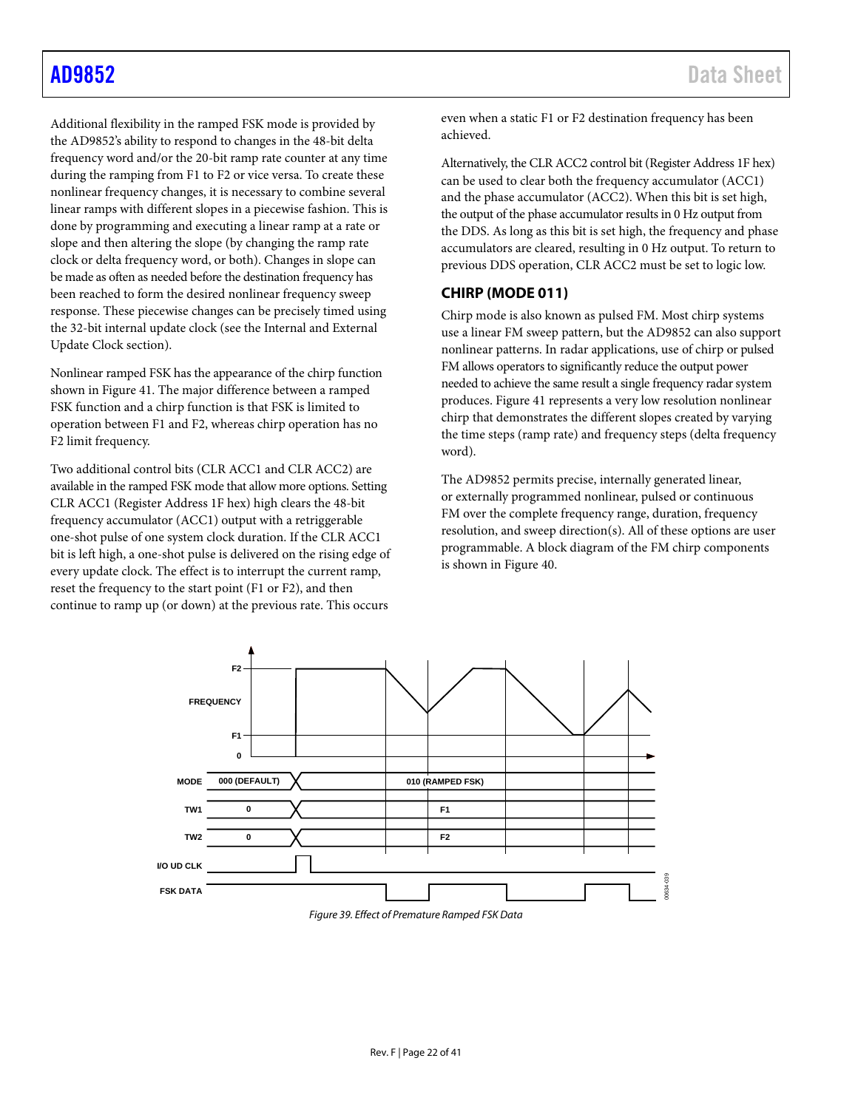Additional flexibility in the ramped FSK mode is provided by the AD9852's ability to respond to changes in the 48-bit delta frequency word and/or the 20-bit ramp rate counter at any time during the ramping from F1 to F2 or vice versa. To create these nonlinear frequency changes, it is necessary to combine several linear ramps with different slopes in a piecewise fashion. This is done by programming and executing a linear ramp at a rate or slope and then altering the slope (by changing the ramp rate clock or delta frequency word, or both). Changes in slope can be made as often as needed before the destination frequency has been reached to form the desired nonlinear frequency sweep response. These piecewise changes can be precisely timed using the 32-bit internal update clock (see th[e Internal and External](#page-26-1)  [Update Clock](#page-26-1) section).

Nonlinear ramped FSK has the appearance of the chirp function shown in [Figure 41.](#page-22-0) The major difference between a ramped FSK function and a chirp function is that FSK is limited to operation between F1 and F2, whereas chirp operation has no F2 limit frequency.

Two additional control bits (CLR ACC1 and CLR ACC2) are available in the ramped FSK mode that allow more options. Setting CLR ACC1 (Register Address 1F hex) high clears the 48-bit frequency accumulator (ACC1) output with a retriggerable one-shot pulse of one system clock duration. If the CLR ACC1 bit is left high, a one-shot pulse is delivered on the rising edge of every update clock. The effect is to interrupt the current ramp, reset the frequency to the start point (F1 or F2), and then continue to ramp up (or down) at the previous rate. This occurs

even when a static F1 or F2 destination frequency has been achieved.

Alternatively, the CLR ACC2 control bit (Register Address 1F hex) can be used to clear both the frequency accumulator (ACC1) and the phase accumulator (ACC2). When this bit is set high, the output of the phase accumulator results in 0 Hz output from the DDS. As long as this bit is set high, the frequency and phase accumulators are cleared, resulting in 0 Hz output. To return to previous DDS operation, CLR ACC2 must be set to logic low.

## <span id="page-21-0"></span>**CHIRP (MODE 011)**

Chirp mode is also known as pulsed FM. Most chirp systems use a linear FM sweep pattern, but the AD9852 can also support nonlinear patterns. In radar applications, use of chirp or pulsed FM allows operators to significantly reduce the output power needed to achieve the same result a single frequency radar system produces. [Figure 41](#page-22-0) represents a very low resolution nonlinear chirp that demonstrates the different slopes created by varying the time steps (ramp rate) and frequency steps (delta frequency word).

The AD9852 permits precise, internally generated linear, or externally programmed nonlinear, pulsed or continuous FM over the complete frequency range, duration, frequency resolution, and sweep direction(s). All of these options are user programmable. A block diagram of the FM chirp components is shown in [Figure 40.](#page-22-1)



<span id="page-21-1"></span>*Figure 39. Effect of Premature Ramped FSK Data*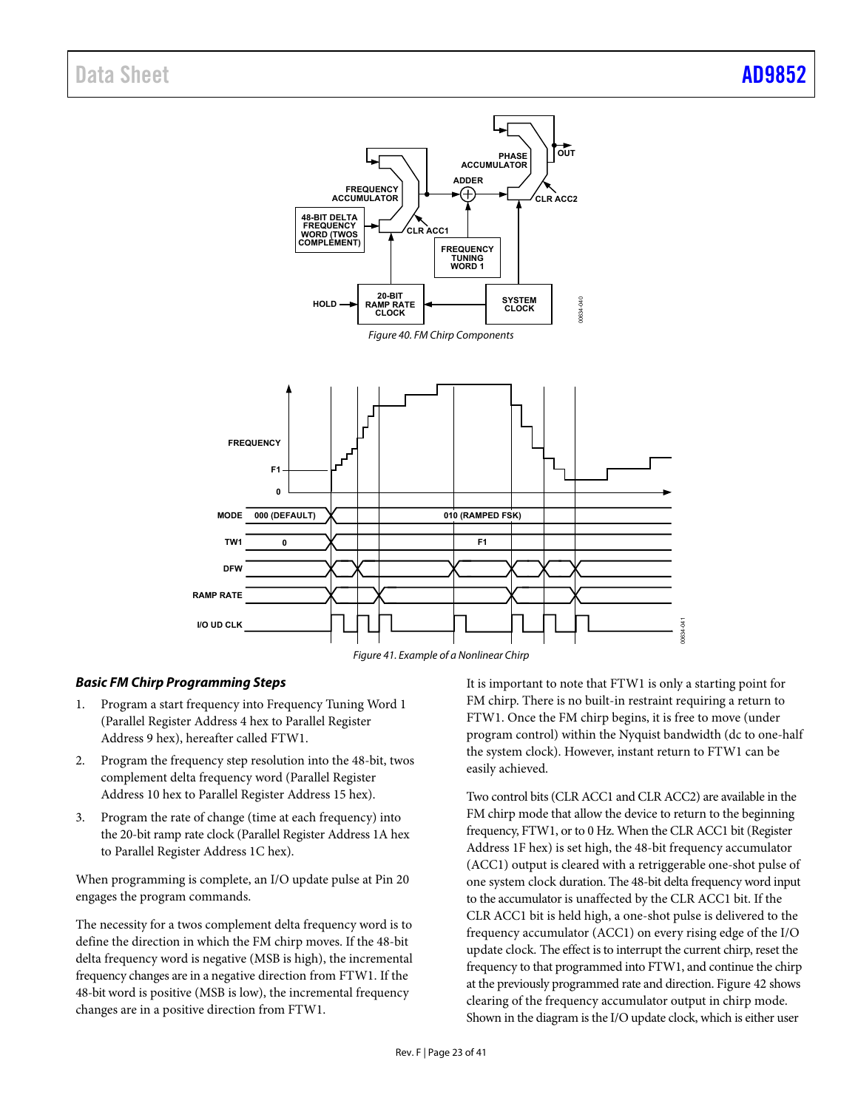<span id="page-22-1"></span>



### <span id="page-22-0"></span>**Basic FM Chirp Programming Steps**

- 1. Program a start frequency into Frequency Tuning Word 1 (Parallel Register Address 4 hex to Parallel Register Address 9 hex), hereafter called FTW1.
- 2. Program the frequency step resolution into the 48-bit, twos complement delta frequency word (Parallel Register Address 10 hex to Parallel Register Address 15 hex).
- 3. Program the rate of change (time at each frequency) into the 20-bit ramp rate clock (Parallel Register Address 1A hex to Parallel Register Address 1C hex).

When programming is complete, an I/O update pulse at Pin 20 engages the program commands.

The necessity for a twos complement delta frequency word is to define the direction in which the FM chirp moves. If the 48-bit delta frequency word is negative (MSB is high), the incremental frequency changes are in a negative direction from FTW1. If the 48-bit word is positive (MSB is low), the incremental frequency changes are in a positive direction from FTW1.

It is important to note that FTW1 is only a starting point for FM chirp. There is no built-in restraint requiring a return to FTW1. Once the FM chirp begins, it is free to move (under program control) within the Nyquist bandwidth (dc to one-half the system clock). However, instant return to FTW1 can be easily achieved.

Two control bits (CLR ACC1 and CLR ACC2) are available in the FM chirp mode that allow the device to return to the beginning frequency, FTW1, or to 0 Hz. When the CLR ACC1 bit (Register Address 1F hex) is set high, the 48-bit frequency accumulator (ACC1) output is cleared with a retriggerable one-shot pulse of one system clock duration. The 48-bit delta frequency word input to the accumulator is unaffected by the CLR ACC1 bit. If the CLR ACC1 bit is held high, a one-shot pulse is delivered to the frequency accumulator (ACC1) on every rising edge of the I/O update clock. The effect is to interrupt the current chirp, reset the frequency to that programmed into FTW1, and continue the chirp at the previously programmed rate and direction. [Figure 42 s](#page-23-0)hows clearing of the frequency accumulator output in chirp mode. Shown in the diagram is the I/O update clock, which is either user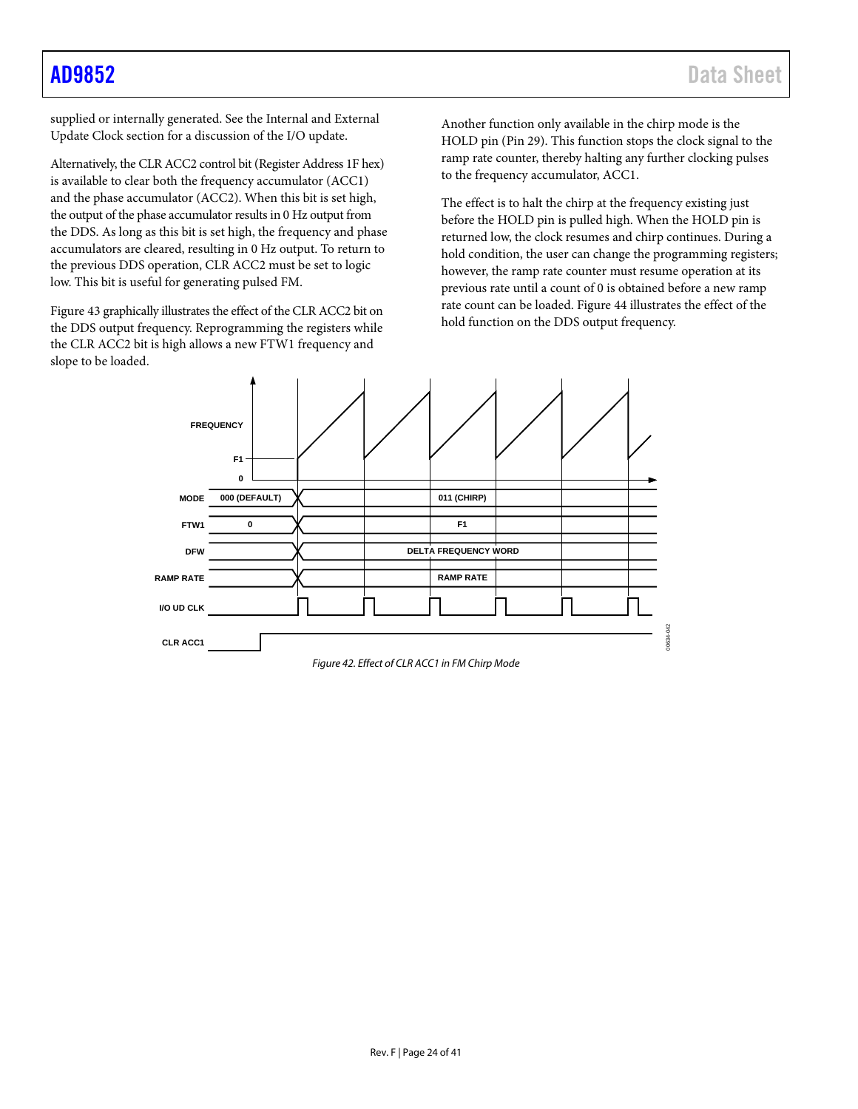supplied or internally generated. See the [Internal and External](#page-26-1)  [Update Clock](#page-26-1) section for a discussion of the I/O update.

Alternatively, the CLR ACC2 control bit (Register Address 1F hex) is available to clear both the frequency accumulator (ACC1) and the phase accumulator (ACC2). When this bit is set high, the output of the phase accumulator results in 0 Hz output from the DDS. As long as this bit is set high, the frequency and phase accumulators are cleared, resulting in 0 Hz output. To return to the previous DDS operation, CLR ACC2 must be set to logic low. This bit is useful for generating pulsed FM.

[Figure 43](#page-24-0) graphically illustrates the effect of the CLR ACC2 bit on the DDS output frequency. Reprogramming the registers while the CLR ACC2 bit is high allows a new FTW1 frequency and slope to be loaded.

Another function only available in the chirp mode is the HOLD pin (Pin 29). This function stops the clock signal to the ramp rate counter, thereby halting any further clocking pulses to the frequency accumulator, ACC1.

The effect is to halt the chirp at the frequency existing just before the HOLD pin is pulled high. When the HOLD pin is returned low, the clock resumes and chirp continues. During a hold condition, the user can change the programming registers; however, the ramp rate counter must resume operation at its previous rate until a count of 0 is obtained before a new ramp rate count can be loaded. [Figure 44](#page-24-1) illustrates the effect of the hold function on the DDS output frequency.



<span id="page-23-0"></span>*Figure 42. Effect of CLR ACC1 in FM Chirp Mode*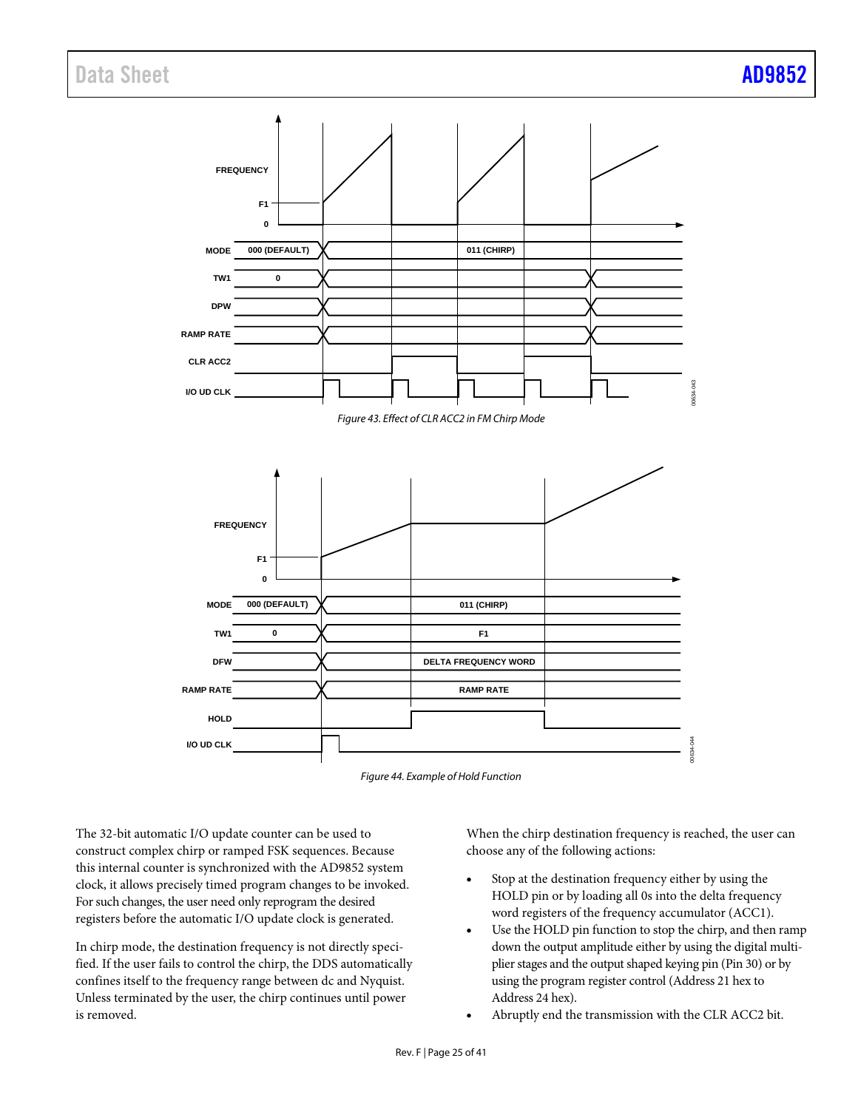<span id="page-24-0"></span>



<span id="page-24-1"></span>The 32-bit automatic I/O update counter can be used to construct complex chirp or ramped FSK sequences. Because this internal counter is synchronized with the AD9852 system clock, it allows precisely timed program changes to be invoked. For such changes, the user need only reprogram the desired registers before the automatic I/O update clock is generated.

In chirp mode, the destination frequency is not directly specified. If the user fails to control the chirp, the DDS automatically confines itself to the frequency range between dc and Nyquist. Unless terminated by the user, the chirp continues until power is removed.

When the chirp destination frequency is reached, the user can choose any of the following actions:

- Stop at the destination frequency either by using the HOLD pin or by loading all 0s into the delta frequency word registers of the frequency accumulator (ACC1).
- Use the HOLD pin function to stop the chirp, and then ramp down the output amplitude either by using the digital multiplier stages and the output shaped keying pin (Pin 30) or by using the program register control (Address 21 hex to Address 24 hex).
- Abruptly end the transmission with the CLR ACC2 bit.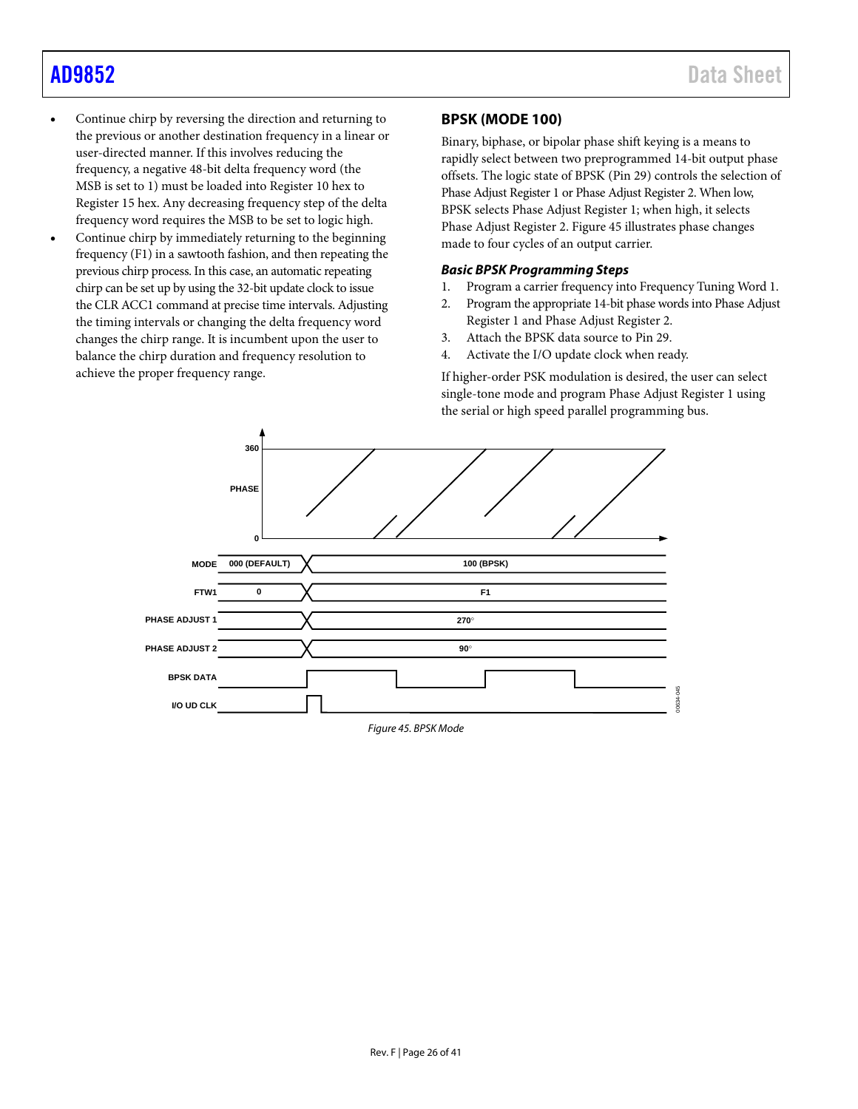- Continue chirp by reversing the direction and returning to the previous or another destination frequency in a linear or user-directed manner. If this involves reducing the frequency, a negative 48-bit delta frequency word (the MSB is set to 1) must be loaded into Register 10 hex to Register 15 hex. Any decreasing frequency step of the delta frequency word requires the MSB to be set to logic high.
- Continue chirp by immediately returning to the beginning frequency (F1) in a sawtooth fashion, and then repeating the previous chirp process. In this case, an automatic repeating chirp can be set up by using the 32-bit update clock to issue the CLR ACC1 command at precise time intervals. Adjusting the timing intervals or changing the delta frequency word changes the chirp range. It is incumbent upon the user to balance the chirp duration and frequency resolution to achieve the proper frequency range.

## <span id="page-25-0"></span>**BPSK (MODE 100)**

Binary, biphase, or bipolar phase shift keying is a means to rapidly select between two preprogrammed 14-bit output phase offsets. The logic state of BPSK (Pin 29) controls the selection of Phase Adjust Register 1 or Phase Adjust Register 2. When low, BPSK selects Phase Adjust Register 1; when high, it selects Phase Adjust Register 2[. Figure 45](#page-25-1) illustrates phase changes made to four cycles of an output carrier.

### *Basic BPSK Programming Steps*

- 1. Program a carrier frequency into Frequency Tuning Word 1.
- 2. Program the appropriate 14-bit phase words into Phase Adjust Register 1 and Phase Adjust Register 2.
- 3. Attach the BPSK data source to Pin 29.
- 4. Activate the I/O update clock when ready.

If higher-order PSK modulation is desired, the user can select single-tone mode and program Phase Adjust Register 1 using the serial or high speed parallel programming bus.

<span id="page-25-1"></span>

*Figure 45. BPSK Mode*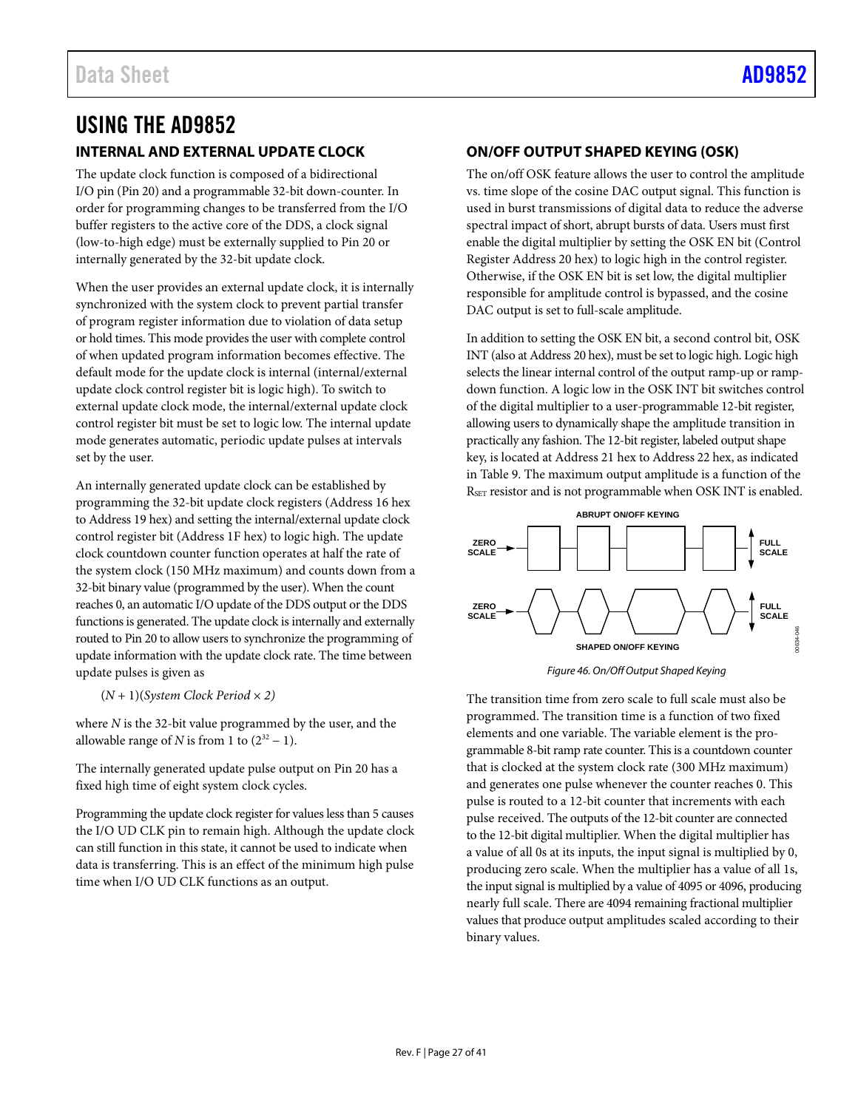# <span id="page-26-1"></span><span id="page-26-0"></span>USING THE AD9852 **INTERNAL AND EXTERNAL UPDATE CLOCK**

The update clock function is composed of a bidirectional I/O pin (Pin 20) and a programmable 32-bit down-counter. In order for programming changes to be transferred from the I/O buffer registers to the active core of the DDS, a clock signal (low-to-high edge) must be externally supplied to Pin 20 or internally generated by the 32-bit update clock.

When the user provides an external update clock, it is internally synchronized with the system clock to prevent partial transfer of program register information due to violation of data setup or hold times. This mode provides the user with complete control of when updated program information becomes effective. The default mode for the update clock is internal (internal/external update clock control register bit is logic high). To switch to external update clock mode, the internal/external update clock control register bit must be set to logic low. The internal update mode generates automatic, periodic update pulses at intervals set by the user.

An internally generated update clock can be established by programming the 32-bit update clock registers (Address 16 hex to Address 19 hex) and setting the internal/external update clock control register bit (Address 1F hex) to logic high. The update clock countdown counter function operates at half the rate of the system clock (150 MHz maximum) and counts down from a 32-bit binary value (programmed by the user). When the count reaches 0, an automatic I/O update of the DDS output or the DDS functions is generated. The update clock is internally and externally routed to Pin 20 to allow users to synchronize the programming of update information with the update clock rate. The time between update pulses is given as

(*N* + 1)(*System Clock Period × 2)*

where *N* is the 32-bit value programmed by the user, and the allowable range of *N* is from 1 to  $(2^{32} – 1)$ .

The internally generated update pulse output on Pin 20 has a fixed high time of eight system clock cycles.

Programming the update clock register for values less than 5 causes the I/O UD CLK pin to remain high. Although the update clock can still function in this state, it cannot be used to indicate when data is transferring. This is an effect of the minimum high pulse time when I/O UD CLK functions as an output.

## <span id="page-26-2"></span>**ON/OFF OUTPUT SHAPED KEYING (OSK)**

The on/off OSK feature allows the user to control the amplitude vs. time slope of the cosine DAC output signal. This function is used in burst transmissions of digital data to reduce the adverse spectral impact of short, abrupt bursts of data. Users must first enable the digital multiplier by setting the OSK EN bit (Control Register Address 20 hex) to logic high in the control register. Otherwise, if the OSK EN bit is set low, the digital multiplier responsible for amplitude control is bypassed, and the cosine DAC output is set to full-scale amplitude.

In addition to setting the OSK EN bit, a second control bit, OSK INT (also at Address 20 hex), must be set to logic high. Logic high selects the linear internal control of the output ramp-up or rampdown function. A logic low in the OSK INT bit switches control of the digital multiplier to a user-programmable 12-bit register, allowing users to dynamically shape the amplitude transition in practically any fashion. The 12-bit register, labeled output shape key, is located at Address 21 hex to Address 22 hex, as indicated in [Table 9.](#page-31-0) The maximum output amplitude is a function of the RSET resistor and is not programmable when OSK INT is enabled.



*Figure 46. On/Off Output Shaped Keying*

The transition time from zero scale to full scale must also be programmed. The transition time is a function of two fixed elements and one variable. The variable element is the programmable 8-bit ramp rate counter. This is a countdown counter that is clocked at the system clock rate (300 MHz maximum) and generates one pulse whenever the counter reaches 0. This pulse is routed to a 12-bit counter that increments with each pulse received. The outputs of the 12-bit counter are connected to the 12-bit digital multiplier. When the digital multiplier has a value of all 0s at its inputs, the input signal is multiplied by 0, producing zero scale. When the multiplier has a value of all 1s, the input signal is multiplied by a value of 4095 or 4096, producing nearly full scale. There are 4094 remaining fractional multiplier values that produce output amplitudes scaled according to their binary values.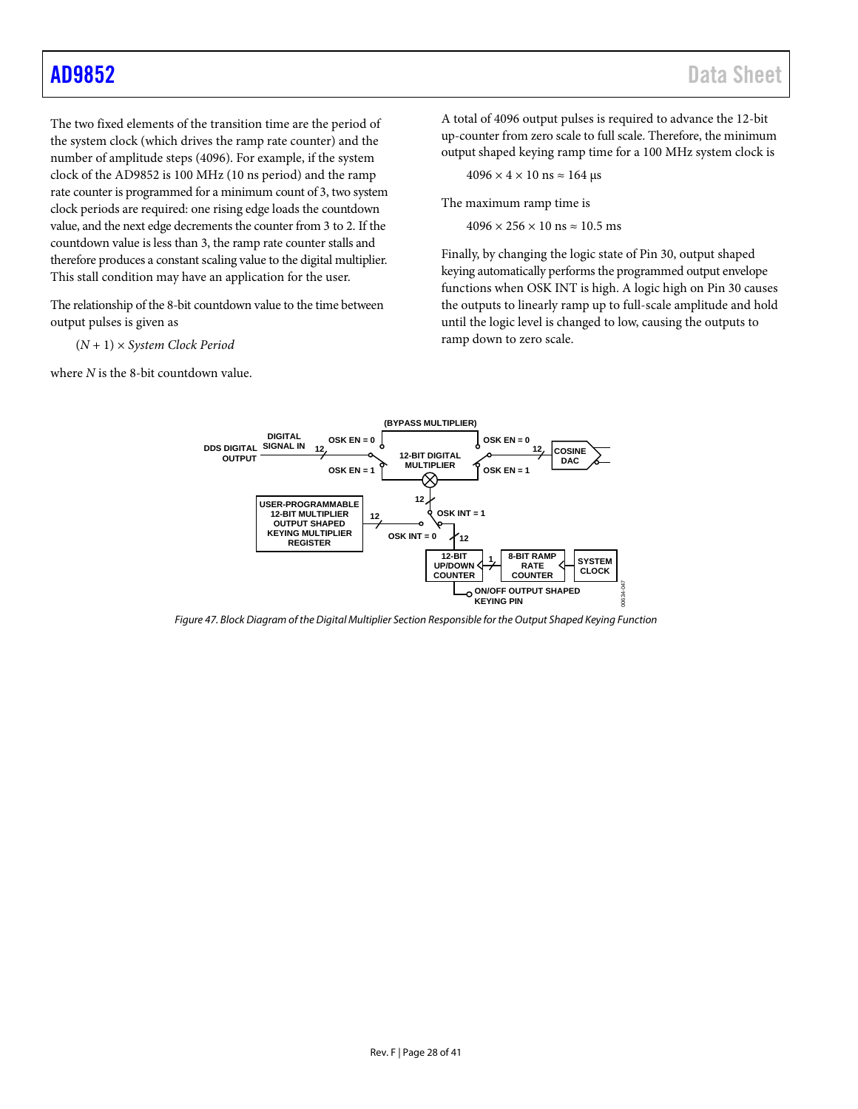The two fixed elements of the transition time are the period of the system clock (which drives the ramp rate counter) and the number of amplitude steps (4096). For example, if the system clock of the AD9852 is 100 MHz (10 ns period) and the ramp rate counter is programmed for a minimum count of 3, two system clock periods are required: one rising edge loads the countdown value, and the next edge decrements the counter from 3 to 2. If the countdown value is less than 3, the ramp rate counter stalls and therefore produces a constant scaling value to the digital multiplier. This stall condition may have an application for the user.

The relationship of the 8-bit countdown value to the time between output pulses is given as

(*N* + 1) × *System Clock Period*

where *N* is the 8-bit countdown value.

A total of 4096 output pulses is required to advance the 12-bit up-counter from zero scale to full scale. Therefore, the minimum output shaped keying ramp time for a 100 MHz system clock is

$$
4096 \times 4 \times 10 \text{ ns} \approx 164 \text{ µs}
$$

The maximum ramp time is

 $4096 \times 256 \times 10$  ns  $\approx 10.5$  ms

Finally, by changing the logic state of Pin 30, output shaped keying automatically performs the programmed output envelope functions when OSK INT is high. A logic high on Pin 30 causes the outputs to linearly ramp up to full-scale amplitude and hold until the logic level is changed to low, causing the outputs to ramp down to zero scale.



*Figure 47. Block Diagram of the Digital Multiplier Section Responsible for the Output Shaped Keying Function*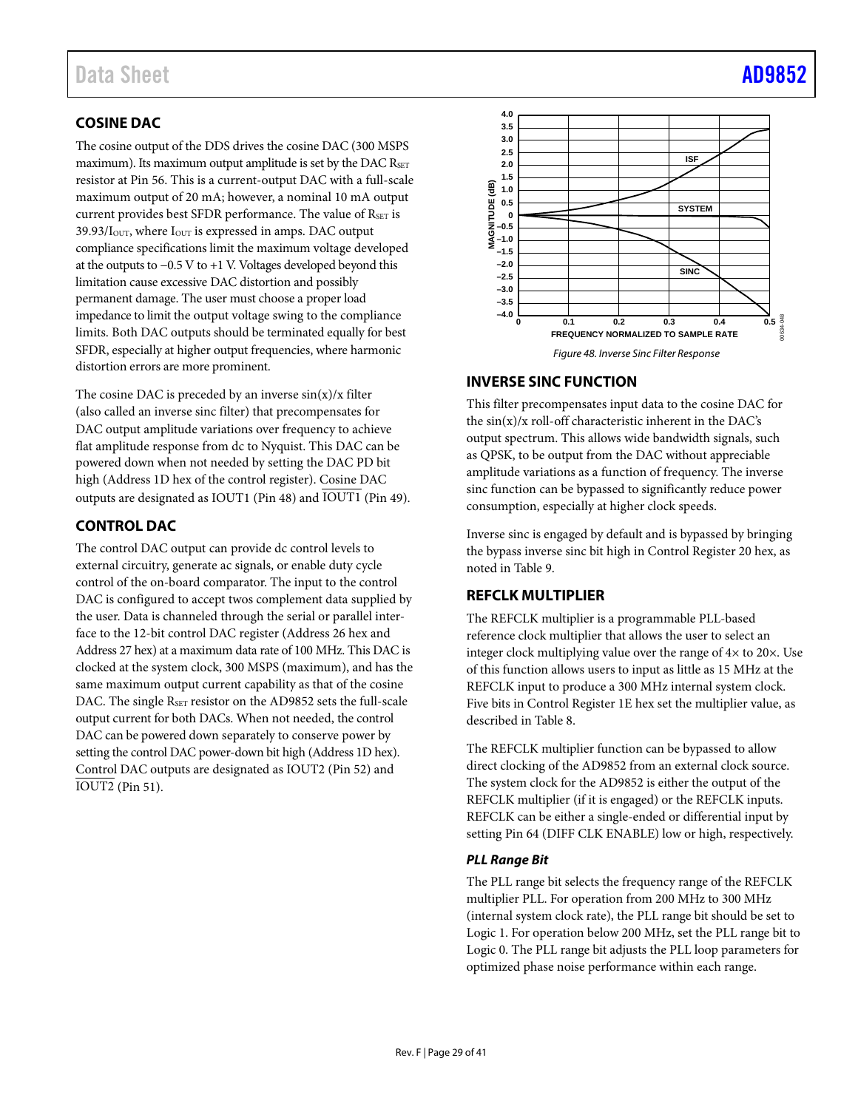## <span id="page-28-0"></span>**COSINE DAC**

The cosine output of the DDS drives the cosine DAC (300 MSPS maximum). Its maximum output amplitude is set by the DAC RSET resistor at Pin 56. This is a current-output DAC with a full-scale maximum output of 20 mA; however, a nominal 10 mA output current provides best SFDR performance. The value of RSET is 39.93/I<sub>OUT</sub>, where I<sub>OUT</sub> is expressed in amps. DAC output compliance specifications limit the maximum voltage developed at the outputs to −0.5 V to +1 V. Voltages developed beyond this limitation cause excessive DAC distortion and possibly permanent damage. The user must choose a proper load impedance to limit the output voltage swing to the compliance limits. Both DAC outputs should be terminated equally for best SFDR, especially at higher output frequencies, where harmonic distortion errors are more prominent.

The cosine DAC is preceded by an inverse  $sin(x)/x$  filter (also called an inverse sinc filter) that precompensates for DAC output amplitude variations over frequency to achieve flat amplitude response from dc to Nyquist. This DAC can be powered down when not needed by setting the DAC PD bit high (Address 1D hex of the control register). Cosine DAC outputs are designated as IOUT1 (Pin 48) and IOUT1 (Pin 49).

## <span id="page-28-1"></span>**CONTROL DAC**

The control DAC output can provide dc control levels to external circuitry, generate ac signals, or enable duty cycle control of the on-board comparator. The input to the control DAC is configured to accept twos complement data supplied by the user. Data is channeled through the serial or parallel interface to the 12-bit control DAC register (Address 26 hex and Address 27 hex) at a maximum data rate of 100 MHz. This DAC is clocked at the system clock, 300 MSPS (maximum), and has the same maximum output current capability as that of the cosine DAC. The single RSET resistor on the AD9852 sets the full-scale output current for both DACs. When not needed, the control DAC can be powered down separately to conserve power by setting the control DAC power-down bit high (Address 1D hex). Control DAC outputs are designated as IOUT2 (Pin 52) and IOUT2 (Pin 51).



## <span id="page-28-2"></span>**INVERSE SINC FUNCTION**

This filter precompensates input data to the cosine DAC for the  $\sin(x)/x$  roll-off characteristic inherent in the DAC's output spectrum. This allows wide bandwidth signals, such as QPSK, to be output from the DAC without appreciable amplitude variations as a function of frequency. The inverse sinc function can be bypassed to significantly reduce power consumption, especially at higher clock speeds.

Inverse sinc is engaged by default and is bypassed by bringing the bypass inverse sinc bit high in Control Register 20 hex, as noted in [Table 9.](#page-31-0)

## <span id="page-28-3"></span>**REFCLK MULTIPLIER**

The REFCLK multiplier is a programmable PLL-based reference clock multiplier that allows the user to select an integer clock multiplying value over the range of 4× to 20×. Use of this function allows users to input as little as 15 MHz at the REFCLK input to produce a 300 MHz internal system clock. Five bits in Control Register 1E hex set the multiplier value, as described in [Table 8.](#page-30-4)

The REFCLK multiplier function can be bypassed to allow direct clocking of the AD9852 from an external clock source. The system clock for the AD9852 is either the output of the REFCLK multiplier (if it is engaged) or the REFCLK inputs. REFCLK can be either a single-ended or differential input by setting Pin 64 (DIFF CLK ENABLE) low or high, respectively.

### *PLL Range Bit*

The PLL range bit selects the frequency range of the REFCLK multiplier PLL. For operation from 200 MHz to 300 MHz (internal system clock rate), the PLL range bit should be set to Logic 1. For operation below 200 MHz, set the PLL range bit to Logic 0. The PLL range bit adjusts the PLL loop parameters for optimized phase noise performance within each range.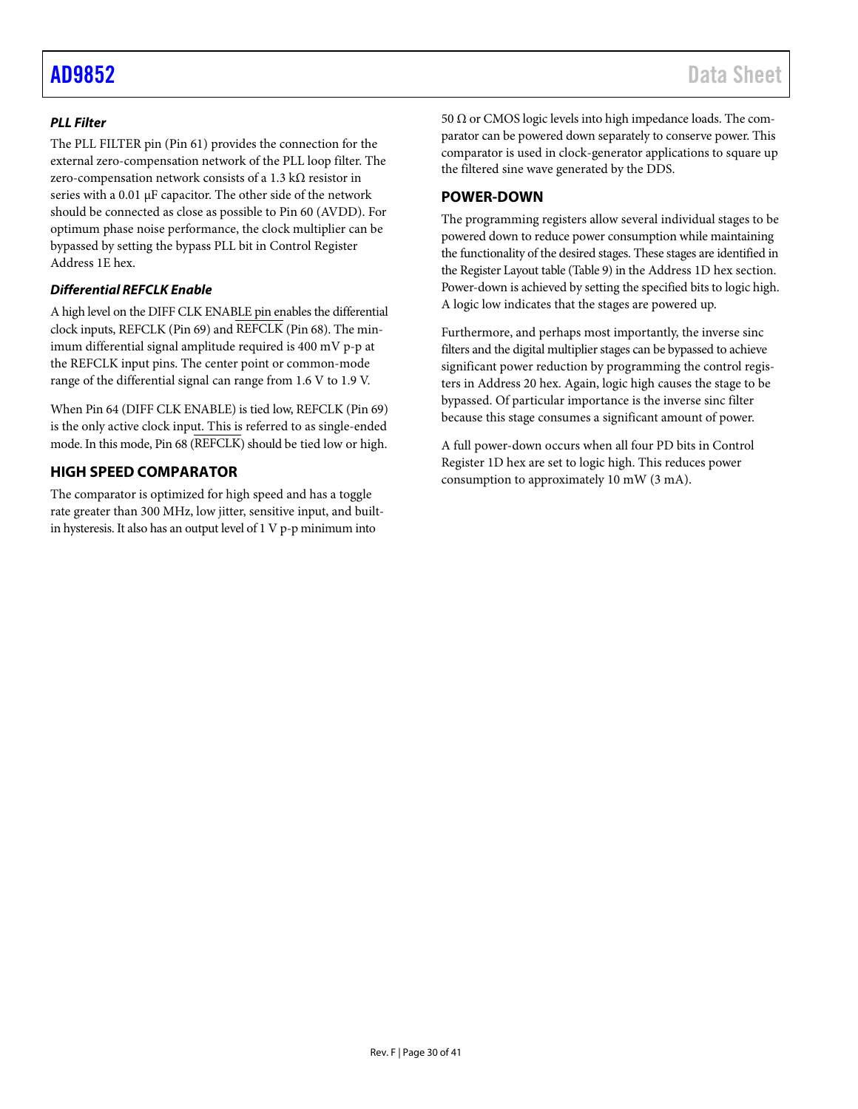## *PLL Filter*

The PLL FILTER pin (Pin 61) provides the connection for the external zero-compensation network of the PLL loop filter. The zero-compensation network consists of a 1.3 kΩ resistor in series with a 0.01 µF capacitor. The other side of the network should be connected as close as possible to Pin 60 (AVDD). For optimum phase noise performance, the clock multiplier can be bypassed by setting the bypass PLL bit in Control Register Address 1E hex.

### *Differential REFCLK Enable*

A high level on the DIFF CLK ENABLE pin enables the differential clock inputs, REFCLK (Pin 69) and REFCLK (Pin 68). The minimum differential signal amplitude required is 400 mV p-p at the REFCLK input pins. The center point or common-mode range of the differential signal can range from 1.6 V to 1.9 V.

When Pin 64 (DIFF CLK ENABLE) is tied low, REFCLK (Pin 69) is the only active clock input. This is referred to as single-ended mode. In this mode, Pin 68 (REFCLK) should be tied low or high.

## <span id="page-29-0"></span>**HIGH SPEED COMPARATOR**

The comparator is optimized for high speed and has a toggle rate greater than 300 MHz, low jitter, sensitive input, and builtin hysteresis. It also has an output level of 1 V p-p minimum into

50 Ω or CMOS logic levels into high impedance loads. The comparator can be powered down separately to conserve power. This comparator is used in clock-generator applications to square up the filtered sine wave generated by the DDS.

## <span id="page-29-1"></span>**POWER-DOWN**

The programming registers allow several individual stages to be powered down to reduce power consumption while maintaining the functionality of the desired stages. These stages are identified in the Register Layout table [\(Table 9\)](#page-31-0) in the Address 1D hex section. Power-down is achieved by setting the specified bits to logic high. A logic low indicates that the stages are powered up.

Furthermore, and perhaps most importantly, the inverse sinc filters and the digital multiplier stages can be bypassed to achieve significant power reduction by programming the control registers in Address 20 hex. Again, logic high causes the stage to be bypassed. Of particular importance is the inverse sinc filter because this stage consumes a significant amount of power.

A full power-down occurs when all four PD bits in Control Register 1D hex are set to logic high. This reduces power consumption to approximately 10 mW (3 mA).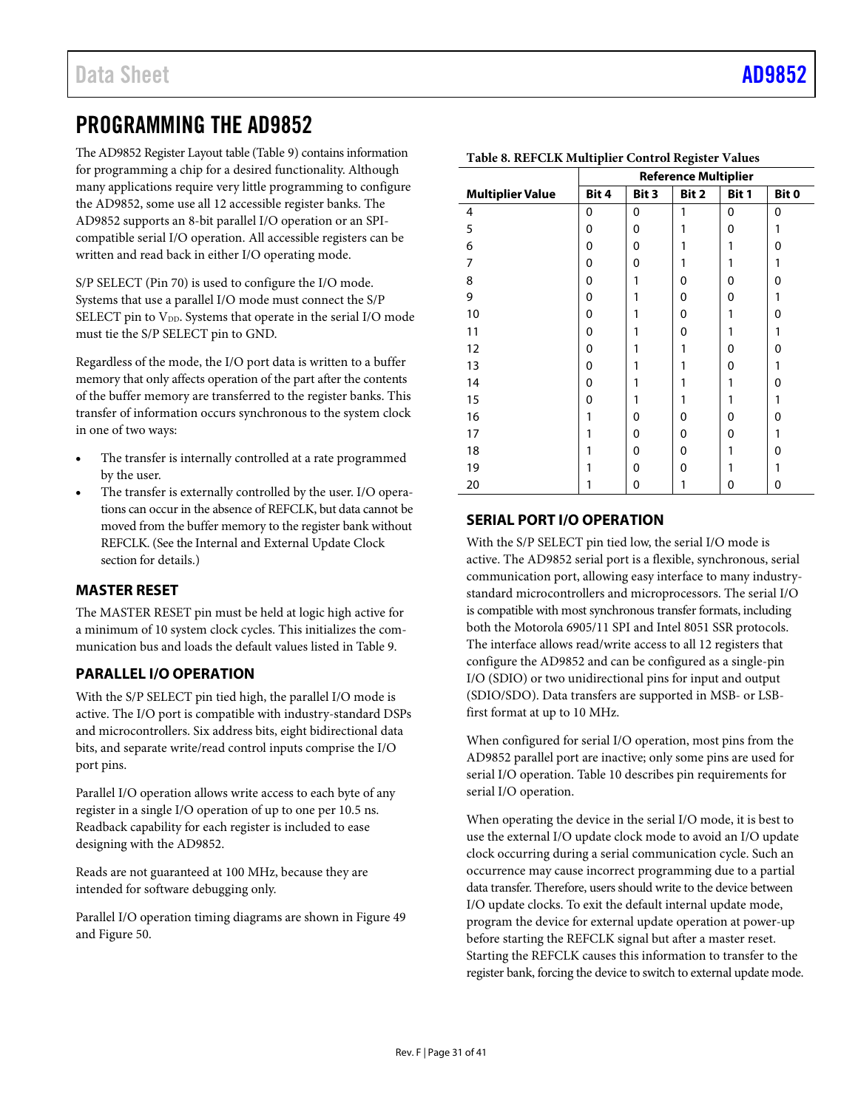# <span id="page-30-0"></span>PROGRAMMING THE AD9852

The AD9852 Register Layout table [\(Table 9\)](#page-31-0) contains information for programming a chip for a desired functionality. Although many applications require very little programming to configure the AD9852, some use all 12 accessible register banks. The AD9852 supports an 8-bit parallel I/O operation or an SPIcompatible serial I/O operation. All accessible registers can be written and read back in either I/O operating mode.

S/P SELECT (Pin 70) is used to configure the I/O mode. Systems that use a parallel I/O mode must connect the S/P SELECT pin to V<sub>DD</sub>. Systems that operate in the serial I/O mode must tie the S/P SELECT pin to GND.

Regardless of the mode, the I/O port data is written to a buffer memory that only affects operation of the part after the contents of the buffer memory are transferred to the register banks. This transfer of information occurs synchronous to the system clock in one of two ways:

- The transfer is internally controlled at a rate programmed by the user.
- The transfer is externally controlled by the user. I/O operations can occur in the absence of REFCLK, but data cannot be moved from the buffer memory to the register bank without REFCLK. (See th[e Internal and External Update Clock](#page-26-1) section for details.)

## <span id="page-30-1"></span>**MASTER RESET**

The MASTER RESET pin must be held at logic high active for a minimum of 10 system clock cycles. This initializes the communication bus and loads the default values listed i[n Table 9.](#page-31-0)

## <span id="page-30-2"></span>**PARALLEL I/O OPERATION**

With the S/P SELECT pin tied high, the parallel I/O mode is active. The I/O port is compatible with industry-standard DSPs and microcontrollers. Six address bits, eight bidirectional data bits, and separate write/read control inputs comprise the I/O port pins.

Parallel I/O operation allows write access to each byte of any register in a single I/O operation of up to one per 10.5 ns. Readback capability for each register is included to ease designing with the AD9852.

Reads are not guaranteed at 100 MHz, because they are intended for software debugging only.

Parallel I/O operation timing diagrams are shown i[n Figure 49](#page-32-0) an[d Figure 50.](#page-32-1)

|                         | ᅩ<br><b>Reference Multiplier</b> |       |          |       |       |  |
|-------------------------|----------------------------------|-------|----------|-------|-------|--|
| <b>Multiplier Value</b> | Bit 4                            | Bit 3 | Bit 2    | Bit 1 | Bit 0 |  |
| $\overline{4}$          | 0                                | 0     | 1        | 0     | 0     |  |
| 5                       | 0                                | 0     | 1        | 0     | 1     |  |
| 6                       | 0                                | 0     | 1        | 1     | 0     |  |
| 7                       | 0                                | 0     | 1        | 1     | 1     |  |
| 8                       | 0                                | 1     | 0        | 0     | 0     |  |
| 9                       | 0                                | 1     | 0        | 0     | 1     |  |
| 10                      | 0                                | 1     | 0        | 1     | 0     |  |
| 11                      | 0                                | 1     | 0        |       | 1     |  |
| 12                      | 0                                | 1     | 1        | 0     | 0     |  |
| 13                      | 0                                | 1     | 1        | 0     | 1     |  |
| 14                      | 0                                | 1     |          | 1     | 0     |  |
| 15                      | 0                                | 1     | 1        | 1     | 1     |  |
| 16                      | 1                                | 0     | $\Omega$ | 0     | 0     |  |
| 17                      | 1                                | 0     | 0        | 0     | 1     |  |
| 18                      | 1                                | 0     | 0        |       | 0     |  |
| 19                      | 1                                | 0     | 0        | 1     | 1     |  |
| 20                      |                                  | 0     | 1        | 0     | 0     |  |

### <span id="page-30-4"></span>**Table 8. REFCLK Multiplier Control Register Values**

## <span id="page-30-3"></span>**SERIAL PORT I/O OPERATION**

With the S/P SELECT pin tied low, the serial I/O mode is active. The AD9852 serial port is a flexible, synchronous, serial communication port, allowing easy interface to many industrystandard microcontrollers and microprocessors. The serial I/O is compatible with most synchronous transfer formats, including both the Motorola 6905/11 SPI and Intel 8051 SSR protocols. The interface allows read/write access to all 12 registers that configure the AD9852 and can be configured as a single-pin I/O (SDIO) or two unidirectional pins for input and output (SDIO/SDO). Data transfers are supported in MSB- or LSBfirst format at up to 10 MHz.

When configured for serial I/O operation, most pins from the AD9852 parallel port are inactive; only some pins are used for serial I/O operation. [Table 10](#page-32-2) describes pin requirements for serial I/O operation.

When operating the device in the serial I/O mode, it is best to use the external I/O update clock mode to avoid an I/O update clock occurring during a serial communication cycle. Such an occurrence may cause incorrect programming due to a partial data transfer. Therefore, users should write to the device between I/O update clocks. To exit the default internal update mode, program the device for external update operation at power-up before starting the REFCLK signal but after a master reset. Starting the REFCLK causes this information to transfer to the register bank, forcing the device to switch to external update mode.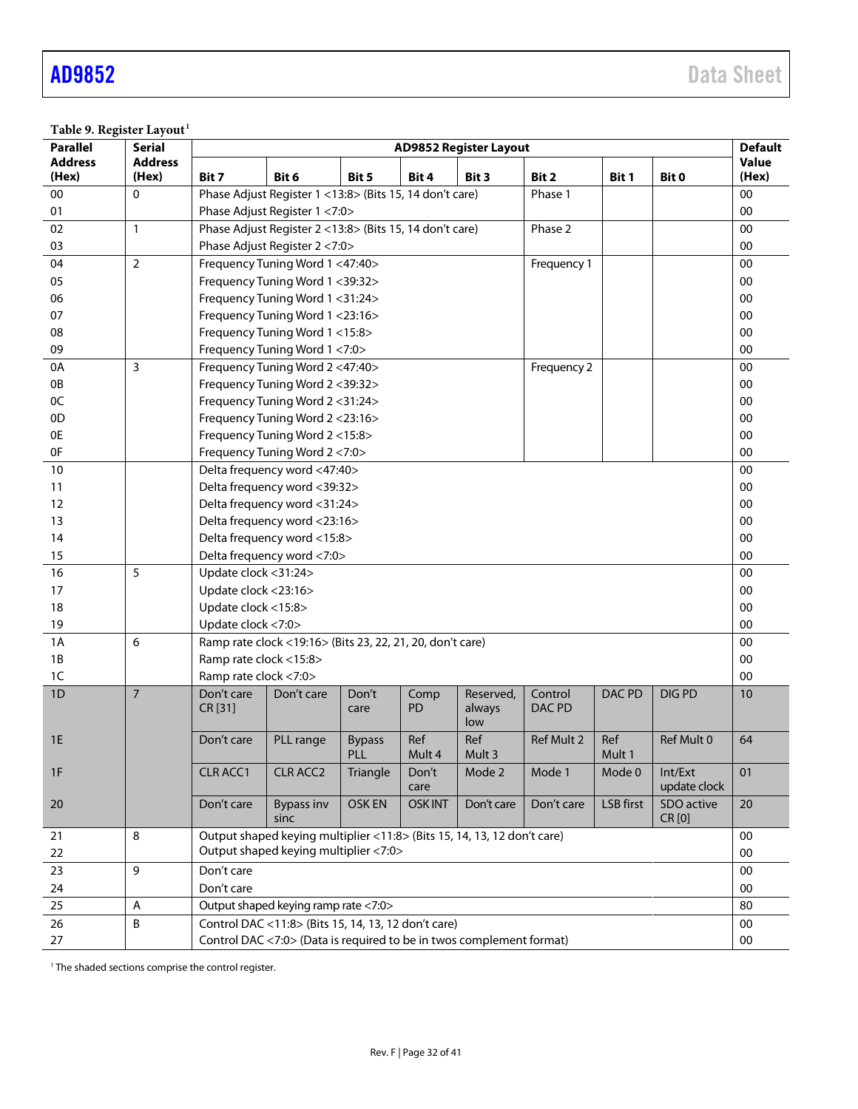<span id="page-31-0"></span>Table 9. Register Layout<sup>1</sup>

| <b>Parallel</b> | <b>Serial</b>  | <b>AD9852 Register Layout</b> |                                                                                                |                      |                   |                            |                   | <b>Default</b>   |                         |              |
|-----------------|----------------|-------------------------------|------------------------------------------------------------------------------------------------|----------------------|-------------------|----------------------------|-------------------|------------------|-------------------------|--------------|
| <b>Address</b>  | <b>Address</b> |                               |                                                                                                |                      |                   |                            |                   |                  |                         | <b>Value</b> |
| (Hex)           | (Hex)          | Bit 7                         | Bit 6                                                                                          | Bit 5                | Bit 4             | Bit 3                      | Bit 2             | Bit 1            | Bit 0                   | (Hex)<br>00  |
| 00              | 0              |                               | Phase Adjust Register 1 < 13:8 > (Bits 15, 14 don't care)<br>Phase 1                           |                      |                   |                            |                   |                  |                         |              |
| 01              |                |                               | Phase Adjust Register 1 <7:0><br>00<br>Phase Adjust Register 2 <13:8> (Bits 15, 14 don't care) |                      |                   |                            |                   |                  |                         |              |
| 02              | $\mathbf{1}$   |                               |                                                                                                |                      |                   |                            | Phase 2           |                  |                         | 00           |
| 03              |                |                               | Phase Adjust Register 2 <7:0>                                                                  |                      |                   |                            |                   |                  |                         | 00           |
| 04              | $\overline{2}$ |                               | Frequency Tuning Word 1 <47:40>                                                                |                      |                   |                            | Frequency 1       |                  |                         | 00           |
| 05              |                |                               | Frequency Tuning Word 1 <39:32>                                                                |                      |                   |                            |                   |                  |                         | 00           |
| 06              |                |                               | Frequency Tuning Word 1 <31:24>                                                                |                      |                   |                            |                   |                  |                         | 00           |
| 07<br>08        |                |                               | Frequency Tuning Word 1 <23:16><br>Frequency Tuning Word 1 <15:8>                              |                      |                   |                            |                   |                  |                         | 00<br>00     |
| 09              |                |                               | Frequency Tuning Word 1 <7:0>                                                                  |                      |                   |                            |                   |                  |                         | 00           |
| 0A              | 3              |                               | Frequency Tuning Word 2 <47:40>                                                                |                      |                   |                            | Frequency 2       |                  |                         | 00           |
| 0B              |                |                               | Frequency Tuning Word 2 <39:32>                                                                |                      |                   |                            |                   |                  |                         | 00           |
| 0C              |                |                               | Frequency Tuning Word 2 < 31:24>                                                               |                      |                   |                            |                   |                  |                         | 00           |
| 0D              |                |                               | Frequency Tuning Word 2 <23:16>                                                                |                      |                   |                            |                   |                  |                         | 00           |
| 0E              |                |                               | Frequency Tuning Word 2 <15:8>                                                                 |                      |                   |                            |                   |                  |                         | 00           |
| 0F              |                |                               | Frequency Tuning Word 2 <7:0>                                                                  |                      |                   |                            |                   |                  |                         | 00           |
| 10              |                |                               | Delta frequency word <47:40>                                                                   |                      |                   |                            |                   |                  |                         | 00           |
| 11              |                |                               | Delta frequency word <39:32>                                                                   |                      |                   |                            |                   |                  |                         | 00           |
| 12              |                |                               | Delta frequency word <31:24>                                                                   |                      |                   |                            |                   |                  |                         | 00           |
| 13              |                |                               | Delta frequency word <23:16>                                                                   |                      |                   |                            |                   |                  |                         | 00           |
| 14              |                |                               | Delta frequency word <15:8>                                                                    |                      |                   |                            |                   |                  |                         | 00           |
| 15              |                |                               | Delta frequency word <7:0>                                                                     |                      |                   |                            |                   |                  |                         | 00           |
| 16              | 5              | Update clock <31:24>          |                                                                                                |                      |                   |                            |                   |                  |                         | 00           |
| 17              |                | Update clock <23:16>          |                                                                                                |                      |                   |                            |                   |                  |                         | 00           |
| 18              |                | Update clock <15:8>           |                                                                                                |                      |                   |                            |                   |                  |                         | 00           |
| 19              |                | Update clock <7:0>            |                                                                                                |                      |                   |                            |                   |                  |                         | 00           |
| 1A              | 6              |                               | Ramp rate clock <19:16> (Bits 23, 22, 21, 20, don't care)                                      |                      |                   |                            |                   |                  |                         | 00           |
| 1B              |                | Ramp rate clock <15:8>        |                                                                                                |                      |                   |                            |                   |                  |                         | 00           |
| 1C              |                | Ramp rate clock <7:0>         |                                                                                                |                      |                   |                            |                   |                  |                         | 00           |
| 1D              | $\overline{7}$ | Don't care<br>CR [31]         | Don't care                                                                                     | Don't<br>care        | Comp<br><b>PD</b> | Reserved,<br>always<br>low | Control<br>DAC PD | DAC PD           | <b>DIGPD</b>            | 10           |
| 1E              |                | Don't care                    | PLL range                                                                                      | <b>Bypass</b><br>PLL | Ref<br>Mult 4     | Ref<br>Mult 3              | Ref Mult 2        | Ref<br>Mult 1    | Ref Mult 0              | 64           |
| 1F              |                | <b>CLR ACC1</b>               | <b>CLR ACC2</b>                                                                                | Triangle             | Don't<br>care     | Mode 2                     | Mode 1            | Mode 0           | Int/Ext<br>update clock | 01           |
| 20              |                | Don't care                    | <b>Bypass inv</b><br>sinc                                                                      | <b>OSKEN</b>         | <b>OSKINT</b>     | Don't care                 | Don't care        | <b>LSB</b> first | SDO active<br>CR [0]    | 20           |
| 21              | 8              |                               | Output shaped keying multiplier <11:8> (Bits 15, 14, 13, 12 don't care)                        |                      |                   |                            |                   |                  |                         | 00           |
| 22              |                |                               | Output shaped keying multiplier <7:0>                                                          |                      |                   |                            |                   |                  |                         | 00           |
| 23              | 9              | Don't care                    |                                                                                                |                      |                   |                            |                   |                  |                         | $00\,$       |
| 24              |                | Don't care                    |                                                                                                |                      |                   |                            |                   |                  |                         | 00           |
| 25              | A              |                               | Output shaped keying ramp rate <7:0>                                                           |                      |                   |                            |                   |                  |                         | 80           |
| 26              | B              |                               | Control DAC <11:8> (Bits 15, 14, 13, 12 don't care)                                            |                      |                   |                            |                   |                  |                         | $00\,$       |
| 27              |                |                               | Control DAC <7:0> (Data is required to be in twos complement format)                           |                      |                   |                            |                   |                  |                         | $00\,$       |

 $1$  The shaded sections comprise the control register.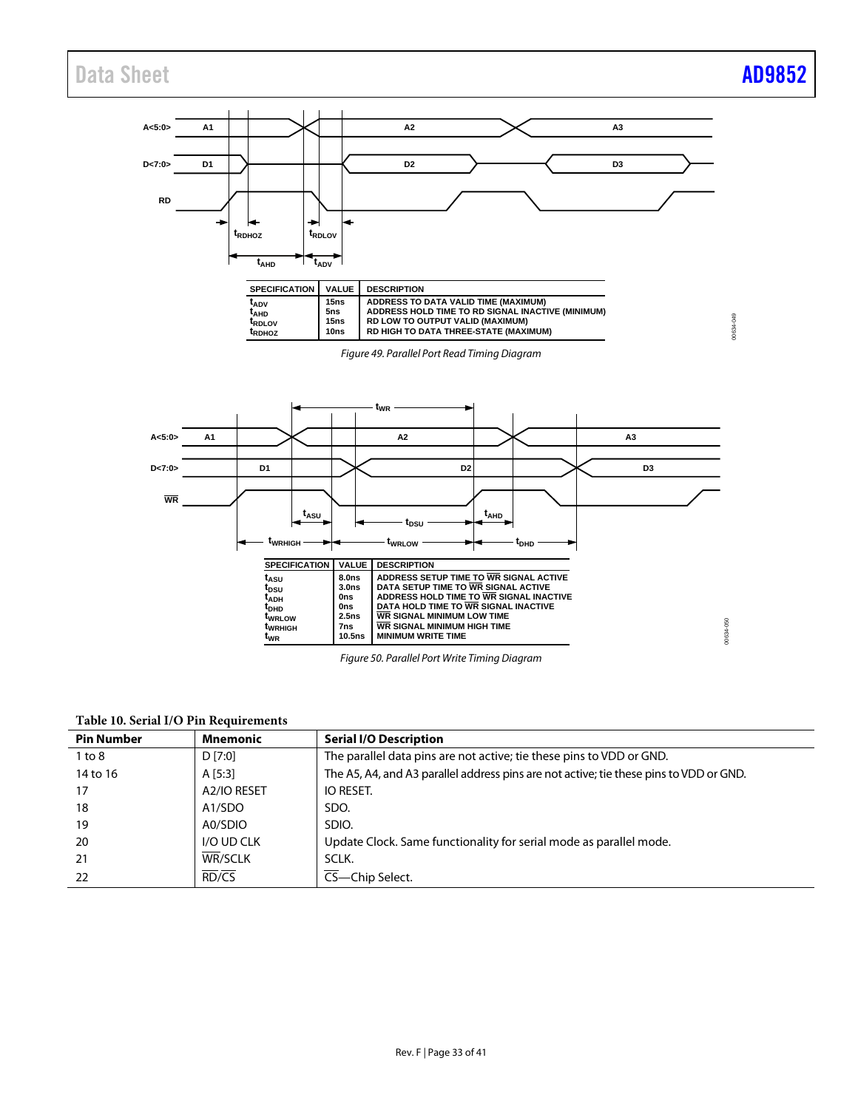<span id="page-32-0"></span>

### <span id="page-32-2"></span><span id="page-32-1"></span>**Table 10. Serial I/O Pin Requirements**

| <b>Pin Number</b> | <b>Mnemonic</b> | <b>Serial I/O Description</b>                                                          |
|-------------------|-----------------|----------------------------------------------------------------------------------------|
| 1 to 8            | D [7:0]         | The parallel data pins are not active; tie these pins to VDD or GND.                   |
| 14 to 16          | A [5:3]         | The A5, A4, and A3 parallel address pins are not active; tie these pins to VDD or GND. |
| 17                | A2/IO RESET     | IO RESET.                                                                              |
| 18                | A1/SDO          | SDO.                                                                                   |
| 19                | A0/SDIO         | SDIO.                                                                                  |
| 20                | I/O UD CLK      | Update Clock. Same functionality for serial mode as parallel mode.                     |
| 21                | <b>WR/SCLK</b>  | SCLK.                                                                                  |
| 22                | RD/CS           | CS-Chip Select.                                                                        |

*Figure 50. Parallel Port Write Timing Diagram*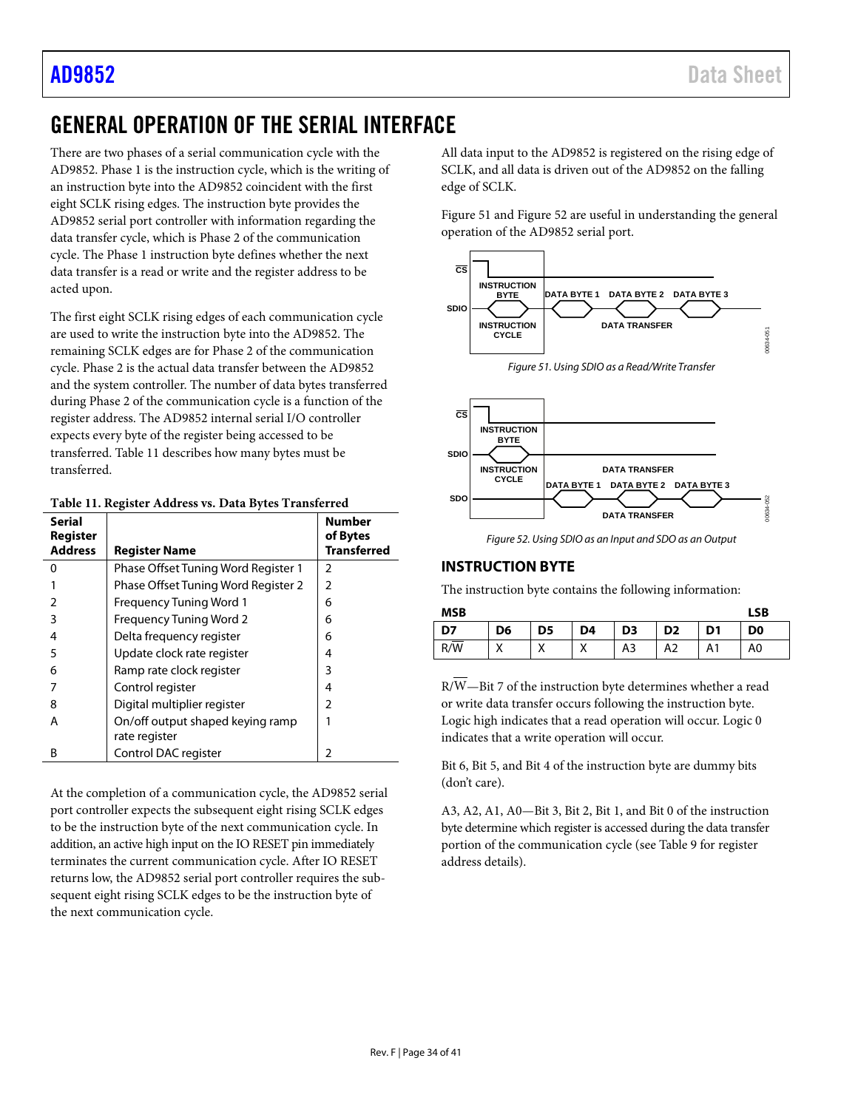# <span id="page-33-0"></span>GENERAL OPERATION OF THE SERIAL INTERFACE

There are two phases of a serial communication cycle with the AD9852. Phase 1 is the instruction cycle, which is the writing of an instruction byte into the AD9852 coincident with the first eight SCLK rising edges. The instruction byte provides the AD9852 serial port controller with information regarding the data transfer cycle, which is Phase 2 of the communication cycle. The Phase 1 instruction byte defines whether the next data transfer is a read or write and the register address to be acted upon.

The first eight SCLK rising edges of each communication cycle are used to write the instruction byte into the AD9852. The remaining SCLK edges are for Phase 2 of the communication cycle. Phase 2 is the actual data transfer between the AD9852 and the system controller. The number of data bytes transferred during Phase 2 of the communication cycle is a function of the register address. The AD9852 internal serial I/O controller expects every byte of the register being accessed to be transferred[. Table 11](#page-33-2) describes how many bytes must be transferred.

<span id="page-33-2"></span>

|  | Table 11. Register Address vs. Data Bytes Transferred |  |  |
|--|-------------------------------------------------------|--|--|
|  |                                                       |  |  |

| <b>Serial</b><br>Register |                                     | Number<br>of Bytes |
|---------------------------|-------------------------------------|--------------------|
| <b>Address</b>            | <b>Register Name</b>                | <b>Transferred</b> |
| O                         | Phase Offset Tuning Word Register 1 | 2                  |
|                           | Phase Offset Tuning Word Register 2 | $\overline{2}$     |
|                           | <b>Frequency Tuning Word 1</b>      | 6                  |
| 3                         | Frequency Tuning Word 2             | 6                  |
| 4                         | Delta frequency register            | 6                  |
| 5                         | Update clock rate register          | 4                  |
| 6                         | Ramp rate clock register            | 3                  |
|                           | Control register                    | 4                  |
| 8                         | Digital multiplier register         | $\mathcal{P}$      |
| А                         | On/off output shaped keying ramp    |                    |
|                           | rate register                       |                    |
| B                         | Control DAC register                | 2                  |

At the completion of a communication cycle, the AD9852 serial port controller expects the subsequent eight rising SCLK edges to be the instruction byte of the next communication cycle. In addition, an active high input on the IO RESET pin immediately terminates the current communication cycle. After IO RESET returns low, the AD9852 serial port controller requires the subsequent eight rising SCLK edges to be the instruction byte of the next communication cycle.

All data input to the AD9852 is registered on the rising edge of SCLK, and all data is driven out of the AD9852 on the falling edge of SCLK.

[Figure 51](#page-33-3) an[d Figure 52](#page-33-4) are useful in understanding the general operation of the AD9852 serial port.



<span id="page-33-3"></span>

*Figure 52. Using SDIO as an Input and SDO as an Output*

## <span id="page-33-4"></span><span id="page-33-1"></span>**INSTRUCTION BYTE**

The instruction byte contains the following information:

| <b>MSB</b>      |    |                |    |                |                |    | LSB            |
|-----------------|----|----------------|----|----------------|----------------|----|----------------|
| $\overline{D7}$ | D6 | D <sub>5</sub> | D4 | D <sub>3</sub> | D <sub>2</sub> | D1 | D <sub>0</sub> |
| R/W             | Λ  | ⋀              | ́  | A3             | A2             |    | A0             |

R/W—Bit 7 of the instruction byte determines whether a read or write data transfer occurs following the instruction byte. Logic high indicates that a read operation will occur. Logic 0 indicates that a write operation will occur.

Bit 6, Bit 5, and Bit 4 of the instruction byte are dummy bits (don't care).

A3, A2, A1, A0—Bit 3, Bit 2, Bit 1, and Bit 0 of the instruction byte determine which register is accessed during the data transfer portion of the communication cycle (se[e Table 9](#page-31-0) for register address details).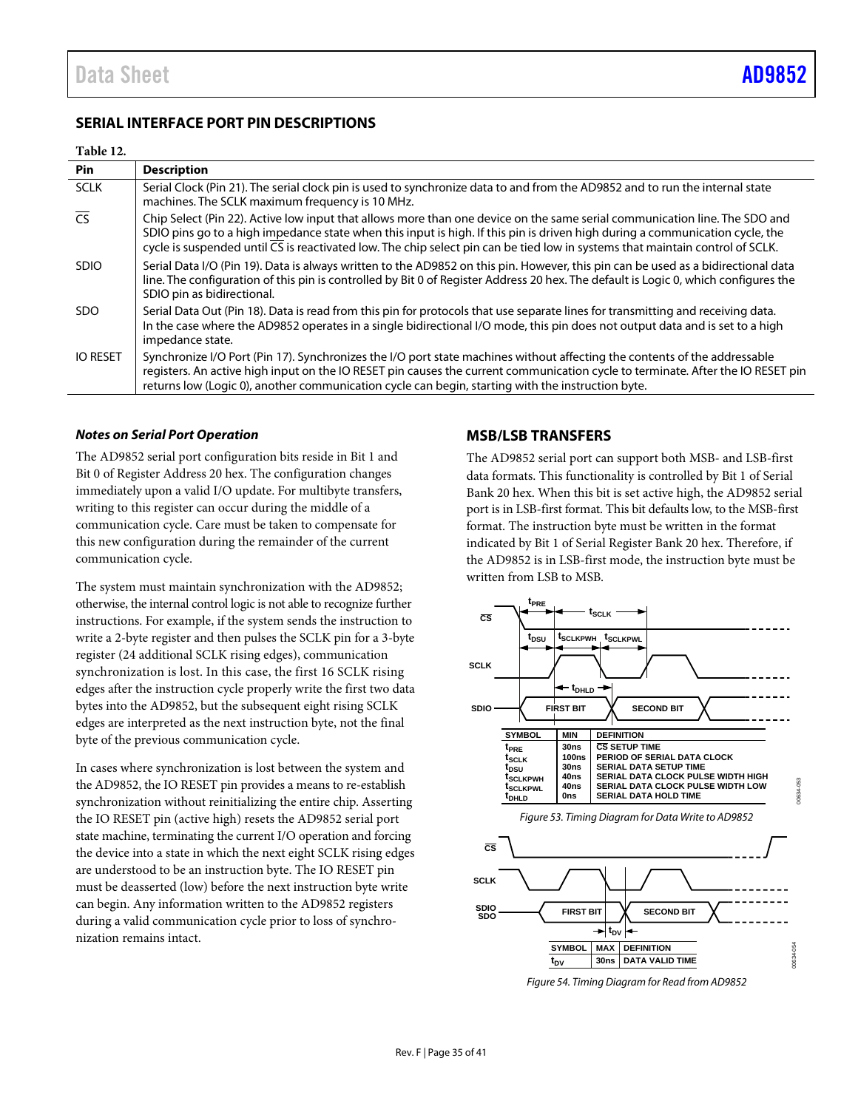### <span id="page-34-0"></span>**SERIAL INTERFACE PORT PIN DESCRIPTIONS**

### **Table 12.**

| Pin                      | <b>Description</b>                                                                                                                                                                                                                                                                                                                                                                                       |
|--------------------------|----------------------------------------------------------------------------------------------------------------------------------------------------------------------------------------------------------------------------------------------------------------------------------------------------------------------------------------------------------------------------------------------------------|
| <b>SCLK</b>              | Serial Clock (Pin 21). The serial clock pin is used to synchronize data to and from the AD9852 and to run the internal state<br>machines. The SCLK maximum frequency is 10 MHz.                                                                                                                                                                                                                          |
| $\overline{\mathsf{CS}}$ | Chip Select (Pin 22). Active low input that allows more than one device on the same serial communication line. The SDO and<br>SDIO pins go to a high impedance state when this input is high. If this pin is driven high during a communication cycle, the<br>cycle is suspended until $\overline{CS}$ is reactivated low. The chip select pin can be tied low in systems that maintain control of SCLK. |
| <b>SDIO</b>              | Serial Data I/O (Pin 19). Data is always written to the AD9852 on this pin. However, this pin can be used as a bidirectional data<br>line. The configuration of this pin is controlled by Bit 0 of Register Address 20 hex. The default is Logic 0, which configures the<br>SDIO pin as bidirectional.                                                                                                   |
| SDO.                     | Serial Data Out (Pin 18). Data is read from this pin for protocols that use separate lines for transmitting and receiving data.<br>In the case where the AD9852 operates in a single bidirectional I/O mode, this pin does not output data and is set to a high<br>impedance state.                                                                                                                      |
| <b>IO RESET</b>          | Synchronize I/O Port (Pin 17). Synchronizes the I/O port state machines without affecting the contents of the addressable<br>registers. An active high input on the IO RESET pin causes the current communication cycle to terminate. After the IO RESET pin<br>returns low (Logic 0), another communication cycle can begin, starting with the instruction byte.                                        |

### *Notes on Serial Port Operation*

The AD9852 serial port configuration bits reside in Bit 1 and Bit 0 of Register Address 20 hex. The configuration changes immediately upon a valid I/O update. For multibyte transfers, writing to this register can occur during the middle of a communication cycle. Care must be taken to compensate for this new configuration during the remainder of the current communication cycle.

The system must maintain synchronization with the AD9852; otherwise, the internal control logic is not able to recognize further instructions. For example, if the system sends the instruction to write a 2-byte register and then pulses the SCLK pin for a 3-byte register (24 additional SCLK rising edges), communication synchronization is lost. In this case, the first 16 SCLK rising edges after the instruction cycle properly write the first two data bytes into the AD9852, but the subsequent eight rising SCLK edges are interpreted as the next instruction byte, not the final byte of the previous communication cycle.

In cases where synchronization is lost between the system and the AD9852, the IO RESET pin provides a means to re-establish synchronization without reinitializing the entire chip. Asserting the IO RESET pin (active high) resets the AD9852 serial port state machine, terminating the current I/O operation and forcing the device into a state in which the next eight SCLK rising edges are understood to be an instruction byte. The IO RESET pin must be deasserted (low) before the next instruction byte write can begin. Any information written to the AD9852 registers during a valid communication cycle prior to loss of synchronization remains intact.

### <span id="page-34-1"></span>**MSB/LSB TRANSFERS**

The AD9852 serial port can support both MSB- and LSB-first data formats. This functionality is controlled by Bit 1 of Serial Bank 20 hex. When this bit is set active high, the AD9852 serial port is in LSB-first format. This bit defaults low, to the MSB-first format. The instruction byte must be written in the format indicated by Bit 1 of Serial Register Bank 20 hex. Therefore, if the AD9852 is in LSB-first mode, the instruction byte must be written from LSB to MSB.



*Figure 54. Timing Diagram for Read from AD9852*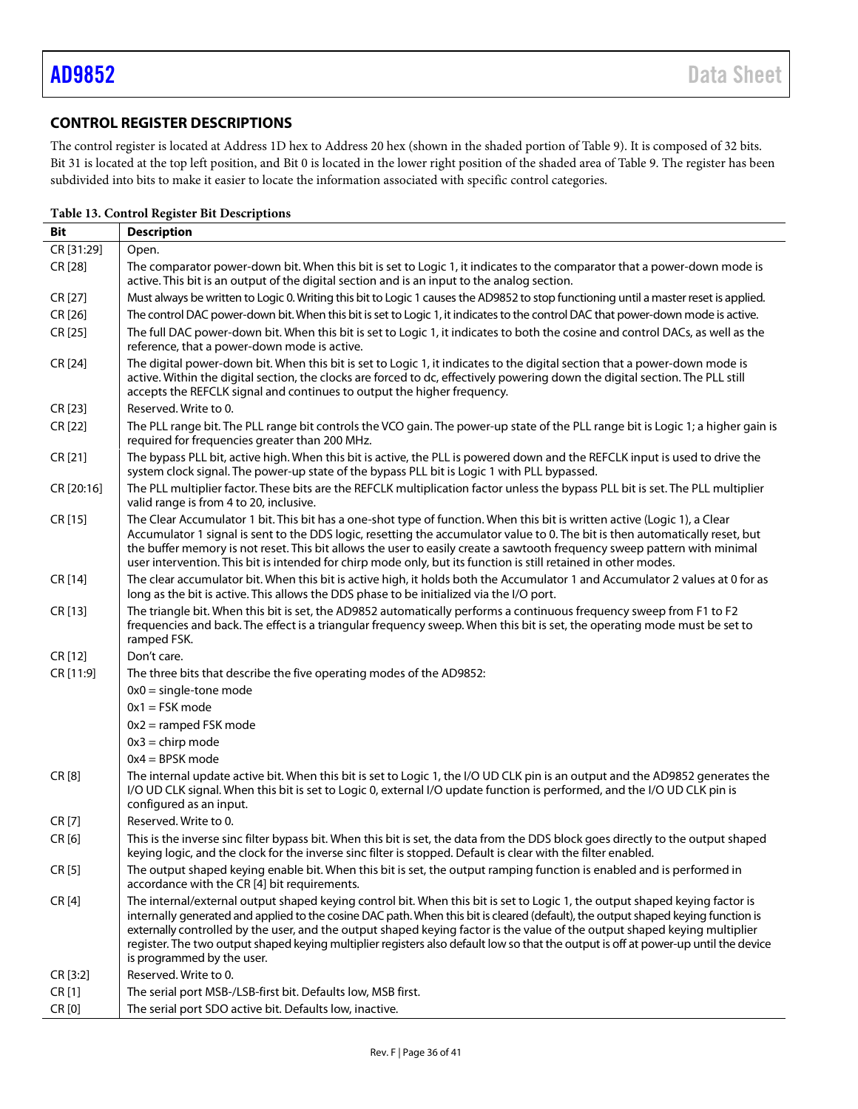## <span id="page-35-0"></span>**CONTROL REGISTER DESCRIPTIONS**

The control register is located at Address 1D hex to Address 20 hex (shown in the shaded portion o[f Table 9\)](#page-31-0). It is composed of 32 bits. Bit 31 is located at the top left position, and Bit 0 is located in the lower right position of the shaded area o[f Table 9.](#page-31-0) The register has been subdivided into bits to make it easier to locate the information associated with specific control categories.

| Bit        | <b>Description</b>                                                                                                                                                                                                                                                                                                                                                                                                                                                                                                                                                  |  |  |  |
|------------|---------------------------------------------------------------------------------------------------------------------------------------------------------------------------------------------------------------------------------------------------------------------------------------------------------------------------------------------------------------------------------------------------------------------------------------------------------------------------------------------------------------------------------------------------------------------|--|--|--|
| CR [31:29] | Open.                                                                                                                                                                                                                                                                                                                                                                                                                                                                                                                                                               |  |  |  |
| CR [28]    | The comparator power-down bit. When this bit is set to Logic 1, it indicates to the comparator that a power-down mode is<br>active. This bit is an output of the digital section and is an input to the analog section.                                                                                                                                                                                                                                                                                                                                             |  |  |  |
| CR [27]    | Must always be written to Logic 0. Writing this bit to Logic 1 causes the AD9852 to stop functioning until a master reset is applied.                                                                                                                                                                                                                                                                                                                                                                                                                               |  |  |  |
| CR [26]    | The control DAC power-down bit. When this bit is set to Logic 1, it indicates to the control DAC that power-down mode is active.                                                                                                                                                                                                                                                                                                                                                                                                                                    |  |  |  |
| CR [25]    | The full DAC power-down bit. When this bit is set to Logic 1, it indicates to both the cosine and control DACs, as well as the<br>reference, that a power-down mode is active.                                                                                                                                                                                                                                                                                                                                                                                      |  |  |  |
| CR [24]    | The digital power-down bit. When this bit is set to Logic 1, it indicates to the digital section that a power-down mode is<br>active. Within the digital section, the clocks are forced to dc, effectively powering down the digital section. The PLL still<br>accepts the REFCLK signal and continues to output the higher frequency.                                                                                                                                                                                                                              |  |  |  |
| CR [23]    | Reserved. Write to 0.                                                                                                                                                                                                                                                                                                                                                                                                                                                                                                                                               |  |  |  |
| CR [22]    | The PLL range bit. The PLL range bit controls the VCO gain. The power-up state of the PLL range bit is Logic 1; a higher gain is<br>required for frequencies greater than 200 MHz.                                                                                                                                                                                                                                                                                                                                                                                  |  |  |  |
| CR [21]    | The bypass PLL bit, active high. When this bit is active, the PLL is powered down and the REFCLK input is used to drive the<br>system clock signal. The power-up state of the bypass PLL bit is Logic 1 with PLL bypassed.                                                                                                                                                                                                                                                                                                                                          |  |  |  |
| CR [20:16] | The PLL multiplier factor. These bits are the REFCLK multiplication factor unless the bypass PLL bit is set. The PLL multiplier<br>valid range is from 4 to 20, inclusive.                                                                                                                                                                                                                                                                                                                                                                                          |  |  |  |
| CR [15]    | The Clear Accumulator 1 bit. This bit has a one-shot type of function. When this bit is written active (Logic 1), a Clear<br>Accumulator 1 signal is sent to the DDS logic, resetting the accumulator value to 0. The bit is then automatically reset, but<br>the buffer memory is not reset. This bit allows the user to easily create a sawtooth frequency sweep pattern with minimal<br>user intervention. This bit is intended for chirp mode only, but its function is still retained in other modes.                                                          |  |  |  |
| CR [14]    | The clear accumulator bit. When this bit is active high, it holds both the Accumulator 1 and Accumulator 2 values at 0 for as<br>long as the bit is active. This allows the DDS phase to be initialized via the I/O port.                                                                                                                                                                                                                                                                                                                                           |  |  |  |
| CR [13]    | The triangle bit. When this bit is set, the AD9852 automatically performs a continuous frequency sweep from F1 to F2<br>frequencies and back. The effect is a triangular frequency sweep. When this bit is set, the operating mode must be set to<br>ramped FSK.                                                                                                                                                                                                                                                                                                    |  |  |  |
| CR [12]    | Don't care.                                                                                                                                                                                                                                                                                                                                                                                                                                                                                                                                                         |  |  |  |
| CR [11:9]  | The three bits that describe the five operating modes of the AD9852:                                                                                                                                                                                                                                                                                                                                                                                                                                                                                                |  |  |  |
|            | $0x0 =$ single-tone mode                                                                                                                                                                                                                                                                                                                                                                                                                                                                                                                                            |  |  |  |
|            | $0x1 = FSK mode$                                                                                                                                                                                                                                                                                                                                                                                                                                                                                                                                                    |  |  |  |
|            | $0x2 =$ ramped FSK mode                                                                                                                                                                                                                                                                                                                                                                                                                                                                                                                                             |  |  |  |
|            | $0x3 =$ chirp mode                                                                                                                                                                                                                                                                                                                                                                                                                                                                                                                                                  |  |  |  |
|            | $0x4 = BPSK$ mode                                                                                                                                                                                                                                                                                                                                                                                                                                                                                                                                                   |  |  |  |
| CR [8]     | The internal update active bit. When this bit is set to Logic 1, the I/O UD CLK pin is an output and the AD9852 generates the<br>I/O UD CLK signal. When this bit is set to Logic 0, external I/O update function is performed, and the I/O UD CLK pin is<br>configured as an input.                                                                                                                                                                                                                                                                                |  |  |  |
| CR [7]     | Reserved. Write to 0.                                                                                                                                                                                                                                                                                                                                                                                                                                                                                                                                               |  |  |  |
| CR[6]      | This is the inverse sinc filter bypass bit. When this bit is set, the data from the DDS block goes directly to the output shaped<br>keying logic, and the clock for the inverse sinc filter is stopped. Default is clear with the filter enabled.                                                                                                                                                                                                                                                                                                                   |  |  |  |
| CR[5]      | The output shaped keying enable bit. When this bit is set, the output ramping function is enabled and is performed in<br>accordance with the CR [4] bit requirements.                                                                                                                                                                                                                                                                                                                                                                                               |  |  |  |
| CR [4]     | The internal/external output shaped keying control bit. When this bit is set to Logic 1, the output shaped keying factor is<br>internally generated and applied to the cosine DAC path. When this bit is cleared (default), the output shaped keying function is<br>externally controlled by the user, and the output shaped keying factor is the value of the output shaped keying multiplier<br>register. The two output shaped keying multiplier registers also default low so that the output is off at power-up until the device<br>is programmed by the user. |  |  |  |
| CR [3:2]   | Reserved. Write to 0.                                                                                                                                                                                                                                                                                                                                                                                                                                                                                                                                               |  |  |  |
| CR[1]      | The serial port MSB-/LSB-first bit. Defaults low, MSB first.                                                                                                                                                                                                                                                                                                                                                                                                                                                                                                        |  |  |  |
| CR [0]     | The serial port SDO active bit. Defaults low, inactive.                                                                                                                                                                                                                                                                                                                                                                                                                                                                                                             |  |  |  |

### **Table 13. Control Register Bit Descriptions**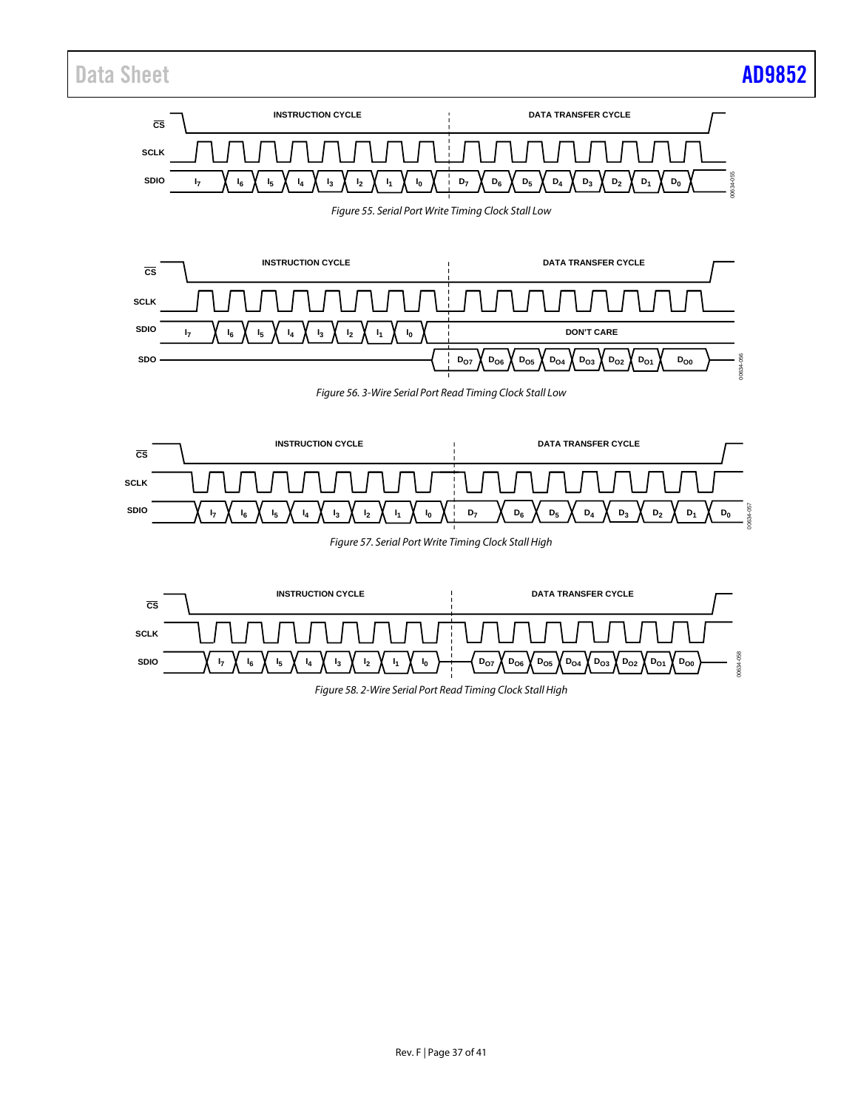# Data Sheet **[AD9852](https://www.analog.com/AD9852?doc=AD9852.pdf)**

## **SDIO D7 I7 SCLK CS INSTRUCTION CYCLE DATA TRANSFER CYCLE I6 I5 I4 I3 I0 I2 I1 D6 D5 D4 D3 D2 D1 D0** 00634-055 *Figure 55. Serial Port Write Timing Clock Stall Low* **SDIO DO7 DO6 DO5 DO4 DO3 DO2 DO1 DO0 SCLK CS INSTRUCTION CYCLE DON'T CARE SDO DATA TRANSFER CYCLE I7 I6 I5 I4 I3 I0 I2 I1** 00634-056 *Figure 56. 3-Wire Serial Port Read Timing Clock Stall Low* **SCLK INSTRUCTION CYCLE CS**

*Figure 57. Serial Port Write Timing Clock Stall High*

**D7 D6 D5 D4 D3 D2 D1 D0 SDIO**

**I7 I6 I5 I4 I3 I0 I2 I1**





00634-057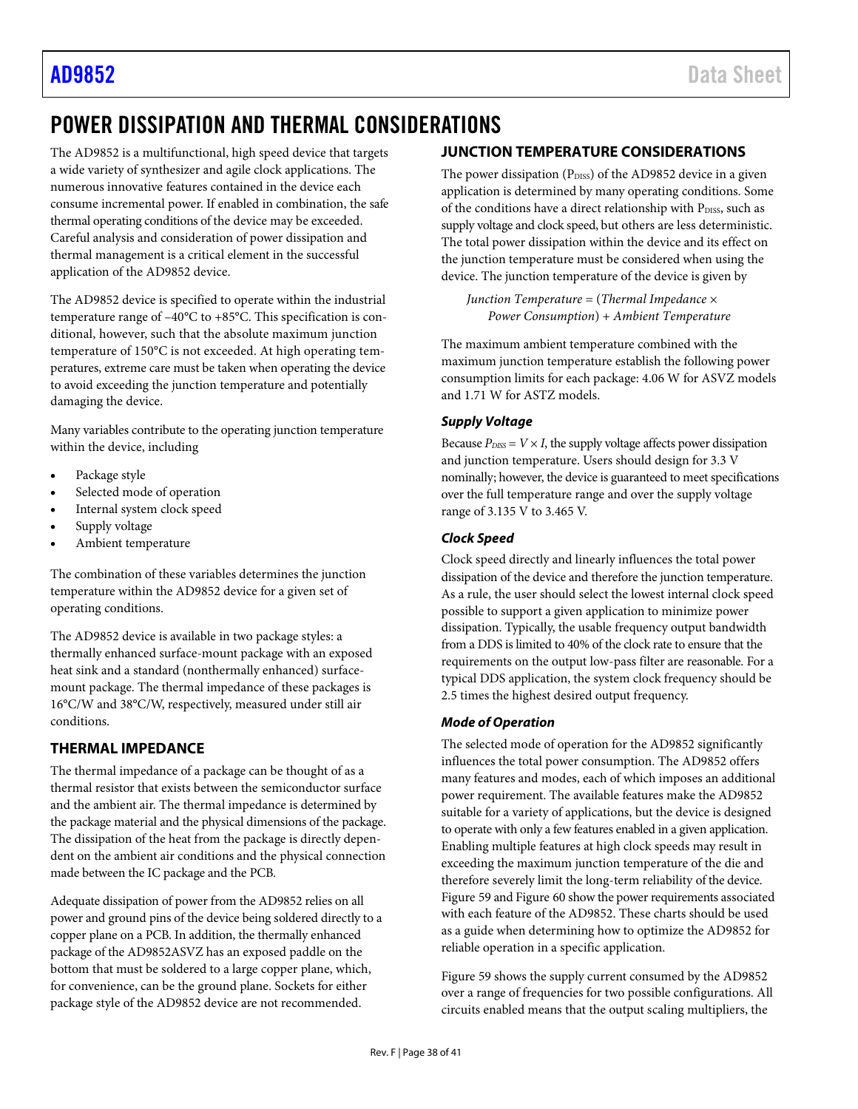# <span id="page-37-0"></span>POWER DISSIPATION AND THERMAL CONSIDERATIONS

The AD9852 is a multifunctional, high speed device that targets a wide variety of synthesizer and agile clock applications. The numerous innovative features contained in the device each consume incremental power. If enabled in combination, the safe thermal operating conditions of the device may be exceeded. Careful analysis and consideration of power dissipation and thermal management is a critical element in the successful application of the AD9852 device.

The AD9852 device is specified to operate within the industrial temperature range of –40°C to +85°C. This specification is conditional, however, such that the absolute maximum junction temperature of 150°C is not exceeded. At high operating temperatures, extreme care must be taken when operating the device to avoid exceeding the junction temperature and potentially damaging the device.

Many variables contribute to the operating junction temperature within the device, including

- Package style
- Selected mode of operation
- Internal system clock speed
- Supply voltage
- Ambient temperature

The combination of these variables determines the junction temperature within the AD9852 device for a given set of operating conditions.

The AD9852 device is available in two package styles: a thermally enhanced surface-mount package with an exposed heat sink and a standard (nonthermally enhanced) surfacemount package. The thermal impedance of these packages is 16°C/W and 38°C/W, respectively, measured under still air conditions.

## <span id="page-37-1"></span>**THERMAL IMPEDANCE**

The thermal impedance of a package can be thought of as a thermal resistor that exists between the semiconductor surface and the ambient air. The thermal impedance is determined by the package material and the physical dimensions of the package. The dissipation of the heat from the package is directly dependent on the ambient air conditions and the physical connection made between the IC package and the PCB.

Adequate dissipation of power from the AD9852 relies on all power and ground pins of the device being soldered directly to a copper plane on a PCB. In addition, the thermally enhanced package of the AD9852ASVZ has an exposed paddle on the bottom that must be soldered to a large copper plane, which, for convenience, can be the ground plane. Sockets for either package style of the AD9852 device are not recommended.

## <span id="page-37-2"></span>**JUNCTION TEMPERATURE CONSIDERATIONS**

The power dissipation (PDISS) of the AD9852 device in a given application is determined by many operating conditions. Some of the conditions have a direct relationship with PDISS, such as supply voltage and clock speed, but others are less deterministic. The total power dissipation within the device and its effect on the junction temperature must be considered when using the device. The junction temperature of the device is given by

*Junction Temperature* = (*Thermal Impedance* × *Power Consumption*) + *Ambient Temperature*

The maximum ambient temperature combined with the maximum junction temperature establish the following power consumption limits for each package: 4.06 W for ASVZ models and 1.71 W for ASTZ models.

### *Supply Voltage*

Because  $P_{\text{DISS}} = V \times I$ , the supply voltage affects power dissipation and junction temperature. Users should design for 3.3 V nominally; however, the device is guaranteed to meet specifications over the full temperature range and over the supply voltage range of 3.135 V to 3.465 V.

### *Clock Speed*

Clock speed directly and linearly influences the total power dissipation of the device and therefore the junction temperature. As a rule, the user should select the lowest internal clock speed possible to support a given application to minimize power dissipation. Typically, the usable frequency output bandwidth from a DDS is limited to 40% of the clock rate to ensure that the requirements on the output low-pass filter are reasonable. For a typical DDS application, the system clock frequency should be 2.5 times the highest desired output frequency.

### *Mode of Operation*

The selected mode of operation for the AD9852 significantly influences the total power consumption. The AD9852 offers many features and modes, each of which imposes an additional power requirement. The available features make the AD9852 suitable for a variety of applications, but the device is designed to operate with only a few features enabled in a given application. Enabling multiple features at high clock speeds may result in exceeding the maximum junction temperature of the die and therefore severely limit the long-term reliability of the device. [Figure 59](#page-38-0) an[d Figure 60](#page-38-1) show the power requirements associated with each feature of the AD9852. These charts should be used as a guide when determining how to optimize the AD9852 for reliable operation in a specific application.

[Figure 59](#page-38-0) shows the supply current consumed by the AD9852 over a range of frequencies for two possible configurations. All circuits enabled means that the output scaling multipliers, the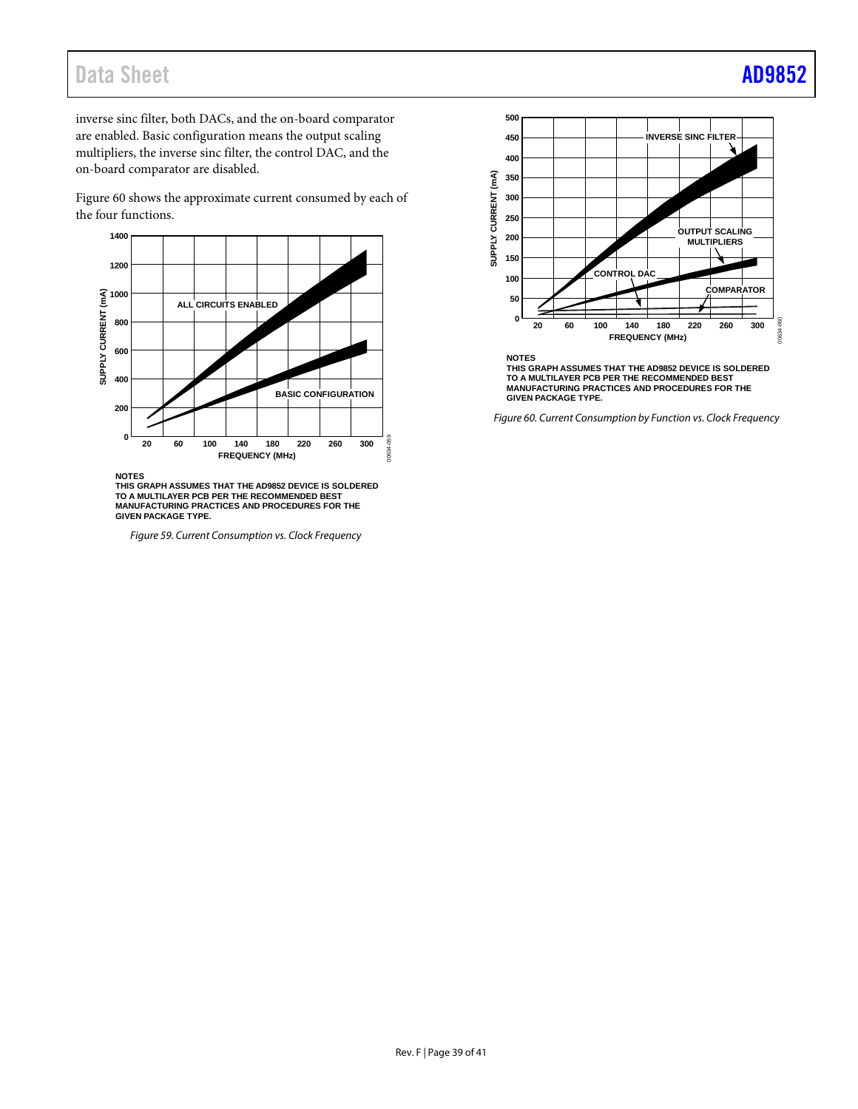# Data Sheet **[AD9852](https://www.analog.com/AD9852?doc=AD9852.pdf)**

inverse sinc filter, both DACs, and the on-board comparator are enabled. Basic configuration means the output scaling multipliers, the inverse sinc filter, the control DAC, and the on-board comparator are disabled.

[Figure 60](#page-38-1) shows the approximate current consumed by each of the four functions.



**NOTES**

**THIS GRAPH ASSUMES THAT THE AD9852 DEVICE IS SOLDERED TO A MULTILAYER PCB PER THE RECOMMENDED BEST MANUFACTURING PRACTICES AND PROCEDURES FOR THE GIVEN PACKAGE TYPE.**

<span id="page-38-0"></span>*Figure 59. Current Consumption vs. Clock Frequency*



**NOTES THIS GRAPH ASSUMES THAT THE AD9852 DEVICE IS SOLDERED TO A MULTILAYER PCB PER THE RECOMMENDED BEST MANUFACTURING PRACTICES AND PROCEDURES FOR THE GIVEN PACKAGE TYPE.**

<span id="page-38-1"></span>*Figure 60. Current Consumption by Function vs. Clock Frequency*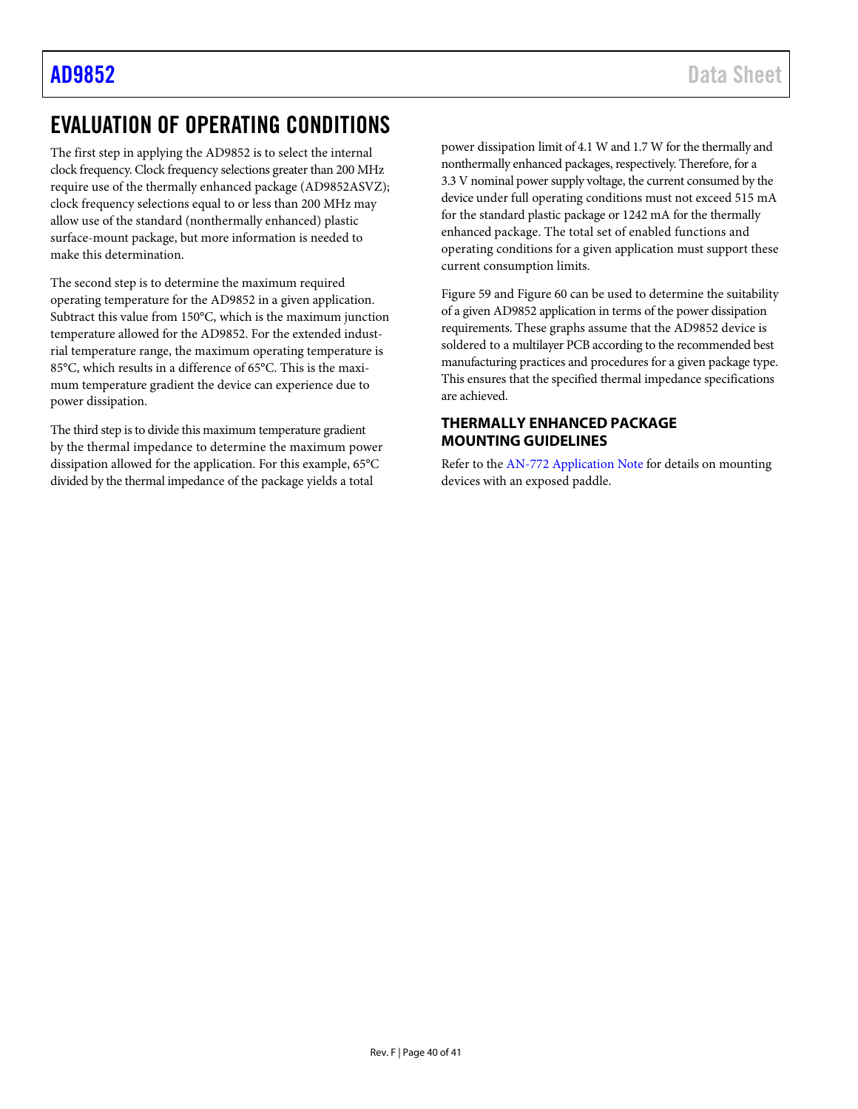# <span id="page-39-0"></span>EVALUATION OF OPERATING CONDITIONS

The first step in applying the AD9852 is to select the internal clock frequency. Clock frequency selections greater than 200 MHz require use of the thermally enhanced package (AD9852ASVZ); clock frequency selections equal to or less than 200 MHz may allow use of the standard (nonthermally enhanced) plastic surface-mount package, but more information is needed to make this determination.

The second step is to determine the maximum required operating temperature for the AD9852 in a given application. Subtract this value from 150°C, which is the maximum junction temperature allowed for the AD9852. For the extended industrial temperature range, the maximum operating temperature is 85°C, which results in a difference of 65°C. This is the maximum temperature gradient the device can experience due to power dissipation.

The third step is to divide this maximum temperature gradient by the thermal impedance to determine the maximum power dissipation allowed for the application. For this example, 65°C divided by the thermal impedance of the package yields a total

power dissipation limit of 4.1 W and 1.7 W for the thermally and nonthermally enhanced packages, respectively. Therefore, for a 3.3 V nominal power supply voltage, the current consumed by the device under full operating conditions must not exceed 515 mA for the standard plastic package or 1242 mA for the thermally enhanced package. The total set of enabled functions and operating conditions for a given application must support these current consumption limits.

[Figure 59](#page-38-0) an[d Figure 60](#page-38-1) can be used to determine the suitability of a given AD9852 application in terms of the power dissipation requirements. These graphs assume that the AD9852 device is soldered to a multilayer PCB according to the recommended best manufacturing practices and procedures for a given package type. This ensures that the specified thermal impedance specifications are achieved.

### <span id="page-39-1"></span>**THERMALLY ENHANCED PACKAGE MOUNTING GUIDELINES**

Refer to th[e AN-772 Application Note](http://www.analog.com/AN-772) for details on mounting devices with an exposed paddle.